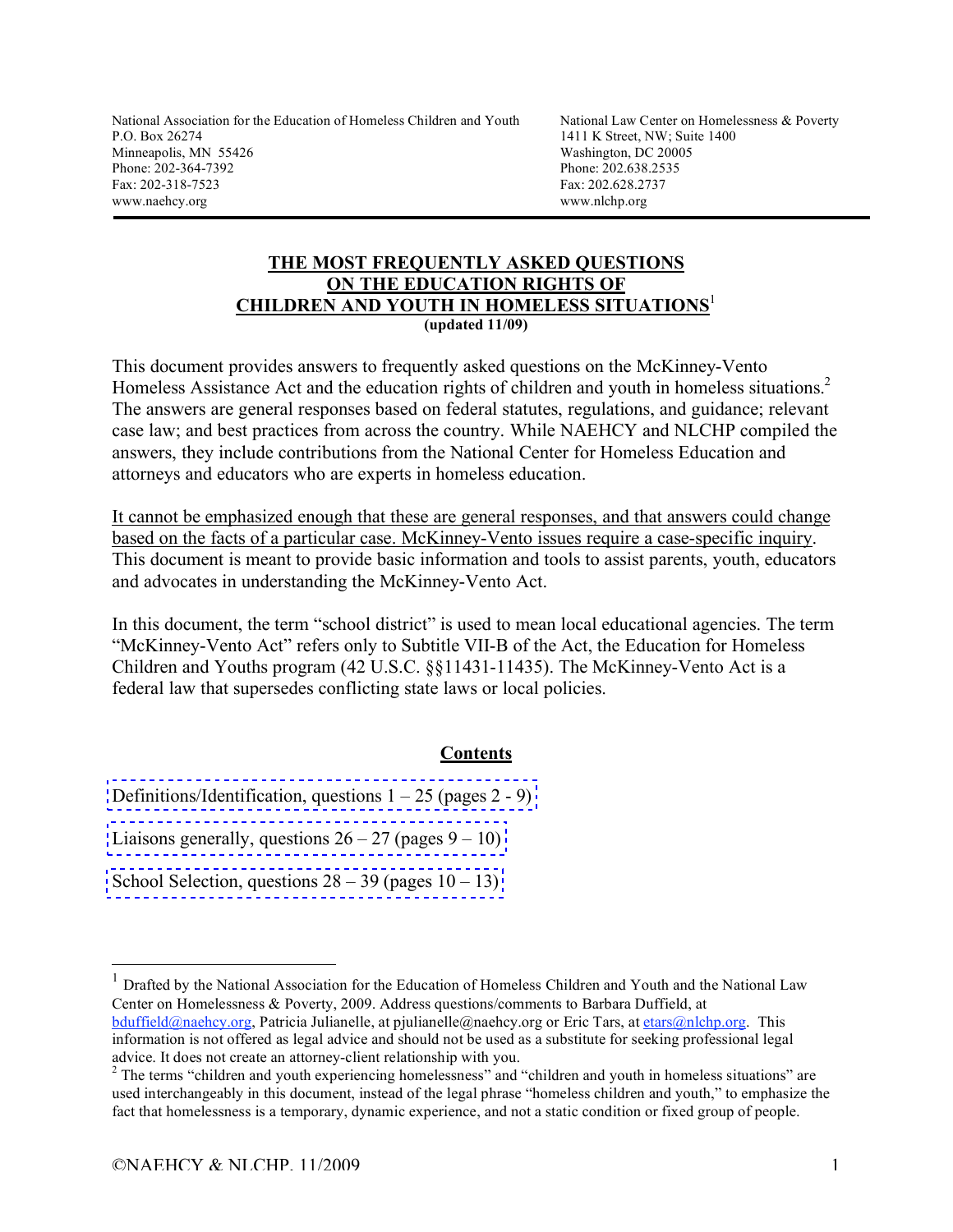National Association for the Education of Homeless Children and Youth National Law Center on Homelessness & Poverty P.O. Box 26274 1411 K Street, NW; Suite 1400<br>
Minneapolis, MN 55426 1400<br>
Washington, DC 20005 Minneapolis, MN 55426 Phone: 202-364-7392 Phone: 202.638.2535 Fax: 202-318-7523 Fax: 202.628.2737 www.naehcy.org www.nlchp.org

i

#### **THE MOST FREQUENTLY ASKED QUESTIONS ON THE EDUCATION RIGHTS OF CHILDREN AND YOUTH IN HOMELESS SITUATIONS**<sup>1</sup> **(updated 11/09)**

This document provides answers to frequently asked questions on the McKinney-Vento Homeless Assistance Act and the education rights of children and youth in homeless situations.<sup>2</sup> The answers are general responses based on federal statutes, regulations, and guidance; relevant case law; and best practices from across the country. While NAEHCY and NLCHP compiled the answers, they include contributions from the National Center for Homeless Education and attorneys and educators who are experts in homeless education.

It cannot be emphasized enough that these are general responses, and that answers could change based on the facts of a particular case. McKinney-Vento issues require a case-specific inquiry. This document is meant to provide basic information and tools to assist parents, youth, educators and advocates in understanding the McKinney-Vento Act.

In this document, the term "school district" is used to mean local educational agencies. The term "McKinney-Vento Act" refers only to Subtitle VII-B of the Act, the Education for Homeless Children and Youths program (42 U.S.C. §§11431-11435). The McKinney-Vento Act is a federal law that supersedes conflicting state laws or local policies.

# **Contents**

Definitions/Identification, questions  $1 - 25$  (pages  $2 - 9$ )

Liaisons generally, questions  $26 - 27$  (pages  $9 - 10$ )

School Selection, questions  $28 - 39$  (pages  $10 - 13$ )

<sup>&</sup>lt;sup>1</sup> Drafted by the National Association for the Education of Homeless Children and Youth and the National Law Center on Homelessness & Poverty, 2009. Address questions/comments to Barbara Duffield, at bduffield@naehcy.org, Patricia Julianelle, at pjulianelle@naehcy.org or Eric Tars, at etars@nlchp.org. This

information is not offered as legal advice and should not be used as a substitute for seeking professional legal advice. It does not create an attorney-client relationship with you. <sup>2</sup>

<sup>&</sup>lt;sup>2</sup> The terms "children and youth experiencing homelessness" and "children and youth in homeless situations" are used interchangeably in this document, instead of the legal phrase "homeless children and youth," to emphasize the fact that homelessness is a temporary, dynamic experience, and not a static condition or fixed group of people.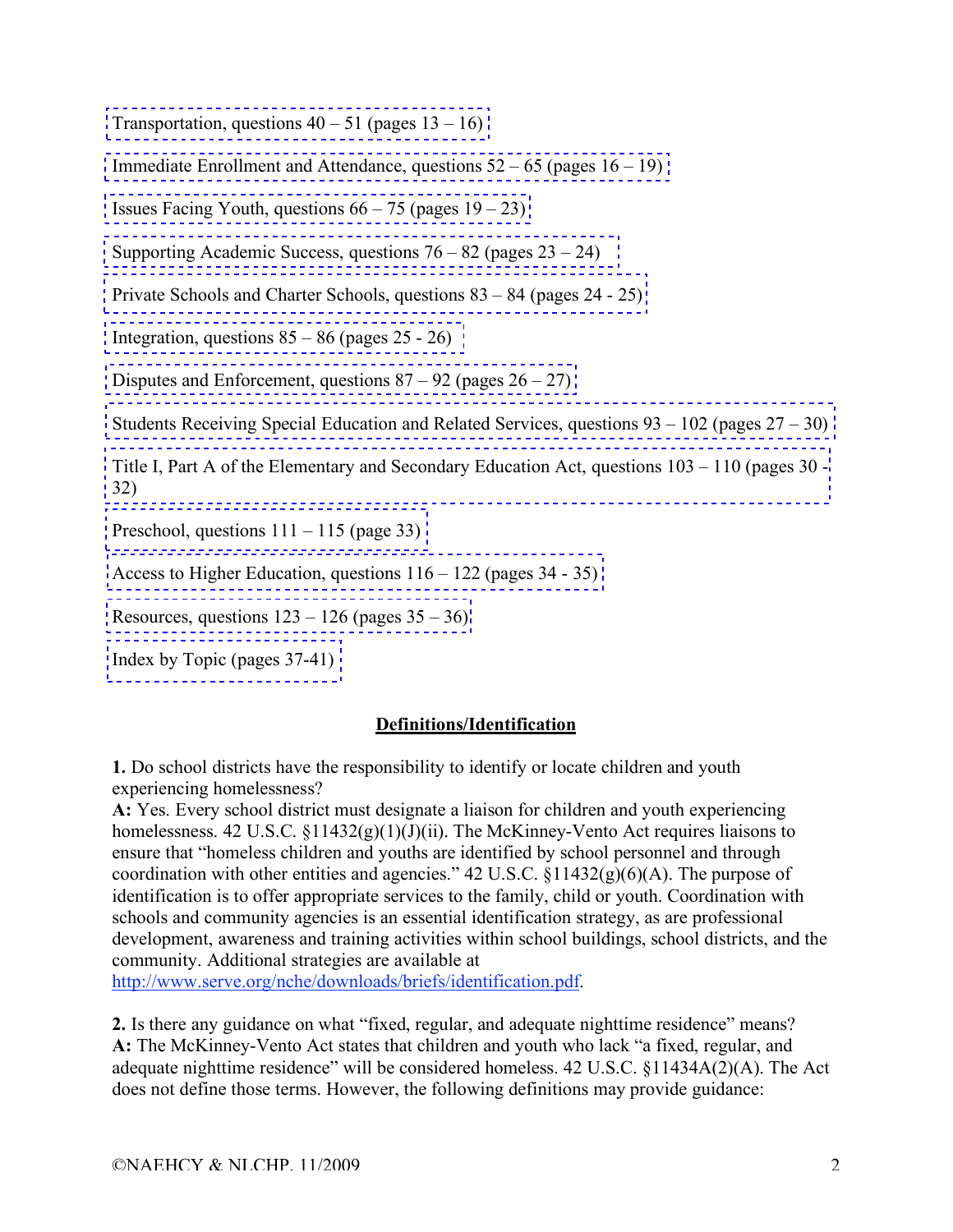<span id="page-1-0"></span>Transportation, questions  $40 - 51$  (pages  $13 - 16$ )

Immediate Enrollment and Attendance, questions  $52 - 65$  (pages  $16 - 19$ )

Issues Facing Youth, questions  $66 - 75$  (pages  $19 - 23$ )

Supporting Academic Success, questions  $76 - 82$  (pages  $23 - 24$ )

[Private Schools and Charter Schools, questions 83 – 84 \(pages 24 - 25\)](#page-23-0)

Integration, questions  $85 - 86$  (pages  $25 - 26$ )

Disputes and Enforcement, questions  $87 - 92$  (pages  $26 - 27$ )

Students Receiving Special Education and Related Services, questions  $93 - 102$  (pages  $27 - 30$ )

[Title I, Part A of the Elementary and Secondary Education Act, questions 103 – 110 \(pages 30 -](#page-29-0) 32)

Preschool, questions  $111 - 115$  (page 33)

[Access to Higher Education, questions 116 – 122 \(pages 34 - 35\)](#page-33-0)

Resources, questions  $123 - 126$  (pages  $35 - 36$ )

[Index by Topic \(pages 37-41\)](#page-36-0)

#### **Definitions/Identification**

**1.** Do school districts have the responsibility to identify or locate children and youth experiencing homelessness?

**A:** Yes. Every school district must designate a liaison for children and youth experiencing homelessness.  $42 \text{ U.S.C. } \frac{11432(g)(1)(J)(ii)}{i}$ . The McKinney-Vento Act requires liaisons to ensure that "homeless children and youths are identified by school personnel and through coordination with other entities and agencies."  $42 \text{ U.S.C. } $11432(g)(6)(\text{A})$ . The purpose of identification is to offer appropriate services to the family, child or youth. Coordination with schools and community agencies is an essential identification strategy, as are professional development, awareness and training activities within school buildings, school districts, and the community. Additional strategies are available at

http://www.serve.org/nche/downloads/briefs/identification.pdf.

**2.** Is there any guidance on what "fixed, regular, and adequate nighttime residence" means? **A:** The McKinney-Vento Act states that children and youth who lack "a fixed, regular, and adequate nighttime residence" will be considered homeless. 42 U.S.C. §11434A(2)(A). The Act does not define those terms. However, the following definitions may provide guidance: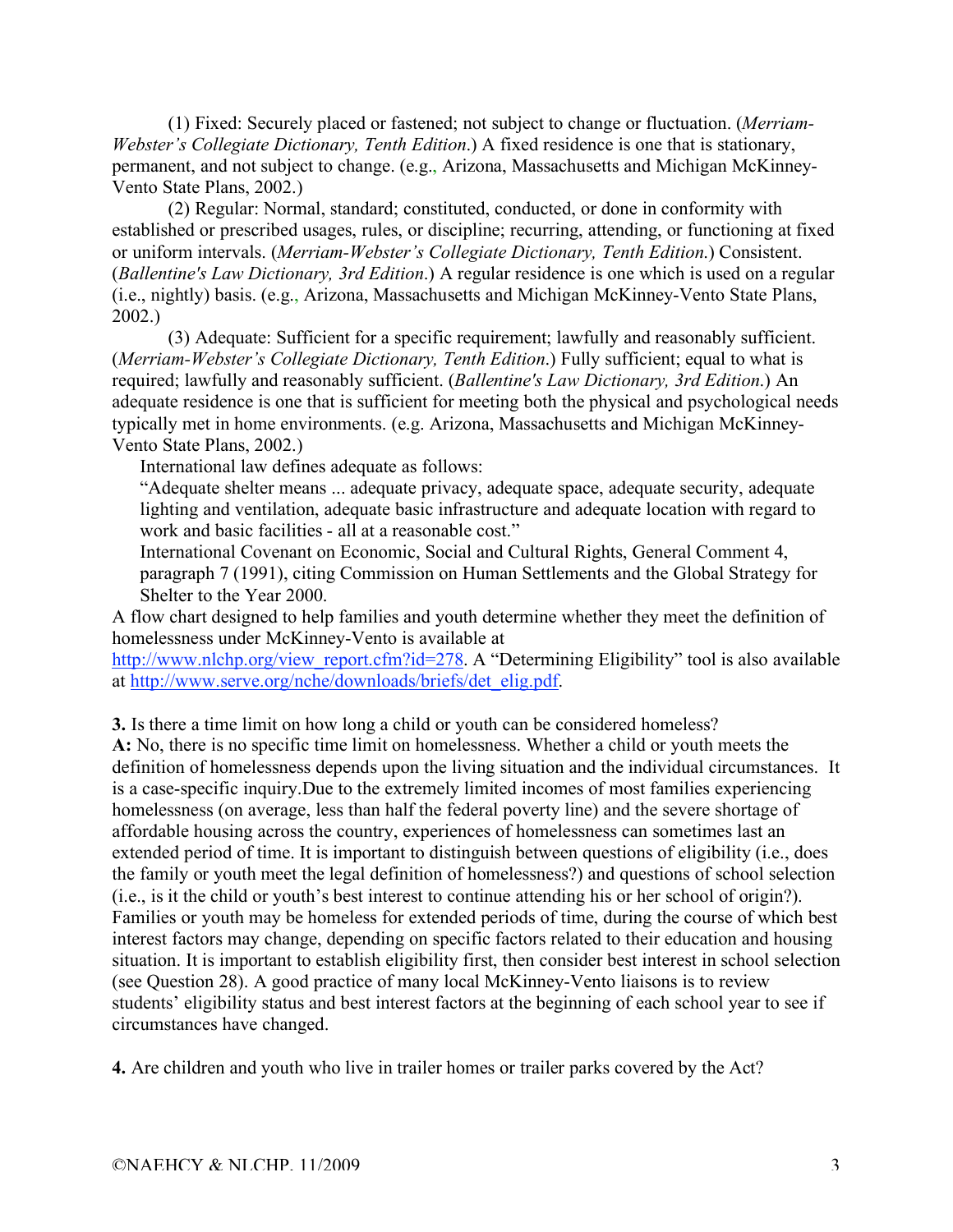(1) Fixed: Securely placed or fastened; not subject to change or fluctuation. (*Merriam-Webster's Collegiate Dictionary, Tenth Edition*.) A fixed residence is one that is stationary, permanent, and not subject to change. (e.g., Arizona, Massachusetts and Michigan McKinney-Vento State Plans, 2002.)

(2) Regular: Normal, standard; constituted, conducted, or done in conformity with established or prescribed usages, rules, or discipline; recurring, attending, or functioning at fixed or uniform intervals. (*Merriam-Webster's Collegiate Dictionary, Tenth Edition*.) Consistent. (*Ballentine's Law Dictionary, 3rd Edition*.) A regular residence is one which is used on a regular (i.e., nightly) basis. (e.g., Arizona, Massachusetts and Michigan McKinney-Vento State Plans, 2002.)

(3) Adequate: Sufficient for a specific requirement; lawfully and reasonably sufficient. (*Merriam-Webster's Collegiate Dictionary, Tenth Edition*.) Fully sufficient; equal to what is required; lawfully and reasonably sufficient. (*Ballentine's Law Dictionary, 3rd Edition*.) An adequate residence is one that is sufficient for meeting both the physical and psychological needs typically met in home environments. (e.g. Arizona, Massachusetts and Michigan McKinney-Vento State Plans, 2002.)

International law defines adequate as follows:

"Adequate shelter means ... adequate privacy, adequate space, adequate security, adequate lighting and ventilation, adequate basic infrastructure and adequate location with regard to work and basic facilities - all at a reasonable cost."

International Covenant on Economic, Social and Cultural Rights, General Comment 4, paragraph 7 (1991), citing Commission on Human Settlements and the Global Strategy for Shelter to the Year 2000.

A flow chart designed to help families and youth determine whether they meet the definition of homelessness under McKinney-Vento is available at

http://www.nlchp.org/view\_report.cfm?id=278. A "Determining Eligibility" tool is also available at http://www.serve.org/nche/downloads/briefs/det\_elig.pdf.

**3.** Is there a time limit on how long a child or youth can be considered homeless?

**A:** No, there is no specific time limit on homelessness. Whether a child or youth meets the definition of homelessness depends upon the living situation and the individual circumstances. It is a case-specific inquiry.Due to the extremely limited incomes of most families experiencing homelessness (on average, less than half the federal poverty line) and the severe shortage of affordable housing across the country, experiences of homelessness can sometimes last an extended period of time. It is important to distinguish between questions of eligibility (i.e., does the family or youth meet the legal definition of homelessness?) and questions of school selection (i.e., is it the child or youth's best interest to continue attending his or her school of origin?). Families or youth may be homeless for extended periods of time, during the course of which best interest factors may change, depending on specific factors related to their education and housing situation. It is important to establish eligibility first, then consider best interest in school selection (see Question 28). A good practice of many local McKinney-Vento liaisons is to review students' eligibility status and best interest factors at the beginning of each school year to see if circumstances have changed.

**4.** Are children and youth who live in trailer homes or trailer parks covered by the Act?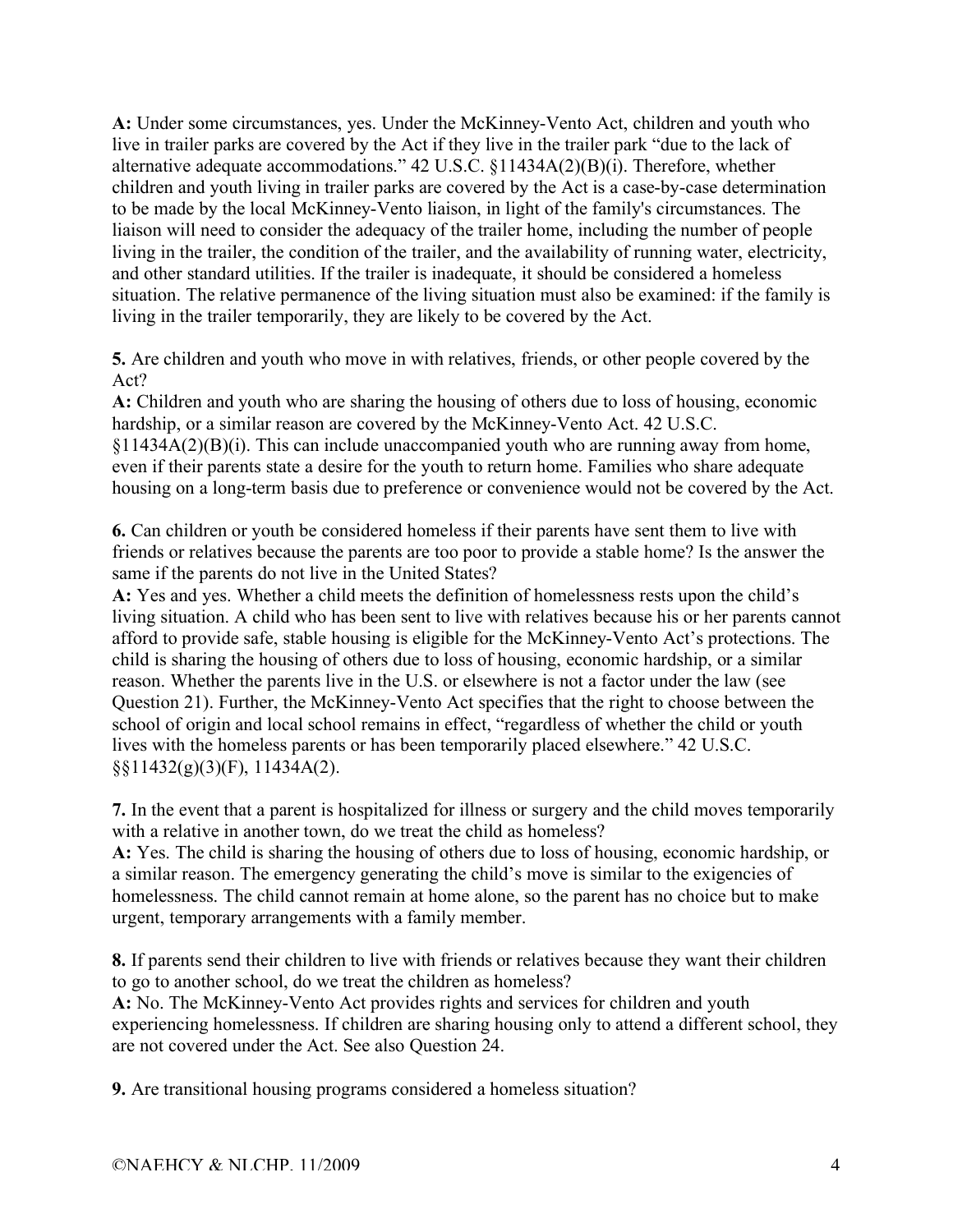**A:** Under some circumstances, yes. Under the McKinney-Vento Act, children and youth who live in trailer parks are covered by the Act if they live in the trailer park "due to the lack of alternative adequate accommodations." 42 U.S.C. §11434A(2)(B)(i). Therefore, whether children and youth living in trailer parks are covered by the Act is a case-by-case determination to be made by the local McKinney-Vento liaison, in light of the family's circumstances. The liaison will need to consider the adequacy of the trailer home, including the number of people living in the trailer, the condition of the trailer, and the availability of running water, electricity, and other standard utilities. If the trailer is inadequate, it should be considered a homeless situation. The relative permanence of the living situation must also be examined: if the family is living in the trailer temporarily, they are likely to be covered by the Act.

**5.** Are children and youth who move in with relatives, friends, or other people covered by the Act?

**A:** Children and youth who are sharing the housing of others due to loss of housing, economic hardship, or a similar reason are covered by the McKinney-Vento Act. 42 U.S.C. §11434A(2)(B)(i). This can include unaccompanied youth who are running away from home, even if their parents state a desire for the youth to return home. Families who share adequate housing on a long-term basis due to preference or convenience would not be covered by the Act.

**6.** Can children or youth be considered homeless if their parents have sent them to live with friends or relatives because the parents are too poor to provide a stable home? Is the answer the same if the parents do not live in the United States?

**A:** Yes and yes. Whether a child meets the definition of homelessness rests upon the child's living situation. A child who has been sent to live with relatives because his or her parents cannot afford to provide safe, stable housing is eligible for the McKinney-Vento Act's protections. The child is sharing the housing of others due to loss of housing, economic hardship, or a similar reason. Whether the parents live in the U.S. or elsewhere is not a factor under the law (see Question 21). Further, the McKinney-Vento Act specifies that the right to choose between the school of origin and local school remains in effect, "regardless of whether the child or youth lives with the homeless parents or has been temporarily placed elsewhere." 42 U.S.C. §§11432(g)(3)(F), 11434A(2).

**7.** In the event that a parent is hospitalized for illness or surgery and the child moves temporarily with a relative in another town, do we treat the child as homeless?

**A:** Yes. The child is sharing the housing of others due to loss of housing, economic hardship, or a similar reason. The emergency generating the child's move is similar to the exigencies of homelessness. The child cannot remain at home alone, so the parent has no choice but to make urgent, temporary arrangements with a family member.

**8.** If parents send their children to live with friends or relatives because they want their children to go to another school, do we treat the children as homeless?

**A:** No. The McKinney-Vento Act provides rights and services for children and youth experiencing homelessness. If children are sharing housing only to attend a different school, they are not covered under the Act. See also Question 24.

**9.** Are transitional housing programs considered a homeless situation?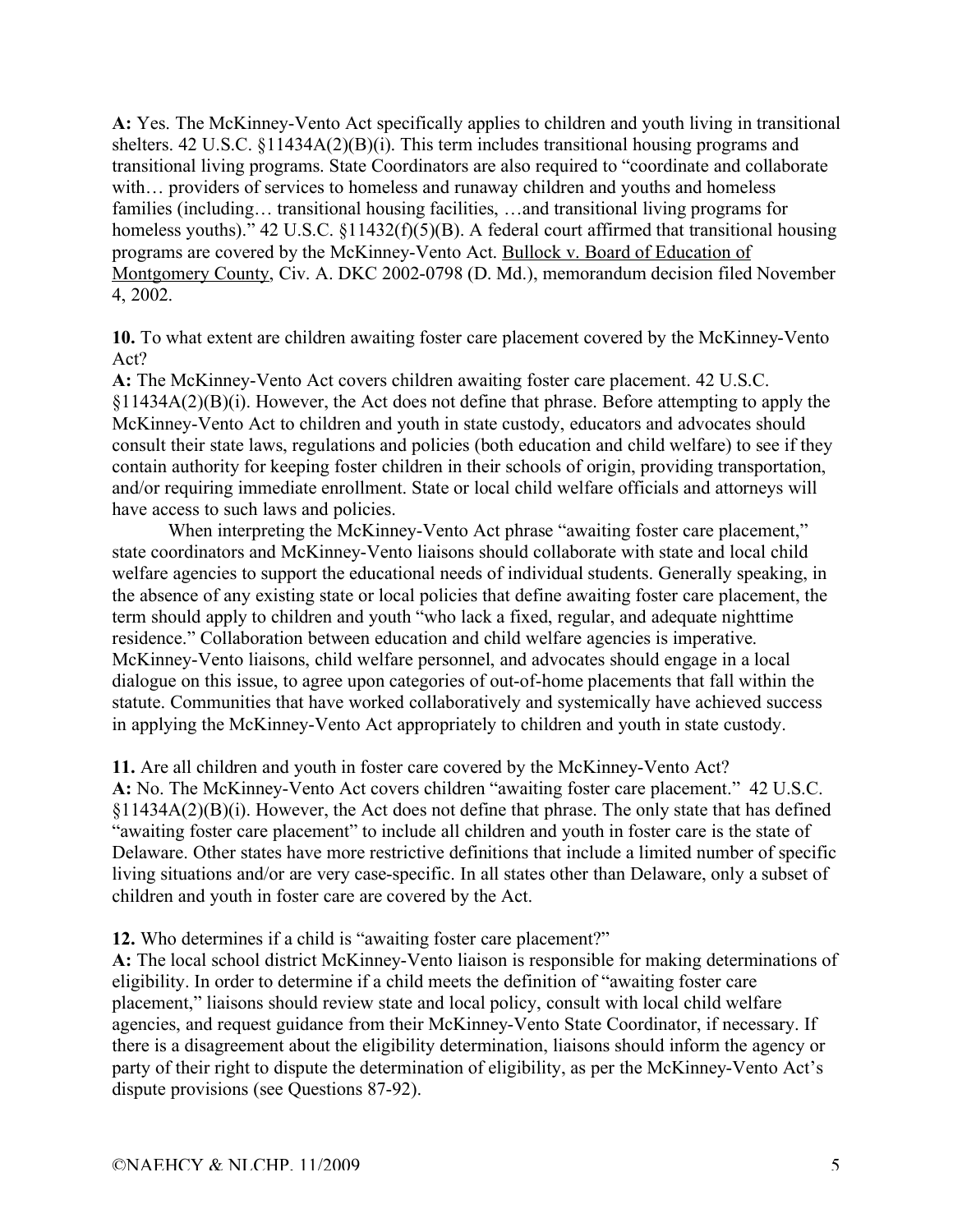**A:** Yes. The McKinney-Vento Act specifically applies to children and youth living in transitional shelters. 42 U.S.C. §11434A(2)(B)(i). This term includes transitional housing programs and transitional living programs. State Coordinators are also required to "coordinate and collaborate with... providers of services to homeless and runaway children and youths and homeless families (including… transitional housing facilities, …and transitional living programs for homeless youths)." 42 U.S.C. §11432(f)(5)(B). A federal court affirmed that transitional housing programs are covered by the McKinney-Vento Act. Bullock v. Board of Education of Montgomery County, Civ. A. DKC 2002-0798 (D. Md.), memorandum decision filed November 4, 2002.

**10.** To what extent are children awaiting foster care placement covered by the McKinney-Vento Act?

**A:** The McKinney-Vento Act covers children awaiting foster care placement. 42 U.S.C.  $§11434A(2)(B)(i)$ . However, the Act does not define that phrase. Before attempting to apply the McKinney-Vento Act to children and youth in state custody, educators and advocates should consult their state laws, regulations and policies (both education and child welfare) to see if they contain authority for keeping foster children in their schools of origin, providing transportation, and/or requiring immediate enrollment. State or local child welfare officials and attorneys will have access to such laws and policies.

When interpreting the McKinney-Vento Act phrase "awaiting foster care placement," state coordinators and McKinney-Vento liaisons should collaborate with state and local child welfare agencies to support the educational needs of individual students. Generally speaking, in the absence of any existing state or local policies that define awaiting foster care placement, the term should apply to children and youth "who lack a fixed, regular, and adequate nighttime residence." Collaboration between education and child welfare agencies is imperative. McKinney-Vento liaisons, child welfare personnel, and advocates should engage in a local dialogue on this issue, to agree upon categories of out-of-home placements that fall within the statute. Communities that have worked collaboratively and systemically have achieved success in applying the McKinney-Vento Act appropriately to children and youth in state custody.

**11.** Are all children and youth in foster care covered by the McKinney-Vento Act? **A:** No. The McKinney-Vento Act covers children "awaiting foster care placement." 42 U.S.C. §11434A(2)(B)(i). However, the Act does not define that phrase. The only state that has defined "awaiting foster care placement" to include all children and youth in foster care is the state of Delaware. Other states have more restrictive definitions that include a limited number of specific living situations and/or are very case-specific. In all states other than Delaware, only a subset of children and youth in foster care are covered by the Act.

**12.** Who determines if a child is "awaiting foster care placement?"

**A:** The local school district McKinney-Vento liaison is responsible for making determinations of eligibility. In order to determine if a child meets the definition of "awaiting foster care placement," liaisons should review state and local policy, consult with local child welfare agencies, and request guidance from their McKinney-Vento State Coordinator, if necessary. If there is a disagreement about the eligibility determination, liaisons should inform the agency or party of their right to dispute the determination of eligibility, as per the McKinney-Vento Act's dispute provisions (see Questions 87-92).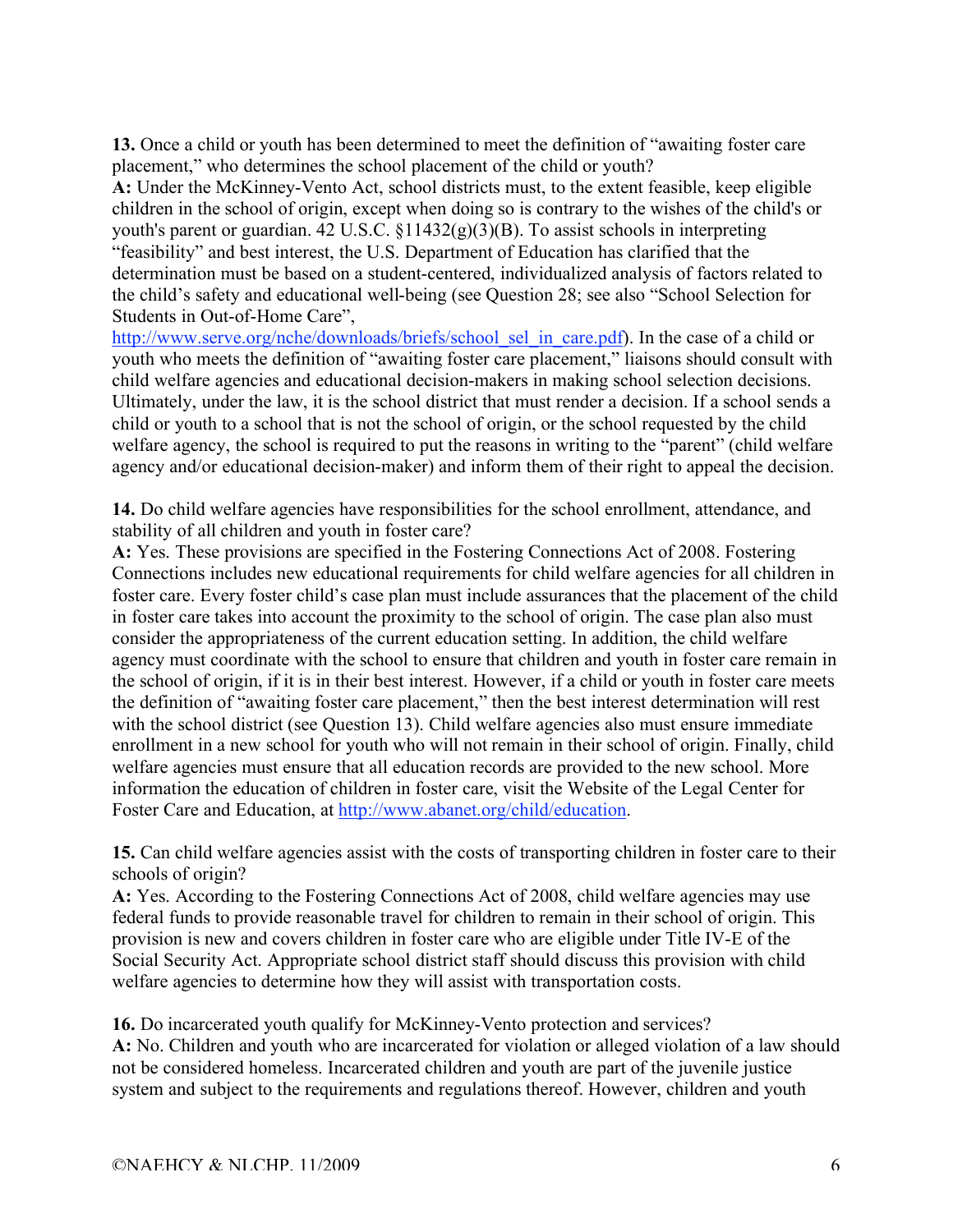**13.** Once a child or youth has been determined to meet the definition of "awaiting foster care placement," who determines the school placement of the child or youth?

**A:** Under the McKinney-Vento Act, school districts must, to the extent feasible, keep eligible children in the school of origin, except when doing so is contrary to the wishes of the child's or youth's parent or guardian. 42 U.S.C. §11432(g)(3)(B). To assist schools in interpreting "feasibility" and best interest, the U.S. Department of Education has clarified that the determination must be based on a student-centered, individualized analysis of factors related to the child's safety and educational well-being (see Question 28; see also "School Selection for Students in Out-of-Home Care",

http://www.serve.org/nche/downloads/briefs/school\_sel\_in\_care.pdf). In the case of a child or youth who meets the definition of "awaiting foster care placement," liaisons should consult with child welfare agencies and educational decision-makers in making school selection decisions. Ultimately, under the law, it is the school district that must render a decision. If a school sends a child or youth to a school that is not the school of origin, or the school requested by the child welfare agency, the school is required to put the reasons in writing to the "parent" (child welfare agency and/or educational decision-maker) and inform them of their right to appeal the decision.

**14.** Do child welfare agencies have responsibilities for the school enrollment, attendance, and stability of all children and youth in foster care?

**A:** Yes. These provisions are specified in the Fostering Connections Act of 2008. Fostering Connections includes new educational requirements for child welfare agencies for all children in foster care. Every foster child's case plan must include assurances that the placement of the child in foster care takes into account the proximity to the school of origin. The case plan also must consider the appropriateness of the current education setting. In addition, the child welfare agency must coordinate with the school to ensure that children and youth in foster care remain in the school of origin, if it is in their best interest. However, if a child or youth in foster care meets the definition of "awaiting foster care placement," then the best interest determination will rest with the school district (see Question 13). Child welfare agencies also must ensure immediate enrollment in a new school for youth who will not remain in their school of origin. Finally, child welfare agencies must ensure that all education records are provided to the new school. More information the education of children in foster care, visit the Website of the Legal Center for Foster Care and Education, at http://www.abanet.org/child/education.

**15.** Can child welfare agencies assist with the costs of transporting children in foster care to their schools of origin?

**A:** Yes. According to the Fostering Connections Act of 2008, child welfare agencies may use federal funds to provide reasonable travel for children to remain in their school of origin. This provision is new and covers children in foster care who are eligible under Title IV-E of the Social Security Act. Appropriate school district staff should discuss this provision with child welfare agencies to determine how they will assist with transportation costs.

**16.** Do incarcerated youth qualify for McKinney-Vento protection and services? **A:** No. Children and youth who are incarcerated for violation or alleged violation of a law should not be considered homeless. Incarcerated children and youth are part of the juvenile justice system and subject to the requirements and regulations thereof. However, children and youth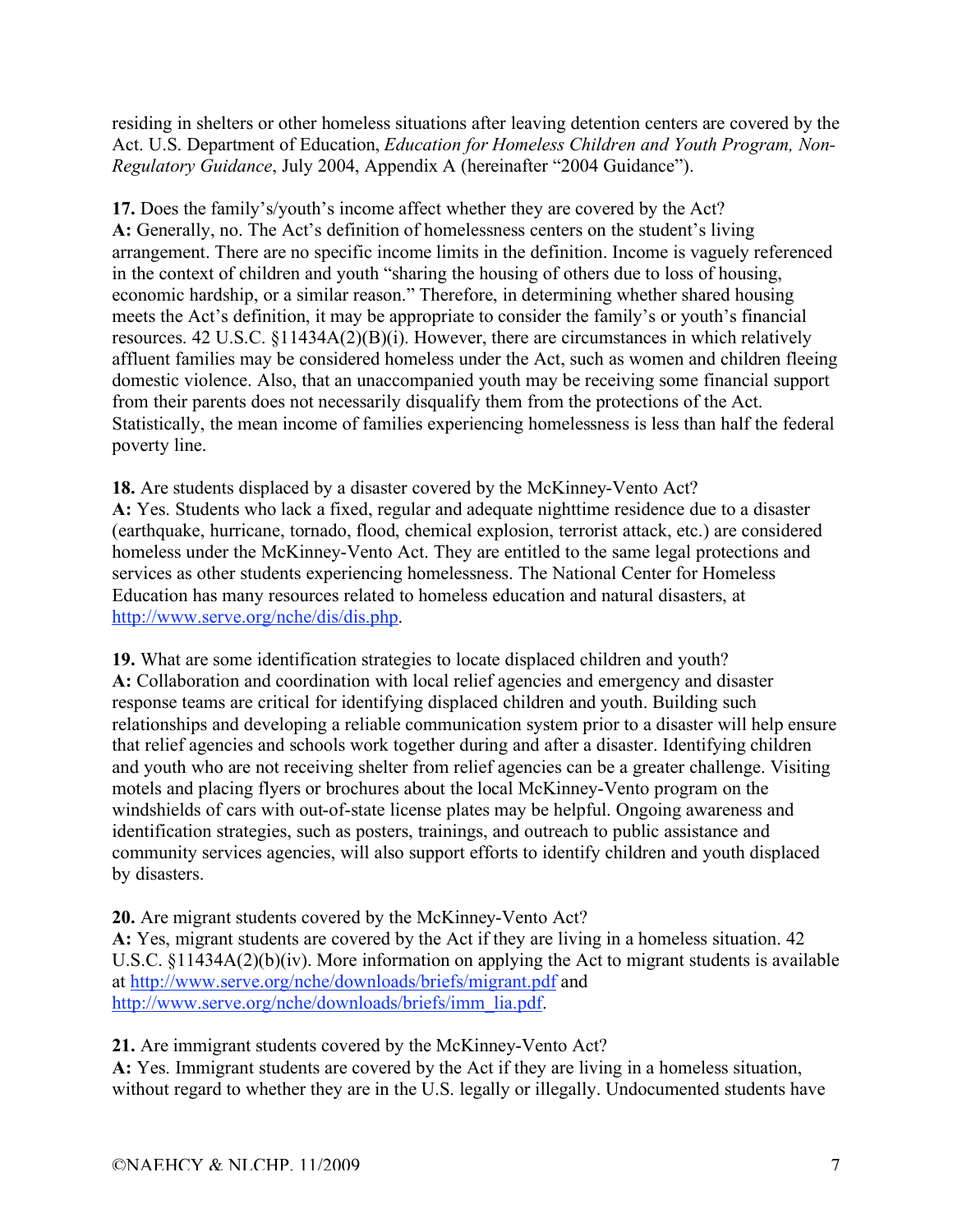residing in shelters or other homeless situations after leaving detention centers are covered by the Act. U.S. Department of Education, *Education for Homeless Children and Youth Program, Non-Regulatory Guidance*, July 2004, Appendix A (hereinafter "2004 Guidance").

**17.** Does the family's/youth's income affect whether they are covered by the Act? **A:** Generally, no. The Act's definition of homelessness centers on the student's living arrangement. There are no specific income limits in the definition. Income is vaguely referenced in the context of children and youth "sharing the housing of others due to loss of housing, economic hardship, or a similar reason." Therefore, in determining whether shared housing meets the Act's definition, it may be appropriate to consider the family's or youth's financial resources. 42 U.S.C. §11434A(2)(B)(i). However, there are circumstances in which relatively affluent families may be considered homeless under the Act, such as women and children fleeing domestic violence. Also, that an unaccompanied youth may be receiving some financial support from their parents does not necessarily disqualify them from the protections of the Act. Statistically, the mean income of families experiencing homelessness is less than half the federal poverty line.

**18.** Are students displaced by a disaster covered by the McKinney-Vento Act? **A:** Yes. Students who lack a fixed, regular and adequate nighttime residence due to a disaster (earthquake, hurricane, tornado, flood, chemical explosion, terrorist attack, etc.) are considered homeless under the McKinney-Vento Act. They are entitled to the same legal protections and services as other students experiencing homelessness. The National Center for Homeless Education has many resources related to homeless education and natural disasters, at http://www.serve.org/nche/dis/dis.php.

**19.** What are some identification strategies to locate displaced children and youth? **A:** Collaboration and coordination with local relief agencies and emergency and disaster response teams are critical for identifying displaced children and youth. Building such relationships and developing a reliable communication system prior to a disaster will help ensure that relief agencies and schools work together during and after a disaster. Identifying children and youth who are not receiving shelter from relief agencies can be a greater challenge. Visiting motels and placing flyers or brochures about the local McKinney-Vento program on the windshields of cars with out-of-state license plates may be helpful. Ongoing awareness and identification strategies, such as posters, trainings, and outreach to public assistance and community services agencies, will also support efforts to identify children and youth displaced by disasters.

**20.** Are migrant students covered by the McKinney-Vento Act?

**A:** Yes, migrant students are covered by the Act if they are living in a homeless situation. 42 U.S.C. §11434A(2)(b)(iv). More information on applying the Act to migrant students is available at http://www.serve.org/nche/downloads/briefs/migrant.pdf and http://www.serve.org/nche/downloads/briefs/imm\_lia.pdf.

**21.** Are immigrant students covered by the McKinney-Vento Act?

**A:** Yes. Immigrant students are covered by the Act if they are living in a homeless situation, without regard to whether they are in the U.S. legally or illegally. Undocumented students have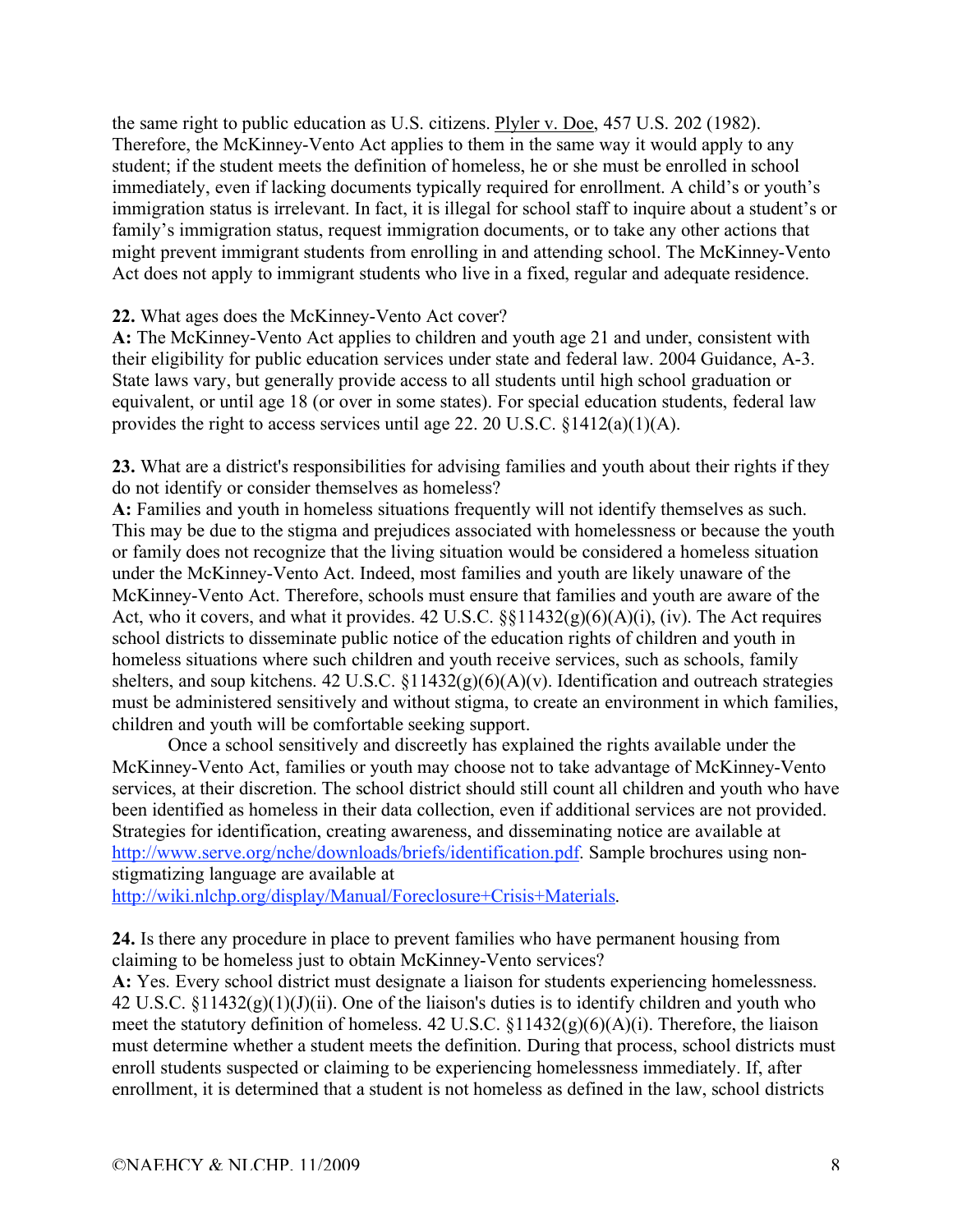the same right to public education as U.S. citizens. Plyler v. Doe, 457 U.S. 202 (1982). Therefore, the McKinney-Vento Act applies to them in the same way it would apply to any student; if the student meets the definition of homeless, he or she must be enrolled in school immediately, even if lacking documents typically required for enrollment. A child's or youth's immigration status is irrelevant. In fact, it is illegal for school staff to inquire about a student's or family's immigration status, request immigration documents, or to take any other actions that might prevent immigrant students from enrolling in and attending school. The McKinney-Vento Act does not apply to immigrant students who live in a fixed, regular and adequate residence.

### **22.** What ages does the McKinney-Vento Act cover?

**A:** The McKinney-Vento Act applies to children and youth age 21 and under, consistent with their eligibility for public education services under state and federal law. 2004 Guidance, A-3. State laws vary, but generally provide access to all students until high school graduation or equivalent, or until age 18 (or over in some states). For special education students, federal law provides the right to access services until age 22. 20 U.S.C. §1412(a)(1)(A).

**23.** What are a district's responsibilities for advising families and youth about their rights if they do not identify or consider themselves as homeless?

**A:** Families and youth in homeless situations frequently will not identify themselves as such. This may be due to the stigma and prejudices associated with homelessness or because the youth or family does not recognize that the living situation would be considered a homeless situation under the McKinney-Vento Act. Indeed, most families and youth are likely unaware of the McKinney-Vento Act. Therefore, schools must ensure that families and youth are aware of the Act, who it covers, and what it provides. 42 U.S.C. §§11432(g)(6)(A)(i), (iv). The Act requires school districts to disseminate public notice of the education rights of children and youth in homeless situations where such children and youth receive services, such as schools, family shelters, and soup kitchens. 42 U.S.C. §11432(g)(6)(A)(v). Identification and outreach strategies must be administered sensitively and without stigma, to create an environment in which families, children and youth will be comfortable seeking support.

Once a school sensitively and discreetly has explained the rights available under the McKinney-Vento Act, families or youth may choose not to take advantage of McKinney-Vento services, at their discretion. The school district should still count all children and youth who have been identified as homeless in their data collection, even if additional services are not provided. Strategies for identification, creating awareness, and disseminating notice are available at http://www.serve.org/nche/downloads/briefs/identification.pdf. Sample brochures using nonstigmatizing language are available at

http://wiki.nlchp.org/display/Manual/Foreclosure+Crisis+Materials.

**24.** Is there any procedure in place to prevent families who have permanent housing from claiming to be homeless just to obtain McKinney-Vento services?

**A:** Yes. Every school district must designate a liaison for students experiencing homelessness. 42 U.S.C.  $\S11432(g)(1)(J)(ii)$ . One of the liaison's duties is to identify children and youth who meet the statutory definition of homeless. 42 U.S.C. §11432(g)(6)(A)(i). Therefore, the liaison must determine whether a student meets the definition. During that process, school districts must enroll students suspected or claiming to be experiencing homelessness immediately. If, after enrollment, it is determined that a student is not homeless as defined in the law, school districts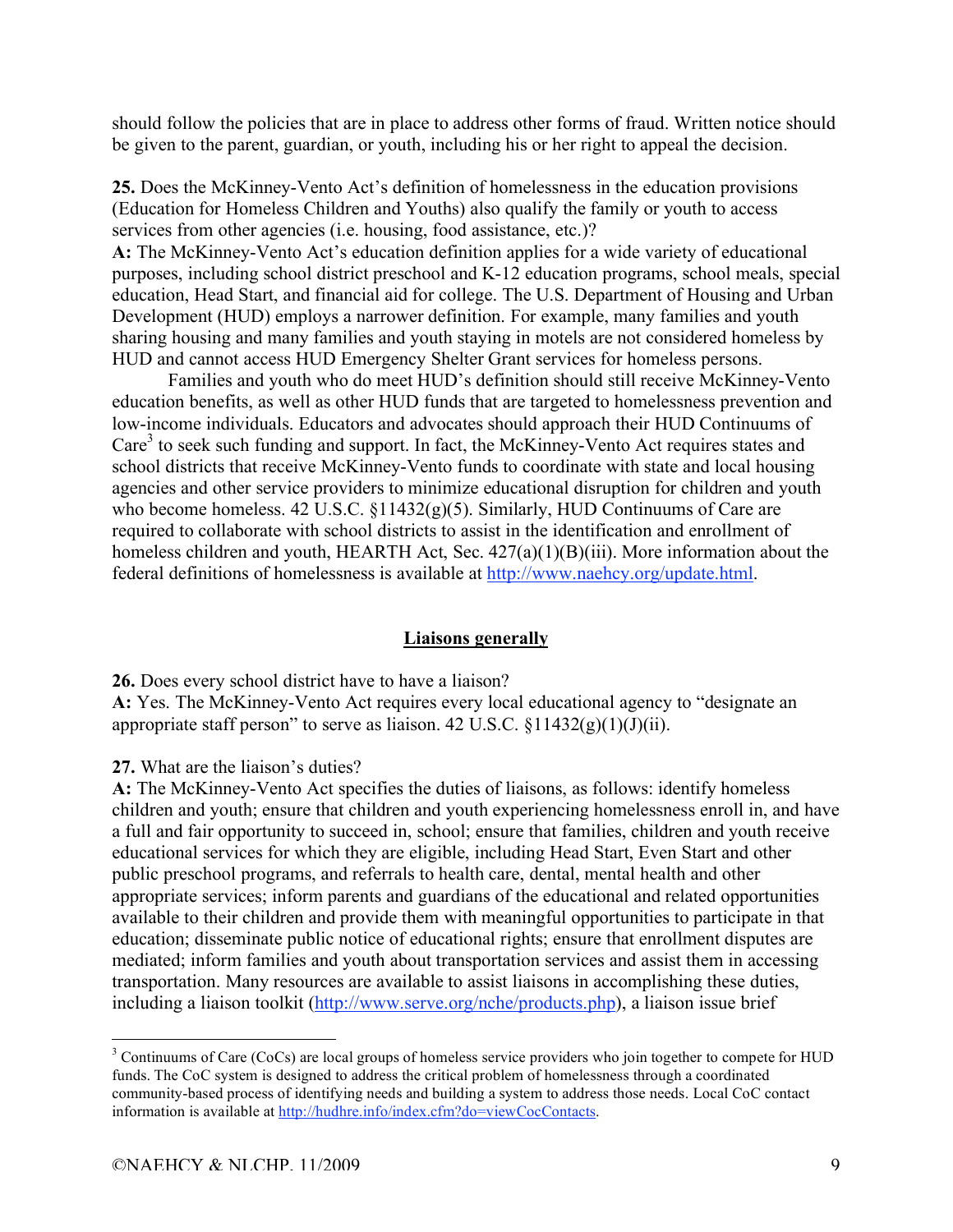<span id="page-8-0"></span>should follow the policies that are in place to address other forms of fraud. Written notice should be given to the parent, guardian, or youth, including his or her right to appeal the decision.

**25.** Does the McKinney-Vento Act's definition of homelessness in the education provisions (Education for Homeless Children and Youths) also qualify the family or youth to access services from other agencies (i.e. housing, food assistance, etc.)?

**A:** The McKinney-Vento Act's education definition applies for a wide variety of educational purposes, including school district preschool and K-12 education programs, school meals, special education, Head Start, and financial aid for college. The U.S. Department of Housing and Urban Development (HUD) employs a narrower definition. For example, many families and youth sharing housing and many families and youth staying in motels are not considered homeless by HUD and cannot access HUD Emergency Shelter Grant services for homeless persons.

Families and youth who do meet HUD's definition should still receive McKinney-Vento education benefits, as well as other HUD funds that are targeted to homelessness prevention and low-income individuals. Educators and advocates should approach their HUD Continuums of Care<sup>3</sup> to seek such funding and support. In fact, the McKinney-Vento Act requires states and school districts that receive McKinney-Vento funds to coordinate with state and local housing agencies and other service providers to minimize educational disruption for children and youth who become homeless. 42 U.S.C. §11432(g)(5). Similarly, HUD Continuums of Care are required to collaborate with school districts to assist in the identification and enrollment of homeless children and youth, HEARTH Act, Sec.  $427(a)(1)(B)(iii)$ . More information about the federal definitions of homelessness is available at http://www.naehcy.org/update.html.

#### **Liaisons generally**

**26.** Does every school district have to have a liaison?

**A:** Yes. The McKinney-Vento Act requires every local educational agency to "designate an appropriate staff person" to serve as liaison.  $42 \text{ U.S.C. } \S 11432(g)(1)(J)(ii)$ .

#### **27.** What are the liaison's duties?

**A:** The McKinney-Vento Act specifies the duties of liaisons, as follows: identify homeless children and youth; ensure that children and youth experiencing homelessness enroll in, and have a full and fair opportunity to succeed in, school; ensure that families, children and youth receive educational services for which they are eligible, including Head Start, Even Start and other public preschool programs, and referrals to health care, dental, mental health and other appropriate services; inform parents and guardians of the educational and related opportunities available to their children and provide them with meaningful opportunities to participate in that education; disseminate public notice of educational rights; ensure that enrollment disputes are mediated; inform families and youth about transportation services and assist them in accessing transportation. Many resources are available to assist liaisons in accomplishing these duties, including a liaison toolkit (http://www.serve.org/nche/products.php), a liaison issue brief

<sup>&</sup>lt;sup>2</sup><br>3 <sup>3</sup> Continuums of Care (CoCs) are local groups of homeless service providers who join together to compete for HUD funds. The CoC system is designed to address the critical problem of homelessness through a coordinated community-based process of identifying needs and building a system to address those needs. Local CoC contact information is available at http://hudhre.info/index.cfm?do=viewCocContacts.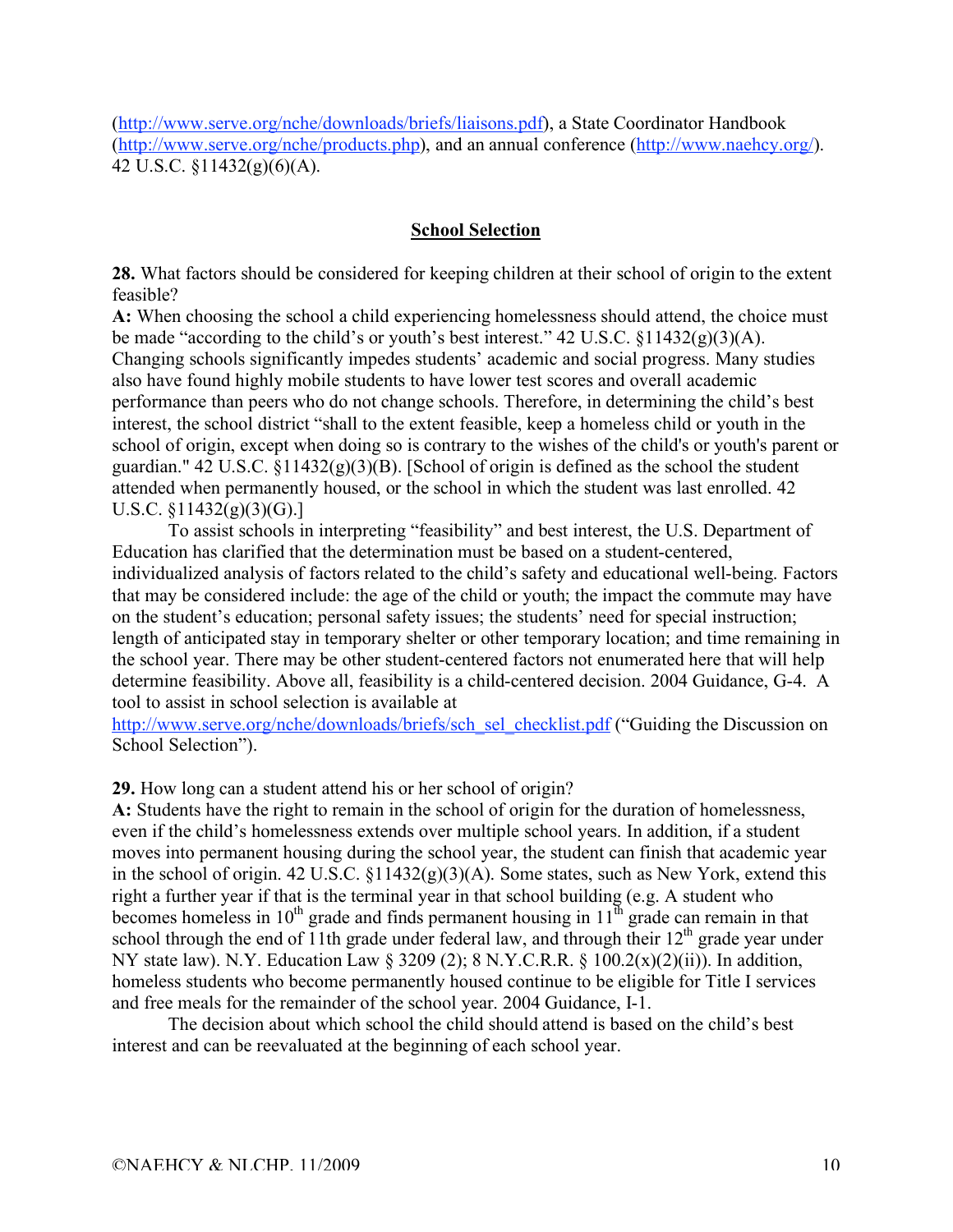<span id="page-9-0"></span>(http://www.serve.org/nche/downloads/briefs/liaisons.pdf), a State Coordinator Handbook (http://www.serve.org/nche/products.php), and an annual conference (http://www.naehcy.org/). 42 U.S.C. §11432(g)(6)(A).

#### **School Selection**

**28.** What factors should be considered for keeping children at their school of origin to the extent feasible?

**A:** When choosing the school a child experiencing homelessness should attend, the choice must be made "according to the child's or youth's best interest." 42 U.S.C. §11432(g)(3)(A). Changing schools significantly impedes students' academic and social progress. Many studies also have found highly mobile students to have lower test scores and overall academic performance than peers who do not change schools. Therefore, in determining the child's best interest, the school district "shall to the extent feasible, keep a homeless child or youth in the school of origin, except when doing so is contrary to the wishes of the child's or youth's parent or guardian."  $42 \text{ U.S.C. } \frac{811432(g)(3)(B)}{B}$ . [School of origin is defined as the school the student attended when permanently housed, or the school in which the student was last enrolled. 42 U.S.C.  $\S 11432(g)(3)(G)$ .

To assist schools in interpreting "feasibility" and best interest, the U.S. Department of Education has clarified that the determination must be based on a student-centered, individualized analysis of factors related to the child's safety and educational well-being. Factors that may be considered include: the age of the child or youth; the impact the commute may have on the student's education; personal safety issues; the students' need for special instruction; length of anticipated stay in temporary shelter or other temporary location; and time remaining in the school year. There may be other student-centered factors not enumerated here that will help determine feasibility. Above all, feasibility is a child-centered decision. 2004 Guidance, G-4. A tool to assist in school selection is available at

http://www.serve.org/nche/downloads/briefs/sch\_sel\_checklist.pdf ("Guiding the Discussion on School Selection").

**29.** How long can a student attend his or her school of origin?

**A:** Students have the right to remain in the school of origin for the duration of homelessness, even if the child's homelessness extends over multiple school years. In addition, if a student moves into permanent housing during the school year, the student can finish that academic year in the school of origin. 42 U.S.C. §11432(g)(3)(A). Some states, such as New York, extend this right a further year if that is the terminal year in that school building (e.g. A student who becomes homeless in 10<sup>th</sup> grade and finds permanent housing in 11<sup>th</sup> grade can remain in that school through the end of 11th grade under federal law, and through their  $12<sup>th</sup>$  grade year under NY state law). N.Y. Education Law § 3209 (2); 8 N.Y.C.R.R. § 100.2(x)(2)(ii)). In addition, homeless students who become permanently housed continue to be eligible for Title I services and free meals for the remainder of the school year. 2004 Guidance, I-1.

The decision about which school the child should attend is based on the child's best interest and can be reevaluated at the beginning of each school year.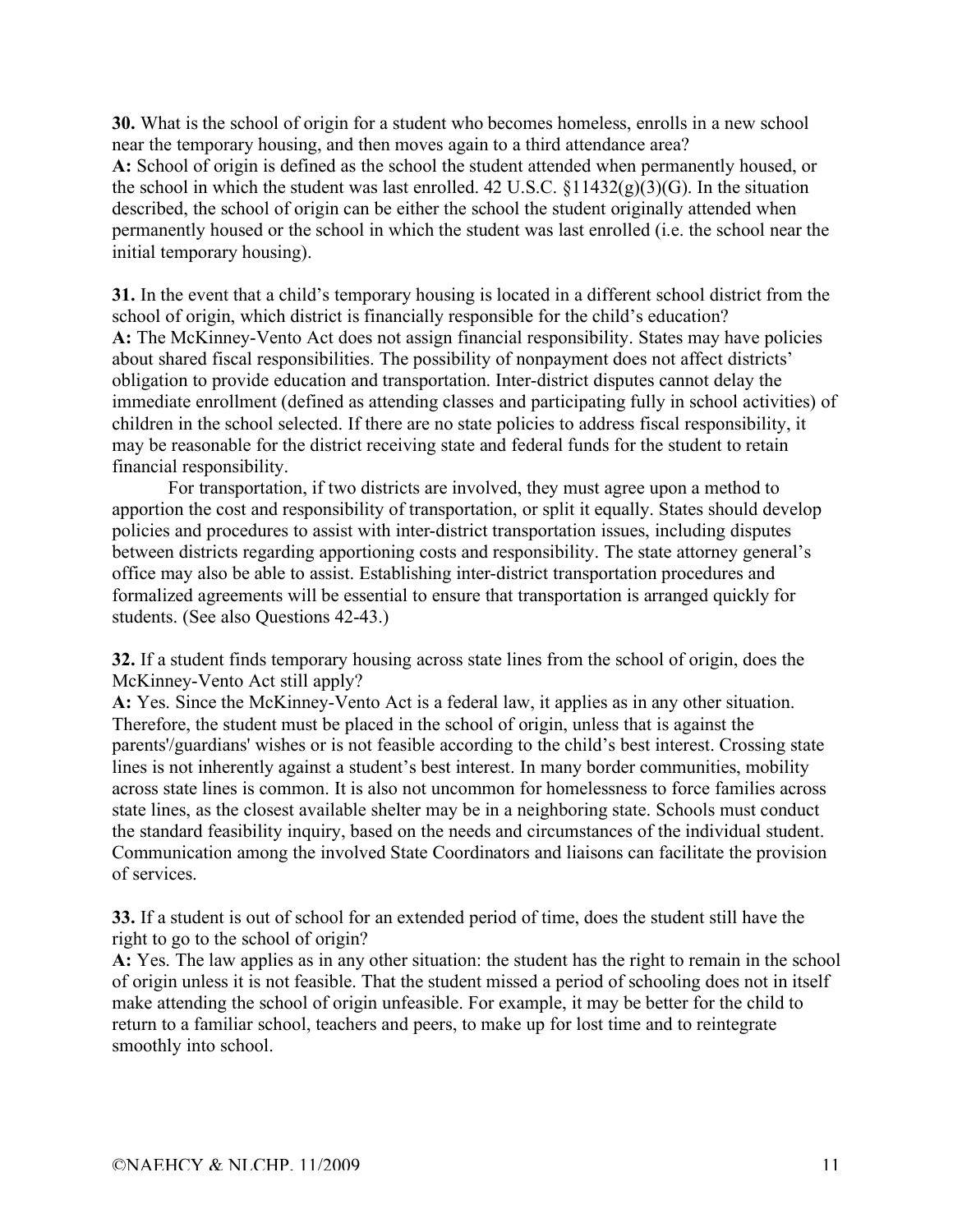**30.** What is the school of origin for a student who becomes homeless, enrolls in a new school near the temporary housing, and then moves again to a third attendance area? **A:** School of origin is defined as the school the student attended when permanently housed, or the school in which the student was last enrolled. 42 U.S.C.  $\S11432(g)(3)(G)$ . In the situation described, the school of origin can be either the school the student originally attended when permanently housed or the school in which the student was last enrolled (i.e. the school near the initial temporary housing).

**31.** In the event that a child's temporary housing is located in a different school district from the school of origin, which district is financially responsible for the child's education? **A:** The McKinney-Vento Act does not assign financial responsibility. States may have policies about shared fiscal responsibilities. The possibility of nonpayment does not affect districts' obligation to provide education and transportation. Inter-district disputes cannot delay the immediate enrollment (defined as attending classes and participating fully in school activities) of children in the school selected. If there are no state policies to address fiscal responsibility, it may be reasonable for the district receiving state and federal funds for the student to retain financial responsibility.

For transportation, if two districts are involved, they must agree upon a method to apportion the cost and responsibility of transportation, or split it equally. States should develop policies and procedures to assist with inter-district transportation issues, including disputes between districts regarding apportioning costs and responsibility. The state attorney general's office may also be able to assist. Establishing inter-district transportation procedures and formalized agreements will be essential to ensure that transportation is arranged quickly for students. (See also Questions 42-43.)

**32.** If a student finds temporary housing across state lines from the school of origin, does the McKinney-Vento Act still apply?

**A:** Yes. Since the McKinney-Vento Act is a federal law, it applies as in any other situation. Therefore, the student must be placed in the school of origin, unless that is against the parents'/guardians' wishes or is not feasible according to the child's best interest. Crossing state lines is not inherently against a student's best interest. In many border communities, mobility across state lines is common. It is also not uncommon for homelessness to force families across state lines, as the closest available shelter may be in a neighboring state. Schools must conduct the standard feasibility inquiry, based on the needs and circumstances of the individual student. Communication among the involved State Coordinators and liaisons can facilitate the provision of services.

**33.** If a student is out of school for an extended period of time, does the student still have the right to go to the school of origin?

**A:** Yes. The law applies as in any other situation: the student has the right to remain in the school of origin unless it is not feasible. That the student missed a period of schooling does not in itself make attending the school of origin unfeasible. For example, it may be better for the child to return to a familiar school, teachers and peers, to make up for lost time and to reintegrate smoothly into school.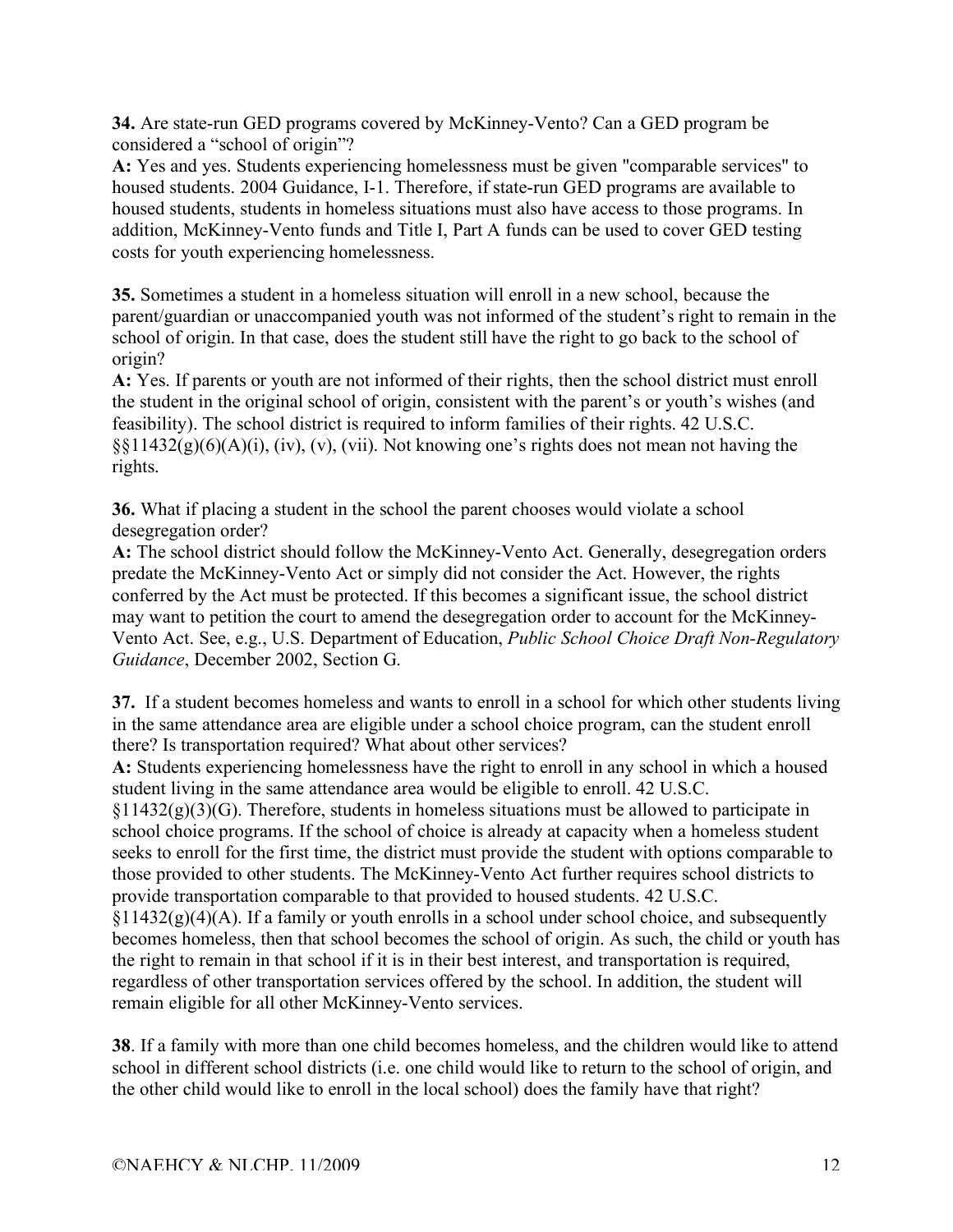**34.** Are state-run GED programs covered by McKinney-Vento? Can a GED program be considered a "school of origin"?

**A:** Yes and yes. Students experiencing homelessness must be given "comparable services" to housed students. 2004 Guidance, I-1. Therefore, if state-run GED programs are available to housed students, students in homeless situations must also have access to those programs. In addition, McKinney-Vento funds and Title I, Part A funds can be used to cover GED testing costs for youth experiencing homelessness.

**35.** Sometimes a student in a homeless situation will enroll in a new school, because the parent/guardian or unaccompanied youth was not informed of the student's right to remain in the school of origin. In that case, does the student still have the right to go back to the school of origin?

**A:** Yes. If parents or youth are not informed of their rights, then the school district must enroll the student in the original school of origin, consistent with the parent's or youth's wishes (and feasibility). The school district is required to inform families of their rights. 42 U.S.C.  $\S\S11432(g)(6)(A)(i)$ , (iv), (v), (vii). Not knowing one's rights does not mean not having the rights.

**36.** What if placing a student in the school the parent chooses would violate a school desegregation order?

**A:** The school district should follow the McKinney-Vento Act. Generally, desegregation orders predate the McKinney-Vento Act or simply did not consider the Act. However, the rights conferred by the Act must be protected. If this becomes a significant issue, the school district may want to petition the court to amend the desegregation order to account for the McKinney-Vento Act. See, e.g., U.S. Department of Education, *Public School Choice Draft Non-Regulatory Guidance*, December 2002, Section G.

**37.** If a student becomes homeless and wants to enroll in a school for which other students living in the same attendance area are eligible under a school choice program, can the student enroll there? Is transportation required? What about other services?

**A:** Students experiencing homelessness have the right to enroll in any school in which a housed student living in the same attendance area would be eligible to enroll. 42 U.S.C.

 $\S11432(g)(3)(G)$ . Therefore, students in homeless situations must be allowed to participate in school choice programs. If the school of choice is already at capacity when a homeless student seeks to enroll for the first time, the district must provide the student with options comparable to those provided to other students. The McKinney-Vento Act further requires school districts to provide transportation comparable to that provided to housed students. 42 U.S.C.

 $\frac{11432(g)(4)(A)}{I}$ . If a family or youth enrolls in a school under school choice, and subsequently becomes homeless, then that school becomes the school of origin. As such, the child or youth has the right to remain in that school if it is in their best interest, and transportation is required, regardless of other transportation services offered by the school. In addition, the student will remain eligible for all other McKinney-Vento services.

**38**. If a family with more than one child becomes homeless, and the children would like to attend school in different school districts (i.e. one child would like to return to the school of origin, and the other child would like to enroll in the local school) does the family have that right?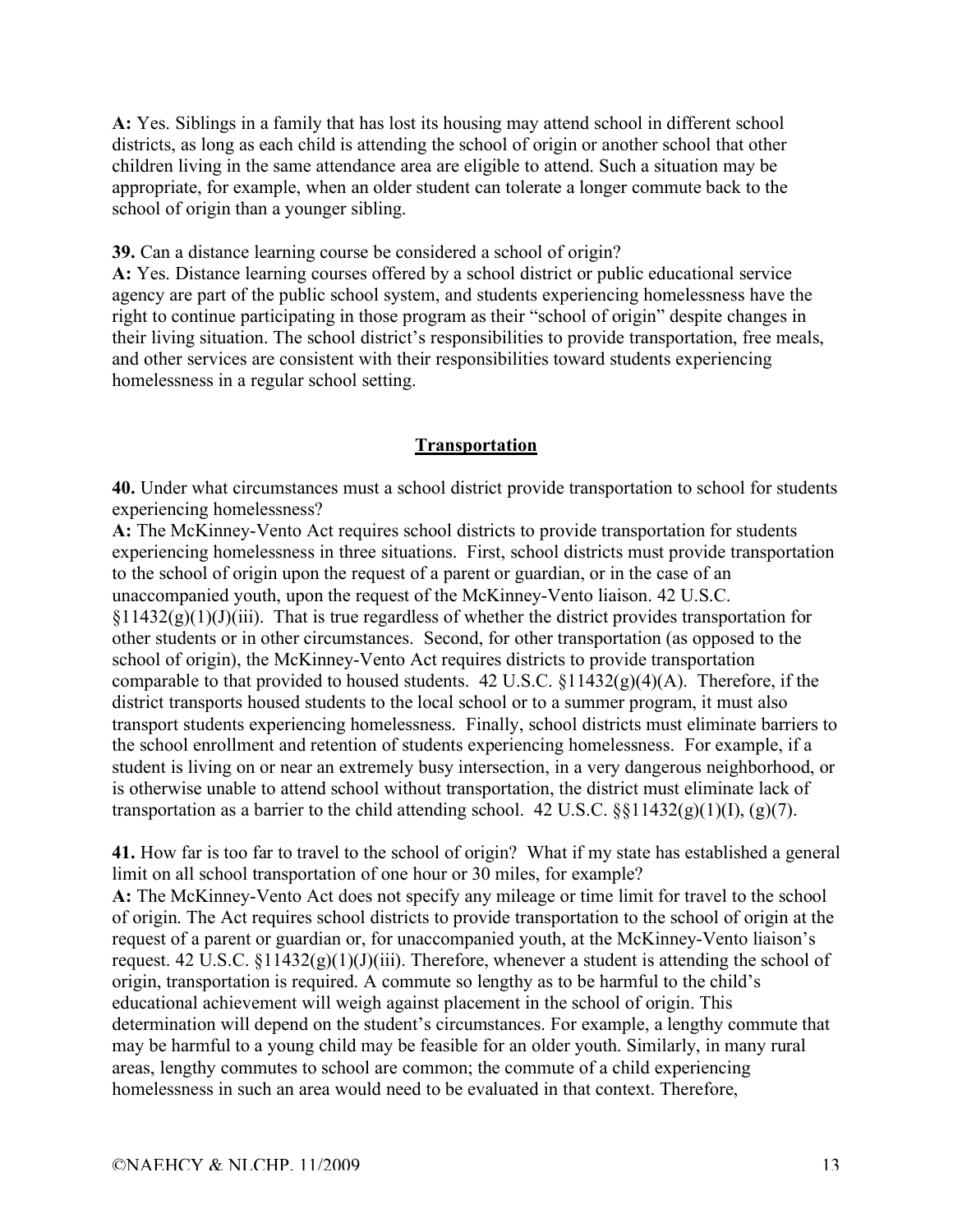<span id="page-12-0"></span>**A:** Yes. Siblings in a family that has lost its housing may attend school in different school districts, as long as each child is attending the school of origin or another school that other children living in the same attendance area are eligible to attend. Such a situation may be appropriate, for example, when an older student can tolerate a longer commute back to the school of origin than a younger sibling.

**39.** Can a distance learning course be considered a school of origin?

**A:** Yes. Distance learning courses offered by a school district or public educational service agency are part of the public school system, and students experiencing homelessness have the right to continue participating in those program as their "school of origin" despite changes in their living situation. The school district's responsibilities to provide transportation, free meals, and other services are consistent with their responsibilities toward students experiencing homelessness in a regular school setting.

### **Transportation**

**40.** Under what circumstances must a school district provide transportation to school for students experiencing homelessness?

**A:** The McKinney-Vento Act requires school districts to provide transportation for students experiencing homelessness in three situations. First, school districts must provide transportation to the school of origin upon the request of a parent or guardian, or in the case of an unaccompanied youth, upon the request of the McKinney-Vento liaison. 42 U.S.C.  $\S11432(g)(1)(J)(iii)$ . That is true regardless of whether the district provides transportation for other students or in other circumstances. Second, for other transportation (as opposed to the school of origin), the McKinney-Vento Act requires districts to provide transportation comparable to that provided to housed students.  $42 \text{ U.S.C. } $11432(g)(4)(\text{A})$ . Therefore, if the district transports housed students to the local school or to a summer program, it must also transport students experiencing homelessness. Finally, school districts must eliminate barriers to the school enrollment and retention of students experiencing homelessness. For example, if a student is living on or near an extremely busy intersection, in a very dangerous neighborhood, or is otherwise unable to attend school without transportation, the district must eliminate lack of transportation as a barrier to the child attending school. 42 U.S.C.  $\S$ [1432(g)(1)(I), (g)(7).

**41.** How far is too far to travel to the school of origin? What if my state has established a general limit on all school transportation of one hour or 30 miles, for example? **A:** The McKinney-Vento Act does not specify any mileage or time limit for travel to the school of origin. The Act requires school districts to provide transportation to the school of origin at the request of a parent or guardian or, for unaccompanied youth, at the McKinney-Vento liaison's request. 42 U.S.C.  $\S11432(g)(1)(J)(iii)$ . Therefore, whenever a student is attending the school of origin, transportation is required. A commute so lengthy as to be harmful to the child's educational achievement will weigh against placement in the school of origin. This determination will depend on the student's circumstances. For example, a lengthy commute that may be harmful to a young child may be feasible for an older youth. Similarly, in many rural areas, lengthy commutes to school are common; the commute of a child experiencing homelessness in such an area would need to be evaluated in that context. Therefore,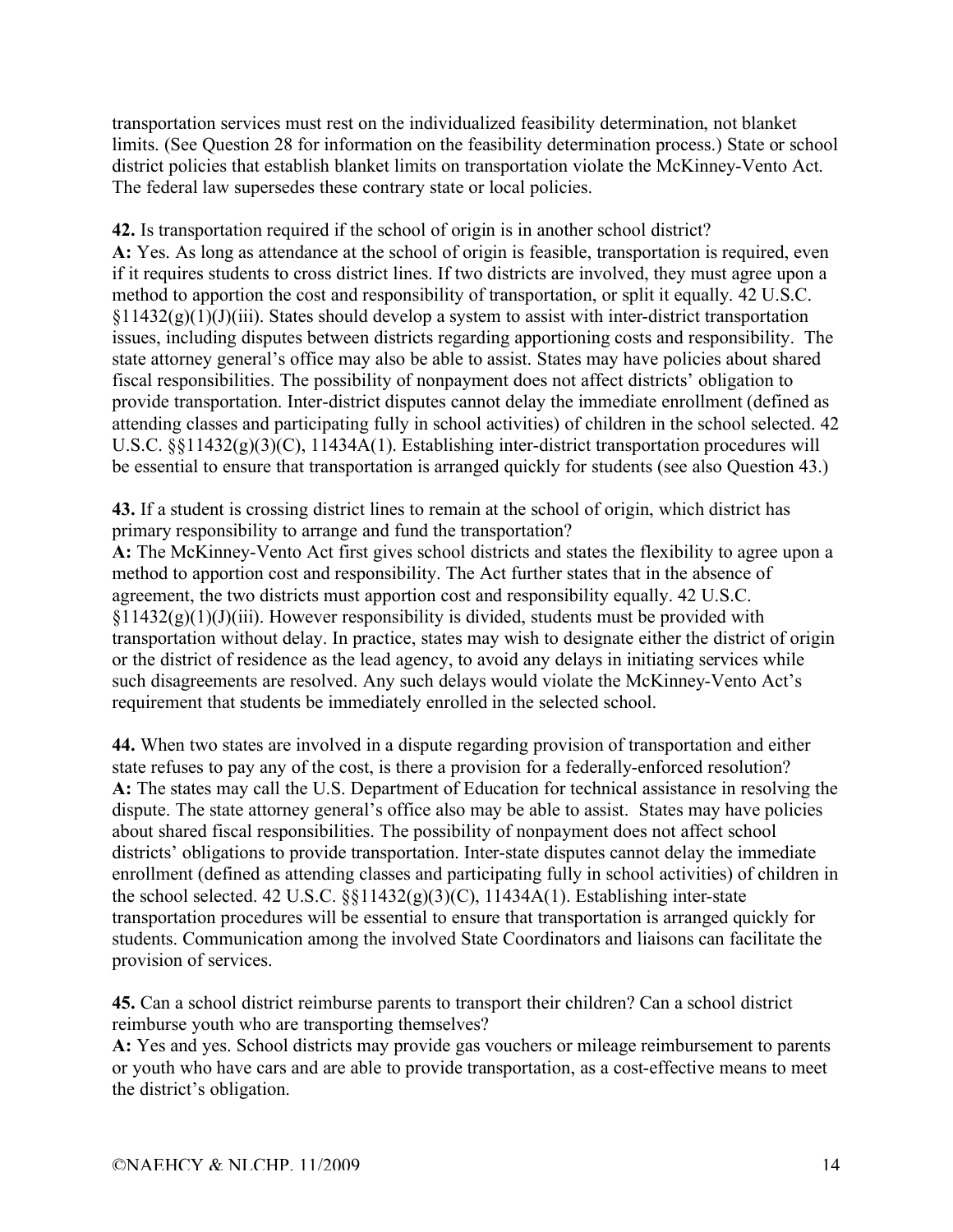transportation services must rest on the individualized feasibility determination, not blanket limits. (See Question 28 for information on the feasibility determination process.) State or school district policies that establish blanket limits on transportation violate the McKinney-Vento Act. The federal law supersedes these contrary state or local policies.

**42.** Is transportation required if the school of origin is in another school district? **A:** Yes. As long as attendance at the school of origin is feasible, transportation is required, even if it requires students to cross district lines. If two districts are involved, they must agree upon a method to apportion the cost and responsibility of transportation, or split it equally. 42 U.S.C.  $\S11432(g)(1)(J)(iii)$ . States should develop a system to assist with inter-district transportation issues, including disputes between districts regarding apportioning costs and responsibility. The state attorney general's office may also be able to assist. States may have policies about shared fiscal responsibilities. The possibility of nonpayment does not affect districts' obligation to provide transportation. Inter-district disputes cannot delay the immediate enrollment (defined as attending classes and participating fully in school activities) of children in the school selected. 42 U.S.C. §§11432(g)(3)(C), 11434A(1). Establishing inter-district transportation procedures will be essential to ensure that transportation is arranged quickly for students (see also Question 43.)

**43.** If a student is crossing district lines to remain at the school of origin, which district has primary responsibility to arrange and fund the transportation?

**A:** The McKinney-Vento Act first gives school districts and states the flexibility to agree upon a method to apportion cost and responsibility. The Act further states that in the absence of agreement, the two districts must apportion cost and responsibility equally. 42 U.S.C.  $\S11432(g)(1)(J)(iii)$ . However responsibility is divided, students must be provided with transportation without delay. In practice, states may wish to designate either the district of origin or the district of residence as the lead agency, to avoid any delays in initiating services while such disagreements are resolved. Any such delays would violate the McKinney-Vento Act's requirement that students be immediately enrolled in the selected school.

**44.** When two states are involved in a dispute regarding provision of transportation and either state refuses to pay any of the cost, is there a provision for a federally-enforced resolution? **A:** The states may call the U.S. Department of Education for technical assistance in resolving the dispute. The state attorney general's office also may be able to assist. States may have policies about shared fiscal responsibilities. The possibility of nonpayment does not affect school districts' obligations to provide transportation. Inter-state disputes cannot delay the immediate enrollment (defined as attending classes and participating fully in school activities) of children in the school selected. 42 U.S.C.  $\S$ {811432(g)(3)(C), 11434A(1). Establishing inter-state transportation procedures will be essential to ensure that transportation is arranged quickly for students. Communication among the involved State Coordinators and liaisons can facilitate the provision of services.

**45.** Can a school district reimburse parents to transport their children? Can a school district reimburse youth who are transporting themselves?

**A:** Yes and yes. School districts may provide gas vouchers or mileage reimbursement to parents or youth who have cars and are able to provide transportation, as a cost-effective means to meet the district's obligation.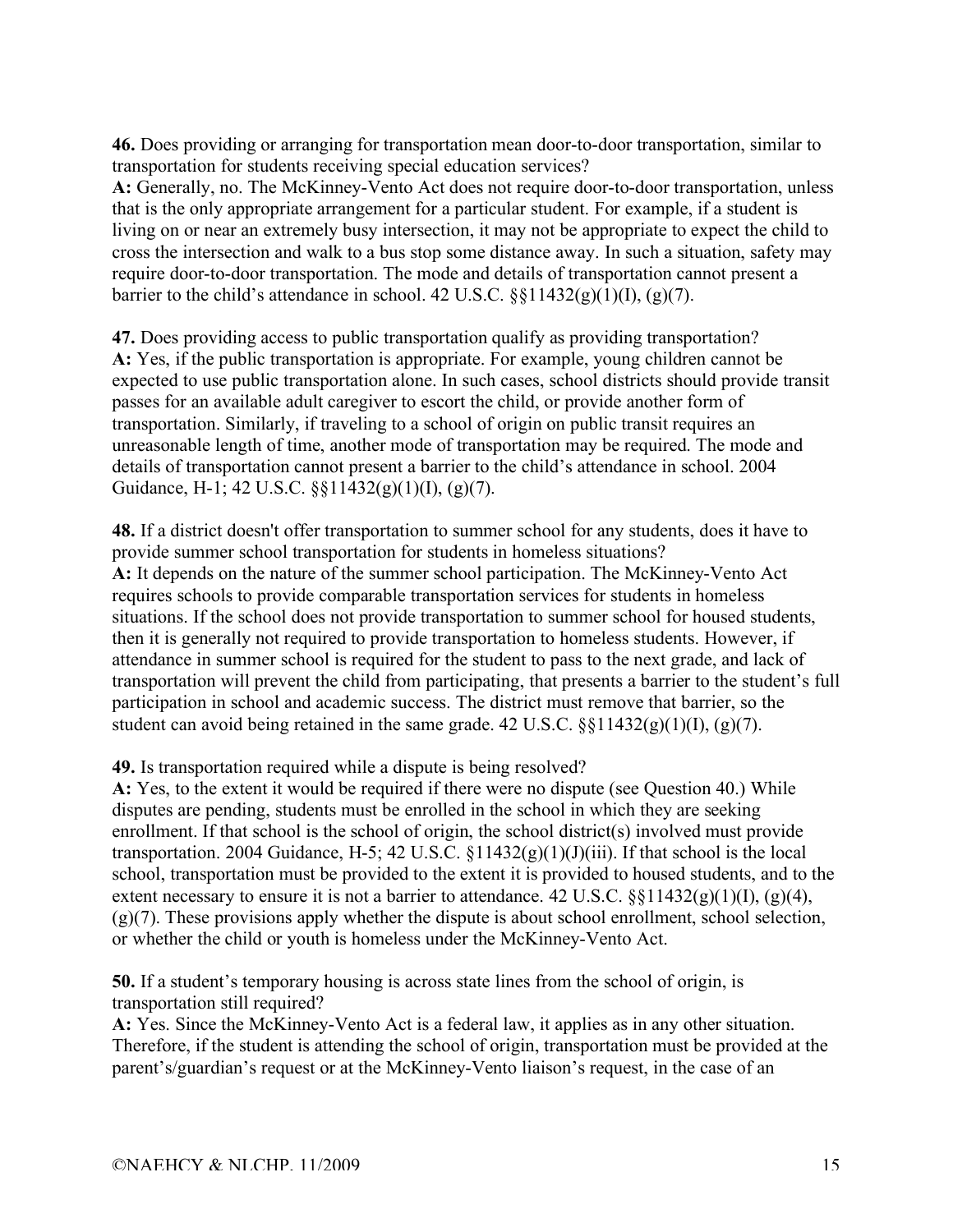**46.** Does providing or arranging for transportation mean door-to-door transportation, similar to transportation for students receiving special education services?

**A:** Generally, no. The McKinney-Vento Act does not require door-to-door transportation, unless that is the only appropriate arrangement for a particular student. For example, if a student is living on or near an extremely busy intersection, it may not be appropriate to expect the child to cross the intersection and walk to a bus stop some distance away. In such a situation, safety may require door-to-door transportation. The mode and details of transportation cannot present a barrier to the child's attendance in school. 42 U.S.C.  $\S$ [1432(g)(1)(I), (g)(7).

**47.** Does providing access to public transportation qualify as providing transportation? **A:** Yes, if the public transportation is appropriate. For example, young children cannot be expected to use public transportation alone. In such cases, school districts should provide transit passes for an available adult caregiver to escort the child, or provide another form of transportation. Similarly, if traveling to a school of origin on public transit requires an unreasonable length of time, another mode of transportation may be required. The mode and details of transportation cannot present a barrier to the child's attendance in school. 2004 Guidance, H-1; 42 U.S.C. §§11432(g)(1)(I), (g)(7).

**48.** If a district doesn't offer transportation to summer school for any students, does it have to provide summer school transportation for students in homeless situations? **A:** It depends on the nature of the summer school participation. The McKinney-Vento Act requires schools to provide comparable transportation services for students in homeless situations. If the school does not provide transportation to summer school for housed students, then it is generally not required to provide transportation to homeless students. However, if attendance in summer school is required for the student to pass to the next grade, and lack of transportation will prevent the child from participating, that presents a barrier to the student's full participation in school and academic success. The district must remove that barrier, so the student can avoid being retained in the same grade.  $42 \text{ U.S.C. }$  §§11432(g)(1)(I), (g)(7).

**49.** Is transportation required while a dispute is being resolved?

**A:** Yes, to the extent it would be required if there were no dispute (see Question 40.) While disputes are pending, students must be enrolled in the school in which they are seeking enrollment. If that school is the school of origin, the school district(s) involved must provide transportation. 2004 Guidance, H-5; 42 U.S.C.  $\S11432(g)(1)(J)(iii)$ . If that school is the local school, transportation must be provided to the extent it is provided to housed students, and to the extent necessary to ensure it is not a barrier to attendance. 42 U.S.C. §§11432(g)(1)(I), (g)(4), (g)(7). These provisions apply whether the dispute is about school enrollment, school selection, or whether the child or youth is homeless under the McKinney-Vento Act.

**50.** If a student's temporary housing is across state lines from the school of origin, is transportation still required?

**A:** Yes. Since the McKinney-Vento Act is a federal law, it applies as in any other situation. Therefore, if the student is attending the school of origin, transportation must be provided at the parent's/guardian's request or at the McKinney-Vento liaison's request, in the case of an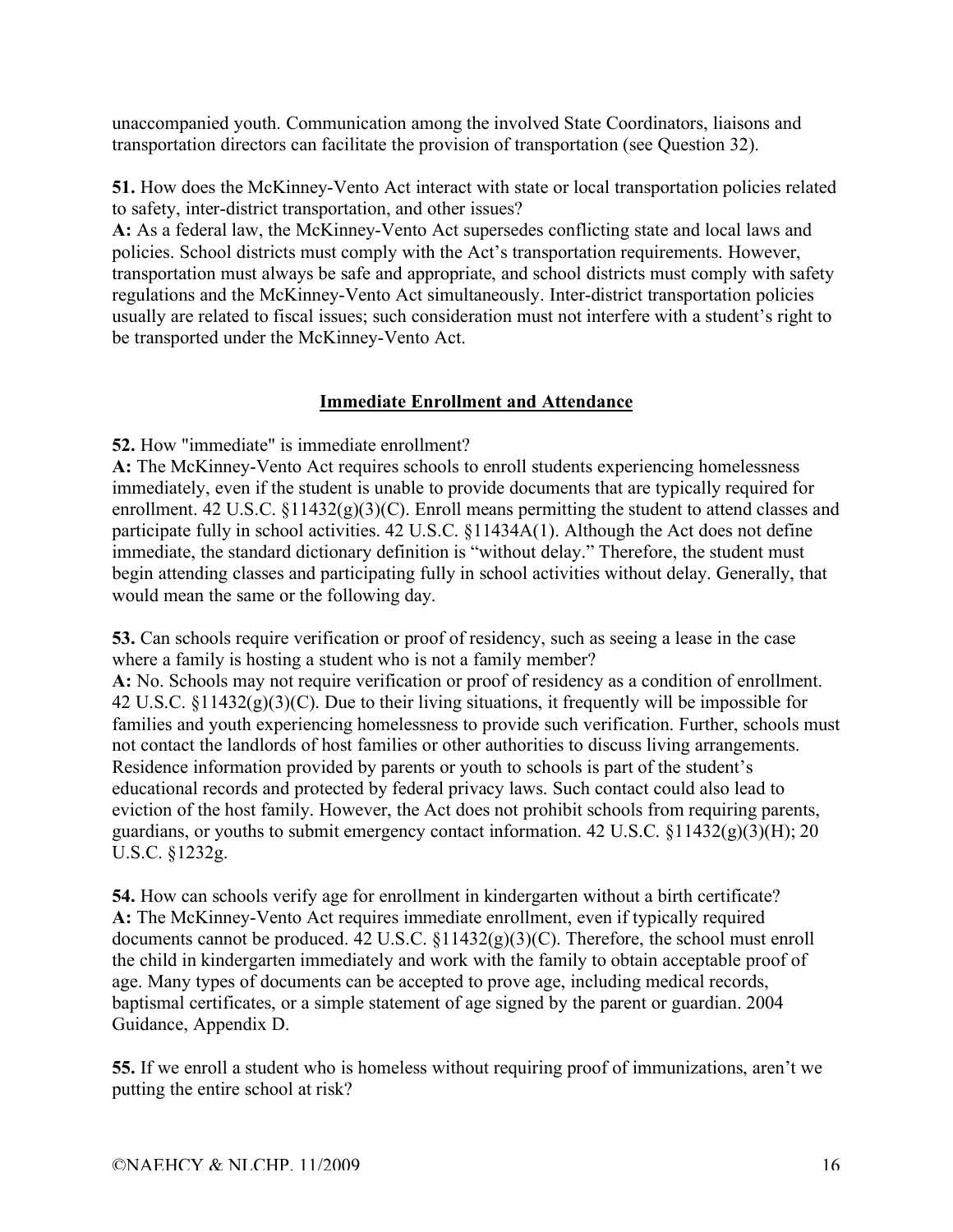<span id="page-15-0"></span>unaccompanied youth. Communication among the involved State Coordinators, liaisons and transportation directors can facilitate the provision of transportation (see Question 32).

**51.** How does the McKinney-Vento Act interact with state or local transportation policies related to safety, inter-district transportation, and other issues?

**A:** As a federal law, the McKinney-Vento Act supersedes conflicting state and local laws and policies. School districts must comply with the Act's transportation requirements. However, transportation must always be safe and appropriate, and school districts must comply with safety regulations and the McKinney-Vento Act simultaneously. Inter-district transportation policies usually are related to fiscal issues; such consideration must not interfere with a student's right to be transported under the McKinney-Vento Act.

# **Immediate Enrollment and Attendance**

**52.** How "immediate" is immediate enrollment?

**A:** The McKinney-Vento Act requires schools to enroll students experiencing homelessness immediately, even if the student is unable to provide documents that are typically required for enrollment. 42 U.S.C. §11432(g)(3)(C). Enroll means permitting the student to attend classes and participate fully in school activities. 42 U.S.C. §11434A(1). Although the Act does not define immediate, the standard dictionary definition is "without delay." Therefore, the student must begin attending classes and participating fully in school activities without delay. Generally, that would mean the same or the following day.

**53.** Can schools require verification or proof of residency, such as seeing a lease in the case where a family is hosting a student who is not a family member? **A:** No. Schools may not require verification or proof of residency as a condition of enrollment. 42 U.S.C. §11432(g)(3)(C). Due to their living situations, it frequently will be impossible for families and youth experiencing homelessness to provide such verification. Further, schools must not contact the landlords of host families or other authorities to discuss living arrangements. Residence information provided by parents or youth to schools is part of the student's educational records and protected by federal privacy laws. Such contact could also lead to eviction of the host family. However, the Act does not prohibit schools from requiring parents, guardians, or youths to submit emergency contact information.  $42 \text{ U.S.C. } \S11432(g)(3)(\text{H})$ ; 20 U.S.C. §1232g.

**54.** How can schools verify age for enrollment in kindergarten without a birth certificate? **A:** The McKinney-Vento Act requires immediate enrollment, even if typically required documents cannot be produced. 42 U.S.C. §11432(g)(3)(C). Therefore, the school must enroll the child in kindergarten immediately and work with the family to obtain acceptable proof of age. Many types of documents can be accepted to prove age, including medical records, baptismal certificates, or a simple statement of age signed by the parent or guardian. 2004 Guidance, Appendix D.

**55.** If we enroll a student who is homeless without requiring proof of immunizations, aren't we putting the entire school at risk?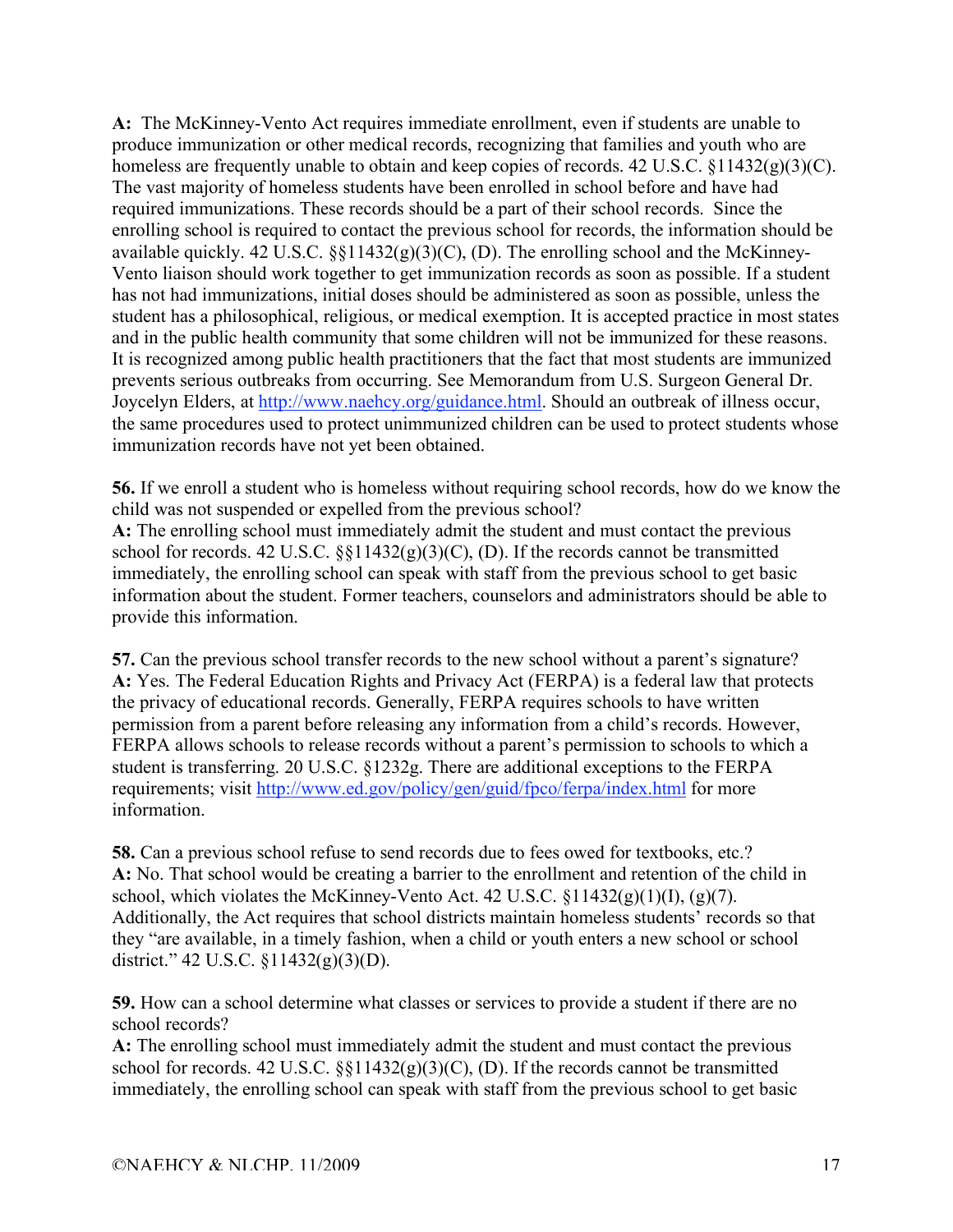**A:** The McKinney-Vento Act requires immediate enrollment, even if students are unable to produce immunization or other medical records, recognizing that families and youth who are homeless are frequently unable to obtain and keep copies of records. 42 U.S.C. §11432(g)(3)(C). The vast majority of homeless students have been enrolled in school before and have had required immunizations. These records should be a part of their school records. Since the enrolling school is required to contact the previous school for records, the information should be available quickly. 42 U.S.C.  $\S$  $I1432(g)(3)(C)$ , (D). The enrolling school and the McKinney-Vento liaison should work together to get immunization records as soon as possible. If a student has not had immunizations, initial doses should be administered as soon as possible, unless the student has a philosophical, religious, or medical exemption. It is accepted practice in most states and in the public health community that some children will not be immunized for these reasons. It is recognized among public health practitioners that the fact that most students are immunized prevents serious outbreaks from occurring. See Memorandum from U.S. Surgeon General Dr. Joycelyn Elders, at http://www.naehcy.org/guidance.html. Should an outbreak of illness occur, the same procedures used to protect unimmunized children can be used to protect students whose immunization records have not yet been obtained.

**56.** If we enroll a student who is homeless without requiring school records, how do we know the child was not suspended or expelled from the previous school? **A:** The enrolling school must immediately admit the student and must contact the previous

school for records. 42 U.S.C.  $\S$ [1432(g)(3)(C), (D). If the records cannot be transmitted immediately, the enrolling school can speak with staff from the previous school to get basic information about the student. Former teachers, counselors and administrators should be able to provide this information.

**57.** Can the previous school transfer records to the new school without a parent's signature? **A:** Yes. The Federal Education Rights and Privacy Act (FERPA) is a federal law that protects the privacy of educational records. Generally, FERPA requires schools to have written permission from a parent before releasing any information from a child's records. However, FERPA allows schools to release records without a parent's permission to schools to which a student is transferring. 20 U.S.C. §1232g. There are additional exceptions to the FERPA requirements; visit http://www.ed.gov/policy/gen/guid/fpco/ferpa/index.html for more information.

**58.** Can a previous school refuse to send records due to fees owed for textbooks, etc.? **A:** No. That school would be creating a barrier to the enrollment and retention of the child in school, which violates the McKinney-Vento Act. 42 U.S.C.  $\S 11432(g)(1)(I)$ ,  $(g)(7)$ . Additionally, the Act requires that school districts maintain homeless students' records so that they "are available, in a timely fashion, when a child or youth enters a new school or school district." 42 U.S.C. §11432(g)(3)(D).

**59.** How can a school determine what classes or services to provide a student if there are no school records?

**A:** The enrolling school must immediately admit the student and must contact the previous school for records. 42 U.S.C.  $\S$ [1432(g)(3)(C), (D). If the records cannot be transmitted immediately, the enrolling school can speak with staff from the previous school to get basic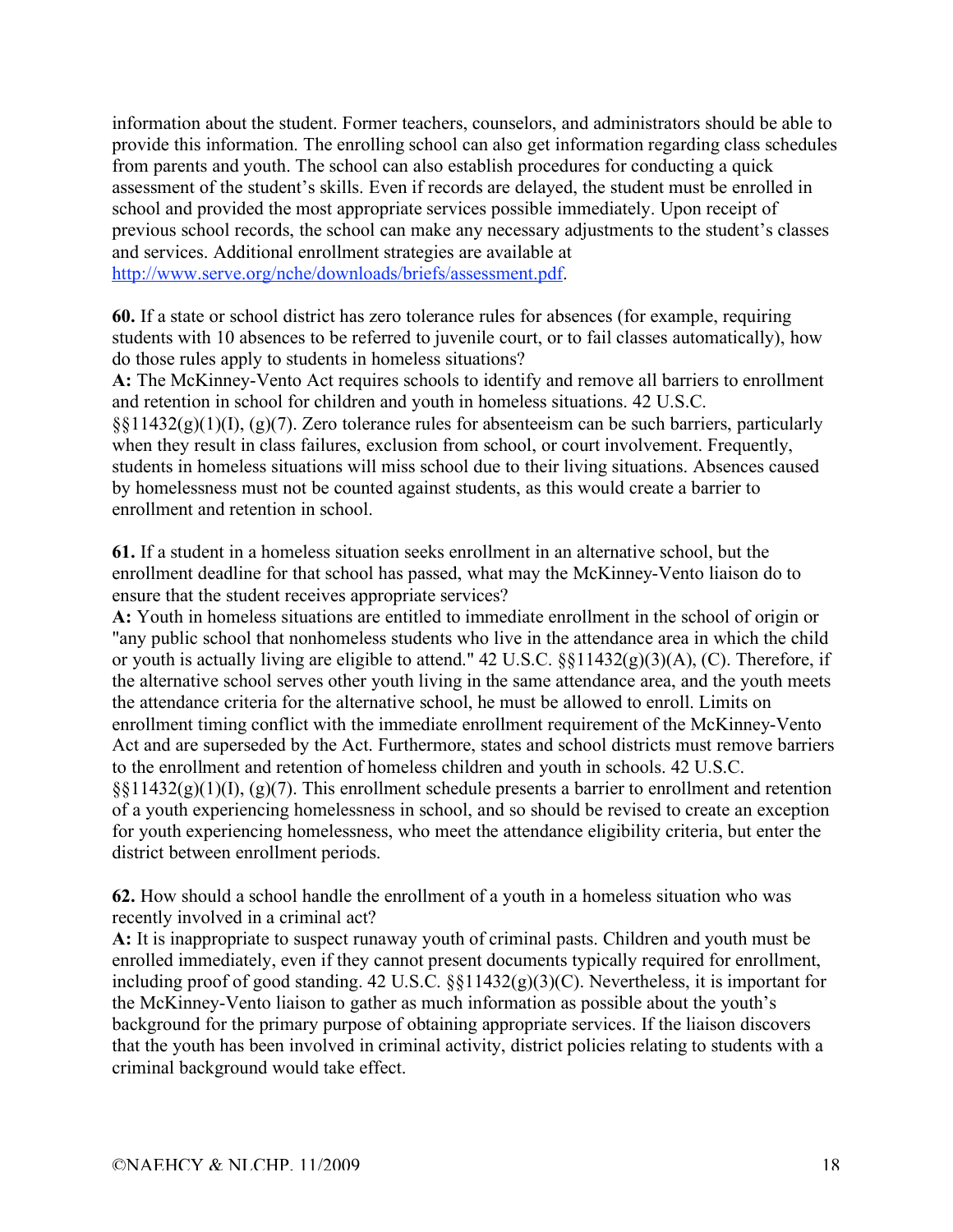information about the student. Former teachers, counselors, and administrators should be able to provide this information. The enrolling school can also get information regarding class schedules from parents and youth. The school can also establish procedures for conducting a quick assessment of the student's skills. Even if records are delayed, the student must be enrolled in school and provided the most appropriate services possible immediately. Upon receipt of previous school records, the school can make any necessary adjustments to the student's classes and services. Additional enrollment strategies are available at http://www.serve.org/nche/downloads/briefs/assessment.pdf.

**60.** If a state or school district has zero tolerance rules for absences (for example, requiring students with 10 absences to be referred to juvenile court, or to fail classes automatically), how do those rules apply to students in homeless situations?

**A:** The McKinney-Vento Act requires schools to identify and remove all barriers to enrollment and retention in school for children and youth in homeless situations. 42 U.S.C.  $\S\S11432(g)(1)(I), (g)(7)$ . Zero tolerance rules for absenteeism can be such barriers, particularly when they result in class failures, exclusion from school, or court involvement. Frequently, students in homeless situations will miss school due to their living situations. Absences caused by homelessness must not be counted against students, as this would create a barrier to enrollment and retention in school.

**61.** If a student in a homeless situation seeks enrollment in an alternative school, but the enrollment deadline for that school has passed, what may the McKinney-Vento liaison do to ensure that the student receives appropriate services?

**A:** Youth in homeless situations are entitled to immediate enrollment in the school of origin or "any public school that nonhomeless students who live in the attendance area in which the child or youth is actually living are eligible to attend." 42 U.S.C. §§11432(g)(3)(A), (C). Therefore, if the alternative school serves other youth living in the same attendance area, and the youth meets the attendance criteria for the alternative school, he must be allowed to enroll. Limits on enrollment timing conflict with the immediate enrollment requirement of the McKinney-Vento Act and are superseded by the Act. Furthermore, states and school districts must remove barriers to the enrollment and retention of homeless children and youth in schools. 42 U.S.C.  $\S(11432(g)(1)(I), (g)(7))$ . This enrollment schedule presents a barrier to enrollment and retention of a youth experiencing homelessness in school, and so should be revised to create an exception for youth experiencing homelessness, who meet the attendance eligibility criteria, but enter the district between enrollment periods.

**62.** How should a school handle the enrollment of a youth in a homeless situation who was recently involved in a criminal act?

**A:** It is inappropriate to suspect runaway youth of criminal pasts. Children and youth must be enrolled immediately, even if they cannot present documents typically required for enrollment, including proof of good standing. 42 U.S.C. §§11432(g)(3)(C). Nevertheless, it is important for the McKinney-Vento liaison to gather as much information as possible about the youth's background for the primary purpose of obtaining appropriate services. If the liaison discovers that the youth has been involved in criminal activity, district policies relating to students with a criminal background would take effect.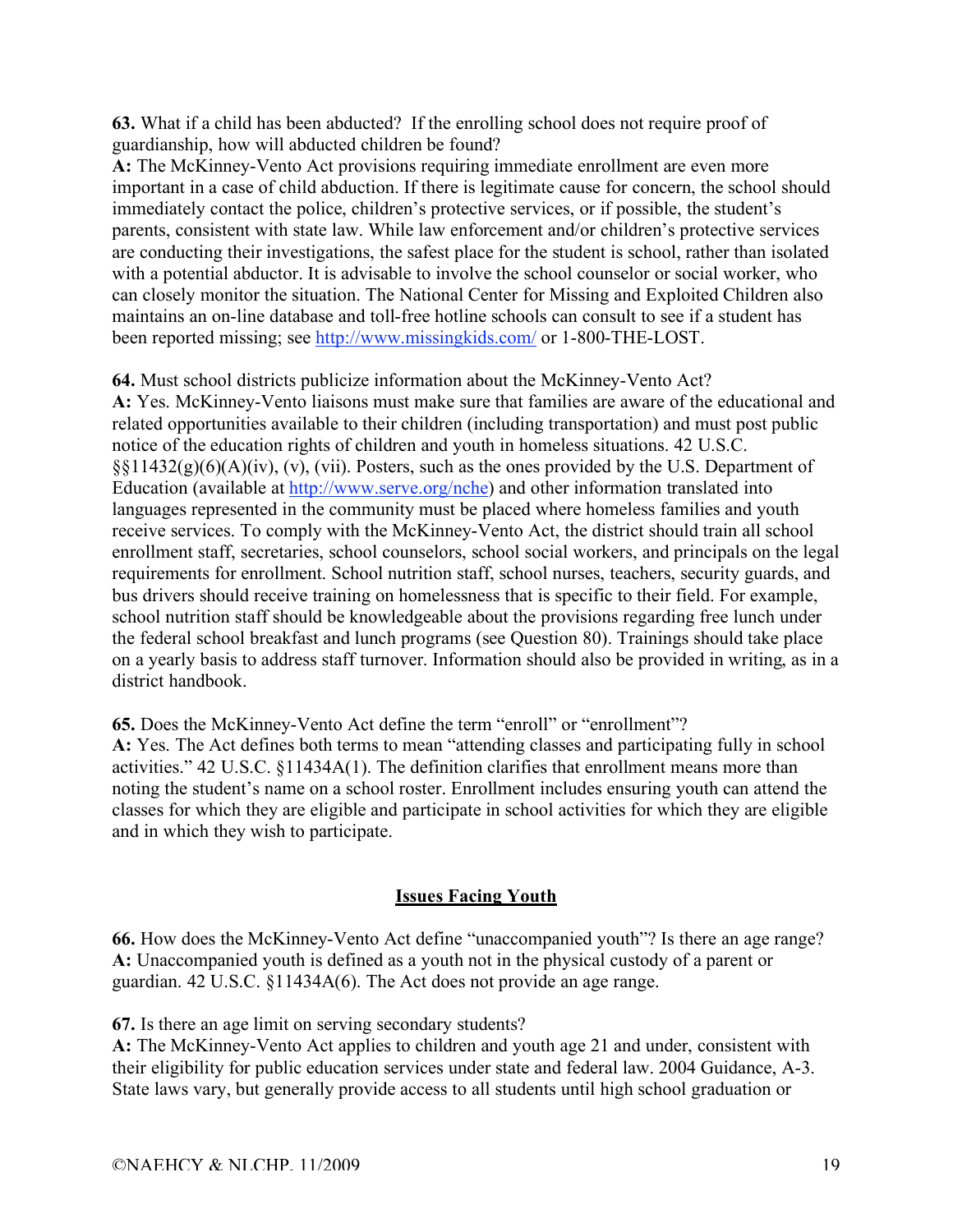**63.** What if a child has been abducted? If the enrolling school does not require proof of guardianship, how will abducted children be found?

**A:** The McKinney-Vento Act provisions requiring immediate enrollment are even more important in a case of child abduction. If there is legitimate cause for concern, the school should immediately contact the police, children's protective services, or if possible, the student's parents, consistent with state law. While law enforcement and/or children's protective services are conducting their investigations, the safest place for the student is school, rather than isolated with a potential abductor. It is advisable to involve the school counselor or social worker, who can closely monitor the situation. The National Center for Missing and Exploited Children also maintains an on-line database and toll-free hotline schools can consult to see if a student has been reported missing; see http://www.missingkids.com/ or 1-800-THE-LOST.

**64.** Must school districts publicize information about the McKinney-Vento Act?

**A:** Yes. McKinney-Vento liaisons must make sure that families are aware of the educational and related opportunities available to their children (including transportation) and must post public notice of the education rights of children and youth in homeless situations. 42 U.S.C.  $\S\S11432(g)(6)(A)(iv)$ , (v), (vii). Posters, such as the ones provided by the U.S. Department of Education (available at http://www.serve.org/nche) and other information translated into languages represented in the community must be placed where homeless families and youth receive services. To comply with the McKinney-Vento Act, the district should train all school enrollment staff, secretaries, school counselors, school social workers, and principals on the legal requirements for enrollment. School nutrition staff, school nurses, teachers, security guards, and bus drivers should receive training on homelessness that is specific to their field. For example, school nutrition staff should be knowledgeable about the provisions regarding free lunch under the federal school breakfast and lunch programs (see Question 80). Trainings should take place on a yearly basis to address staff turnover. Information should also be provided in writing, as in a district handbook.

<span id="page-18-0"></span>**65.** Does the McKinney-Vento Act define the term "enroll" or "enrollment"? **A:** Yes. The Act defines both terms to mean "attending classes and participating fully in school activities." 42 U.S.C. §11434A(1). The definition clarifies that enrollment means more than noting the student's name on a school roster. Enrollment includes ensuring youth can attend the classes for which they are eligible and participate in school activities for which they are eligible and in which they wish to participate.

# **Issues Facing Youth**

**66.** How does the McKinney-Vento Act define "unaccompanied youth"? Is there an age range? **A:** Unaccompanied youth is defined as a youth not in the physical custody of a parent or guardian. 42 U.S.C. §11434A(6). The Act does not provide an age range.

**67.** Is there an age limit on serving secondary students?

**A:** The McKinney-Vento Act applies to children and youth age 21 and under, consistent with their eligibility for public education services under state and federal law. 2004 Guidance, A-3. State laws vary, but generally provide access to all students until high school graduation or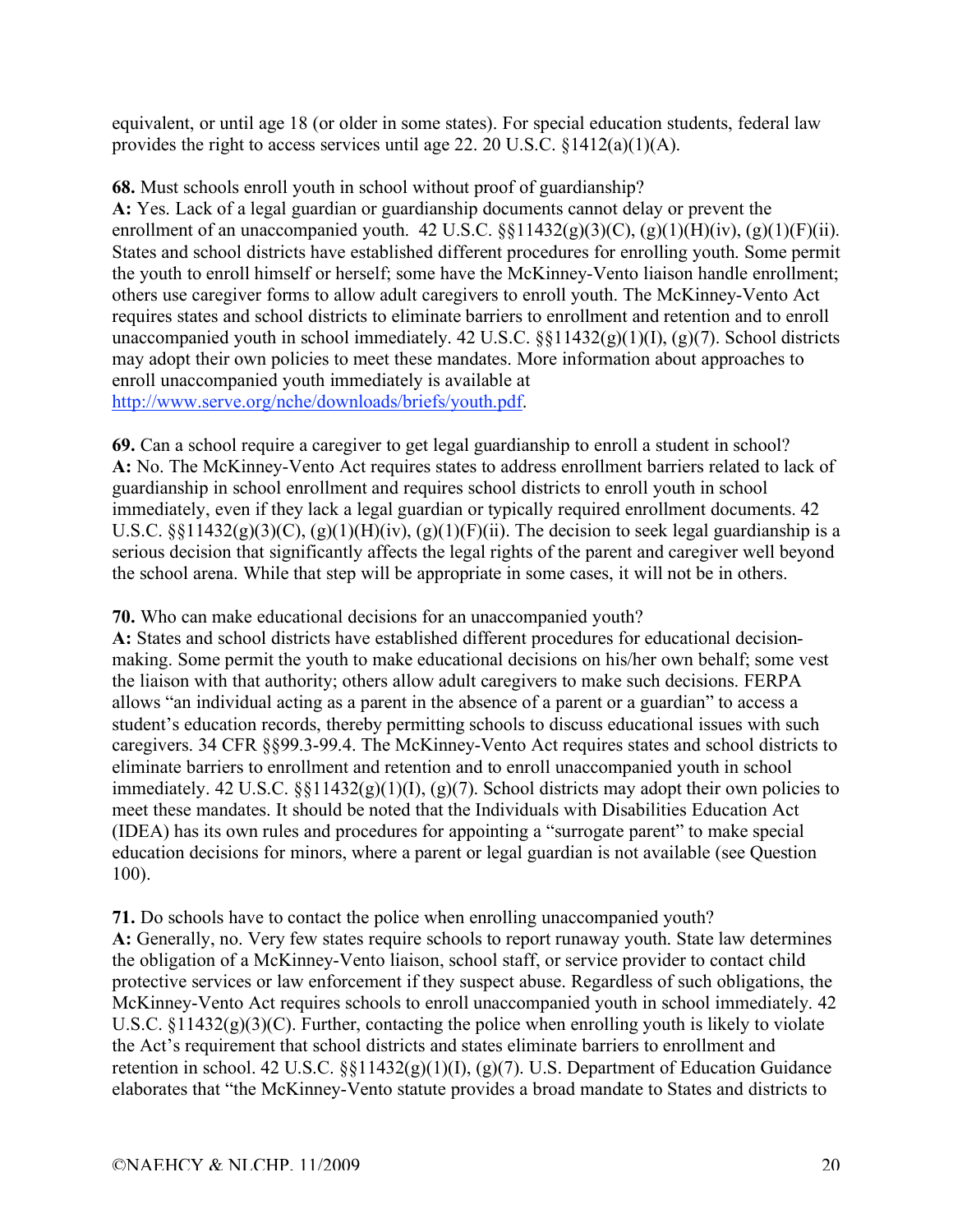equivalent, or until age 18 (or older in some states). For special education students, federal law provides the right to access services until age 22. 20 U.S.C. §1412(a)(1)(A).

**68.** Must schools enroll youth in school without proof of guardianship? **A:** Yes. Lack of a legal guardian or guardianship documents cannot delay or prevent the enrollment of an unaccompanied youth. 42 U.S.C.  $\S$ [11432(g)(3)(C), (g)(1)(H)(iv), (g)(1)(F)(ii). States and school districts have established different procedures for enrolling youth. Some permit the youth to enroll himself or herself; some have the McKinney-Vento liaison handle enrollment; others use caregiver forms to allow adult caregivers to enroll youth. The McKinney-Vento Act requires states and school districts to eliminate barriers to enrollment and retention and to enroll unaccompanied youth in school immediately. 42 U.S.C. §§11432(g)(1)(I), (g)(7). School districts may adopt their own policies to meet these mandates. More information about approaches to enroll unaccompanied youth immediately is available at http://www.serve.org/nche/downloads/briefs/youth.pdf.

**69.** Can a school require a caregiver to get legal guardianship to enroll a student in school? **A:** No. The McKinney-Vento Act requires states to address enrollment barriers related to lack of guardianship in school enrollment and requires school districts to enroll youth in school immediately, even if they lack a legal guardian or typically required enrollment documents. 42 U.S.C.  $\S$ [11432(g)(3)(C), (g)(1)(H)(iv), (g)(1)(F)(ii). The decision to seek legal guardianship is a serious decision that significantly affects the legal rights of the parent and caregiver well beyond the school arena. While that step will be appropriate in some cases, it will not be in others.

**70.** Who can make educational decisions for an unaccompanied youth?

**A:** States and school districts have established different procedures for educational decisionmaking. Some permit the youth to make educational decisions on his/her own behalf; some vest the liaison with that authority; others allow adult caregivers to make such decisions. FERPA allows "an individual acting as a parent in the absence of a parent or a guardian" to access a student's education records, thereby permitting schools to discuss educational issues with such caregivers. 34 CFR §§99.3-99.4. The McKinney-Vento Act requires states and school districts to eliminate barriers to enrollment and retention and to enroll unaccompanied youth in school immediately. 42 U.S.C.  $\S$ [1432(g)(1)(I), (g)(7). School districts may adopt their own policies to meet these mandates. It should be noted that the Individuals with Disabilities Education Act (IDEA) has its own rules and procedures for appointing a "surrogate parent" to make special education decisions for minors, where a parent or legal guardian is not available (see Question 100).

**71.** Do schools have to contact the police when enrolling unaccompanied youth? **A:** Generally, no. Very few states require schools to report runaway youth. State law determines the obligation of a McKinney-Vento liaison, school staff, or service provider to contact child protective services or law enforcement if they suspect abuse. Regardless of such obligations, the McKinney-Vento Act requires schools to enroll unaccompanied youth in school immediately. 42 U.S.C. §11432(g)(3)(C). Further, contacting the police when enrolling youth is likely to violate the Act's requirement that school districts and states eliminate barriers to enrollment and retention in school. 42 U.S.C. §§11432(g)(1)(I), (g)(7). U.S. Department of Education Guidance elaborates that "the McKinney-Vento statute provides a broad mandate to States and districts to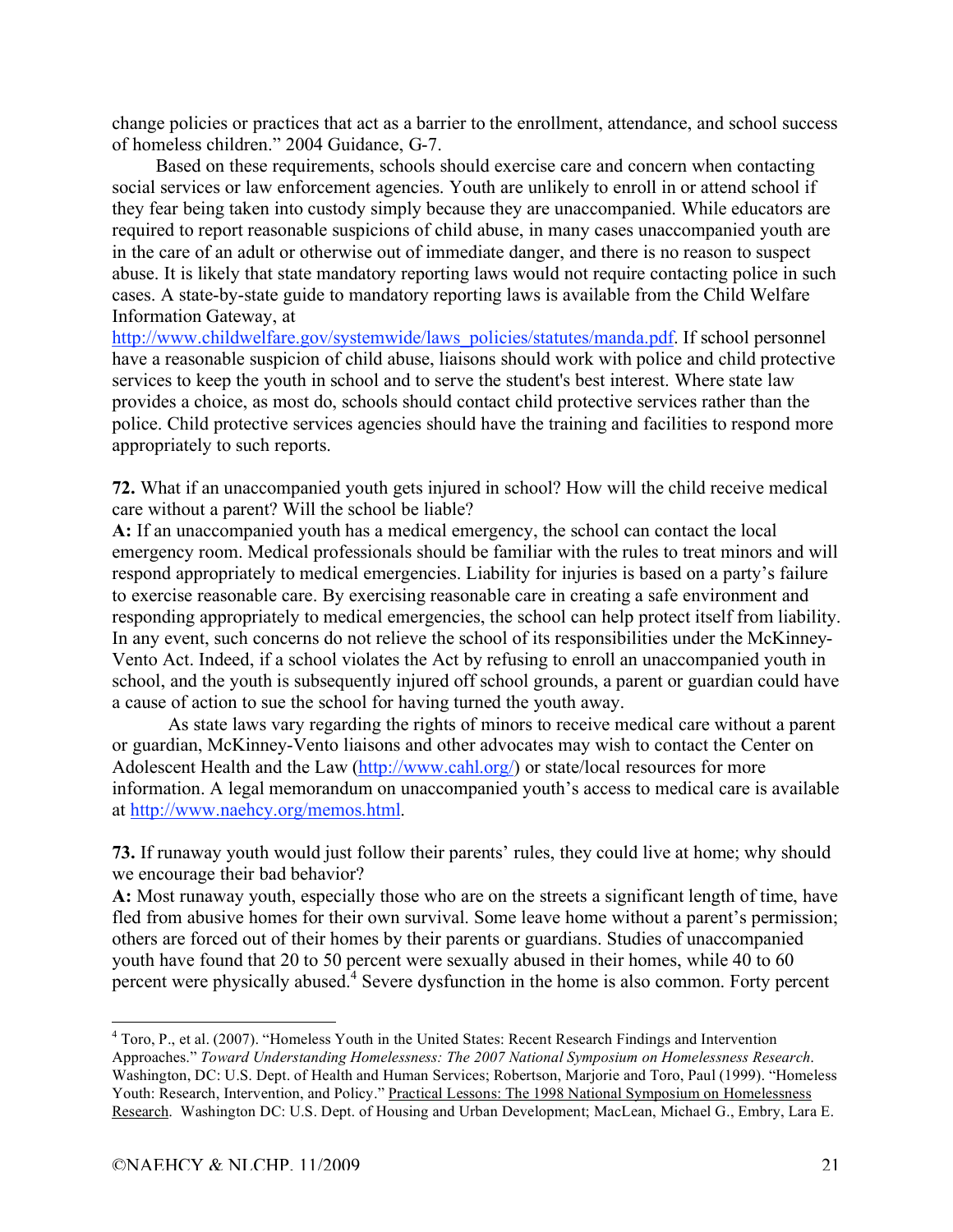change policies or practices that act as a barrier to the enrollment, attendance, and school success of homeless children." 2004 Guidance, G-7.

Based on these requirements, schools should exercise care and concern when contacting social services or law enforcement agencies. Youth are unlikely to enroll in or attend school if they fear being taken into custody simply because they are unaccompanied. While educators are required to report reasonable suspicions of child abuse, in many cases unaccompanied youth are in the care of an adult or otherwise out of immediate danger, and there is no reason to suspect abuse. It is likely that state mandatory reporting laws would not require contacting police in such cases. A state-by-state guide to mandatory reporting laws is available from the Child Welfare Information Gateway, at

http://www.childwelfare.gov/systemwide/laws\_policies/statutes/manda.pdf. If school personnel have a reasonable suspicion of child abuse, liaisons should work with police and child protective services to keep the youth in school and to serve the student's best interest. Where state law provides a choice, as most do, schools should contact child protective services rather than the police. Child protective services agencies should have the training and facilities to respond more appropriately to such reports.

**72.** What if an unaccompanied youth gets injured in school? How will the child receive medical care without a parent? Will the school be liable?

**A:** If an unaccompanied youth has a medical emergency, the school can contact the local emergency room. Medical professionals should be familiar with the rules to treat minors and will respond appropriately to medical emergencies. Liability for injuries is based on a party's failure to exercise reasonable care. By exercising reasonable care in creating a safe environment and responding appropriately to medical emergencies, the school can help protect itself from liability. In any event, such concerns do not relieve the school of its responsibilities under the McKinney-Vento Act. Indeed, if a school violates the Act by refusing to enroll an unaccompanied youth in school, and the youth is subsequently injured off school grounds, a parent or guardian could have a cause of action to sue the school for having turned the youth away.

As state laws vary regarding the rights of minors to receive medical care without a parent or guardian, McKinney-Vento liaisons and other advocates may wish to contact the Center on Adolescent Health and the Law (http://www.cahl.org/) or state/local resources for more information. A legal memorandum on unaccompanied youth's access to medical care is available at http://www.naehcy.org/memos.html.

**73.** If runaway youth would just follow their parents' rules, they could live at home; why should we encourage their bad behavior?

**A:** Most runaway youth, especially those who are on the streets a significant length of time, have fled from abusive homes for their own survival. Some leave home without a parent's permission; others are forced out of their homes by their parents or guardians. Studies of unaccompanied youth have found that 20 to 50 percent were sexually abused in their homes, while 40 to 60 percent were physically abused.<sup>4</sup> Severe dysfunction in the home is also common. Forty percent

 <sup>4</sup> Toro, P., et al. (2007). "Homeless Youth in the United States: Recent Research Findings and Intervention Approaches." *Toward Understanding Homelessness: The 2007 National Symposium on Homelessness Research*. Washington, DC: U.S. Dept. of Health and Human Services; Robertson, Marjorie and Toro, Paul (1999). "Homeless Youth: Research, Intervention, and Policy." Practical Lessons: The 1998 National Symposium on Homelessness Research. Washington DC: U.S. Dept. of Housing and Urban Development; MacLean, Michael G., Embry, Lara E.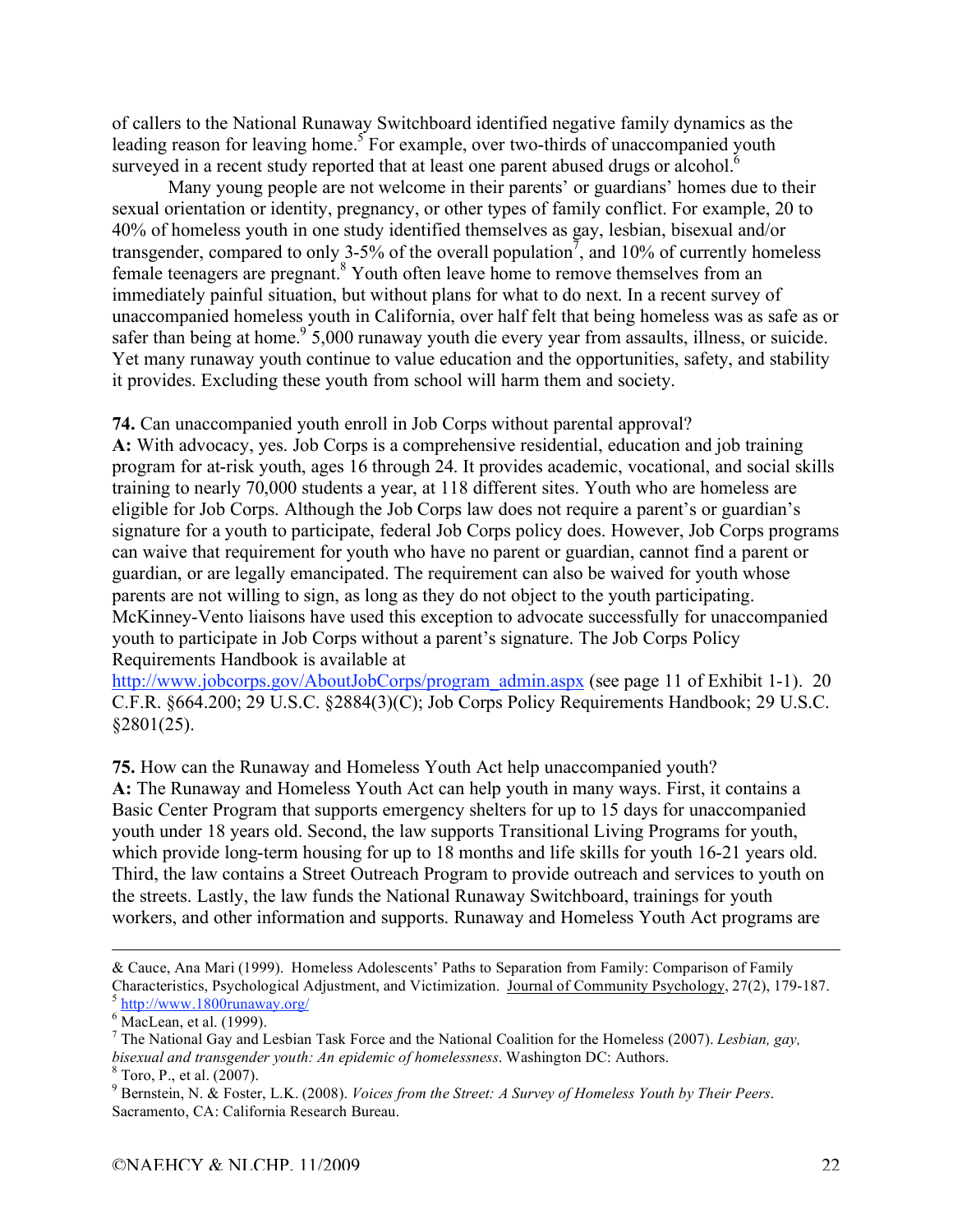of callers to the National Runaway Switchboard identified negative family dynamics as the leading reason for leaving home.<sup>5</sup> For example, over two-thirds of unaccompanied youth surveyed in a recent study reported that at least one parent abused drugs or alcohol.<sup>6</sup>

Many young people are not welcome in their parents' or guardians' homes due to their sexual orientation or identity, pregnancy, or other types of family conflict. For example, 20 to 40% of homeless youth in one study identified themselves as gay, lesbian, bisexual and/or transgender, compared to only 3-5% of the overall population<sup>7</sup>, and 10% of currently homeless female teenagers are pregnant.<sup>8</sup> Youth often leave home to remove themselves from an immediately painful situation, but without plans for what to do next. In a recent survey of unaccompanied homeless youth in California, over half felt that being homeless was as safe as or safer than being at home.<sup>9</sup> 5,000 runaway youth die every year from assaults, illness, or suicide. Yet many runaway youth continue to value education and the opportunities, safety, and stability it provides. Excluding these youth from school will harm them and society.

**74.** Can unaccompanied youth enroll in Job Corps without parental approval?

**A:** With advocacy, yes. Job Corps is a comprehensive residential, education and job training program for at-risk youth, ages 16 through 24. It provides academic, vocational, and social skills training to nearly 70,000 students a year, at 118 different sites. Youth who are homeless are eligible for Job Corps. Although the Job Corps law does not require a parent's or guardian's signature for a youth to participate, federal Job Corps policy does. However, Job Corps programs can waive that requirement for youth who have no parent or guardian, cannot find a parent or guardian, or are legally emancipated. The requirement can also be waived for youth whose parents are not willing to sign, as long as they do not object to the youth participating. McKinney-Vento liaisons have used this exception to advocate successfully for unaccompanied youth to participate in Job Corps without a parent's signature. The Job Corps Policy Requirements Handbook is available at

http://www.jobcorps.gov/AboutJobCorps/program\_admin.aspx (see page 11 of Exhibit 1-1). 20 C.F.R. §664.200; 29 U.S.C. §2884(3)(C); Job Corps Policy Requirements Handbook; 29 U.S.C.  $§2801(25)$ .

**75.** How can the Runaway and Homeless Youth Act help unaccompanied youth?

**A:** The Runaway and Homeless Youth Act can help youth in many ways. First, it contains a Basic Center Program that supports emergency shelters for up to 15 days for unaccompanied youth under 18 years old. Second, the law supports Transitional Living Programs for youth, which provide long-term housing for up to 18 months and life skills for youth 16-21 years old. Third, the law contains a Street Outreach Program to provide outreach and services to youth on the streets. Lastly, the law funds the National Runaway Switchboard, trainings for youth workers, and other information and supports. Runaway and Homeless Youth Act programs are

 <sup>&</sup>amp; Cauce, Ana Mari (1999). Homeless Adolescents' Paths to Separation from Family: Comparison of Family Characteristics, Psychological Adjustment, and Victimization. Journal of Community Psychology, 27(2), 179-187.<br><sup>5</sup> http://www.1800runaway.org/

 $<sup>6</sup>$  MacLean, et al. (1999).</sup>

<sup>7</sup> The National Gay and Lesbian Task Force and the National Coalition for the Homeless (2007). *Lesbian, gay, bisexual and transgender youth: An epidemic of homelessness*. Washington DC: Authors. <sup>8</sup> Toro, P., et al. (2007).

<sup>9</sup> Bernstein, N. & Foster, L.K. (2008). *Voices from the Street: A Survey of Homeless Youth by Their Peers*. Sacramento, CA: California Research Bureau.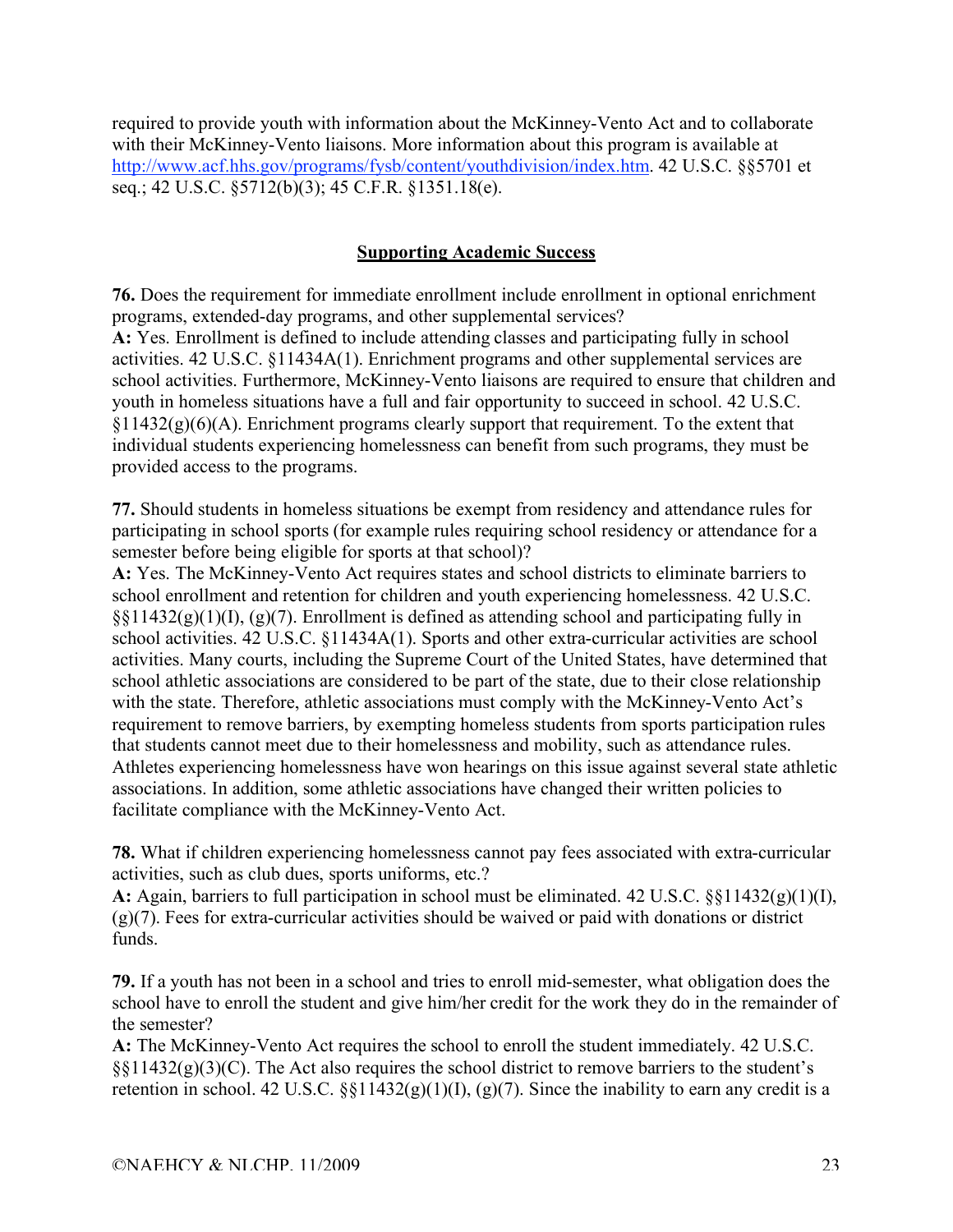<span id="page-22-0"></span>required to provide youth with information about the McKinney-Vento Act and to collaborate with their McKinney-Vento liaisons. More information about this program is available at http://www.acf.hhs.gov/programs/fysb/content/youthdivision/index.htm. 42 U.S.C. §§5701 et seq.; 42 U.S.C. §5712(b)(3); 45 C.F.R. §1351.18(e).

# **Supporting Academic Success**

**76.** Does the requirement for immediate enrollment include enrollment in optional enrichment programs, extended-day programs, and other supplemental services?

**A:** Yes. Enrollment is defined to include attending classes and participating fully in school activities. 42 U.S.C. §11434A(1). Enrichment programs and other supplemental services are school activities. Furthermore, McKinney-Vento liaisons are required to ensure that children and youth in homeless situations have a full and fair opportunity to succeed in school. 42 U.S.C.  $\frac{11432(g)(6)(A)}{B}$ . Enrichment programs clearly support that requirement. To the extent that individual students experiencing homelessness can benefit from such programs, they must be provided access to the programs.

**77.** Should students in homeless situations be exempt from residency and attendance rules for participating in school sports (for example rules requiring school residency or attendance for a semester before being eligible for sports at that school)?

**A:** Yes. The McKinney-Vento Act requires states and school districts to eliminate barriers to school enrollment and retention for children and youth experiencing homelessness. 42 U.S.C.  $\S(11432(g)(1)(I), (g)(7))$ . Enrollment is defined as attending school and participating fully in school activities. 42 U.S.C. §11434A(1). Sports and other extra-curricular activities are school activities. Many courts, including the Supreme Court of the United States, have determined that school athletic associations are considered to be part of the state, due to their close relationship with the state. Therefore, athletic associations must comply with the McKinney-Vento Act's requirement to remove barriers, by exempting homeless students from sports participation rules that students cannot meet due to their homelessness and mobility, such as attendance rules. Athletes experiencing homelessness have won hearings on this issue against several state athletic associations. In addition, some athletic associations have changed their written policies to facilitate compliance with the McKinney-Vento Act.

**78.** What if children experiencing homelessness cannot pay fees associated with extra-curricular activities, such as club dues, sports uniforms, etc.?

**A:** Again, barriers to full participation in school must be eliminated. 42 U.S.C. §§11432(g)(1)(I), (g)(7). Fees for extra-curricular activities should be waived or paid with donations or district funds.

**79.** If a youth has not been in a school and tries to enroll mid-semester, what obligation does the school have to enroll the student and give him/her credit for the work they do in the remainder of the semester?

**A:** The McKinney-Vento Act requires the school to enroll the student immediately. 42 U.S.C.  $\S\S11432(g)(3)(C)$ . The Act also requires the school district to remove barriers to the student's retention in school. 42 U.S.C.  $\S$  $11432(g)(1)(I)$ ,  $(g)(7)$ . Since the inability to earn any credit is a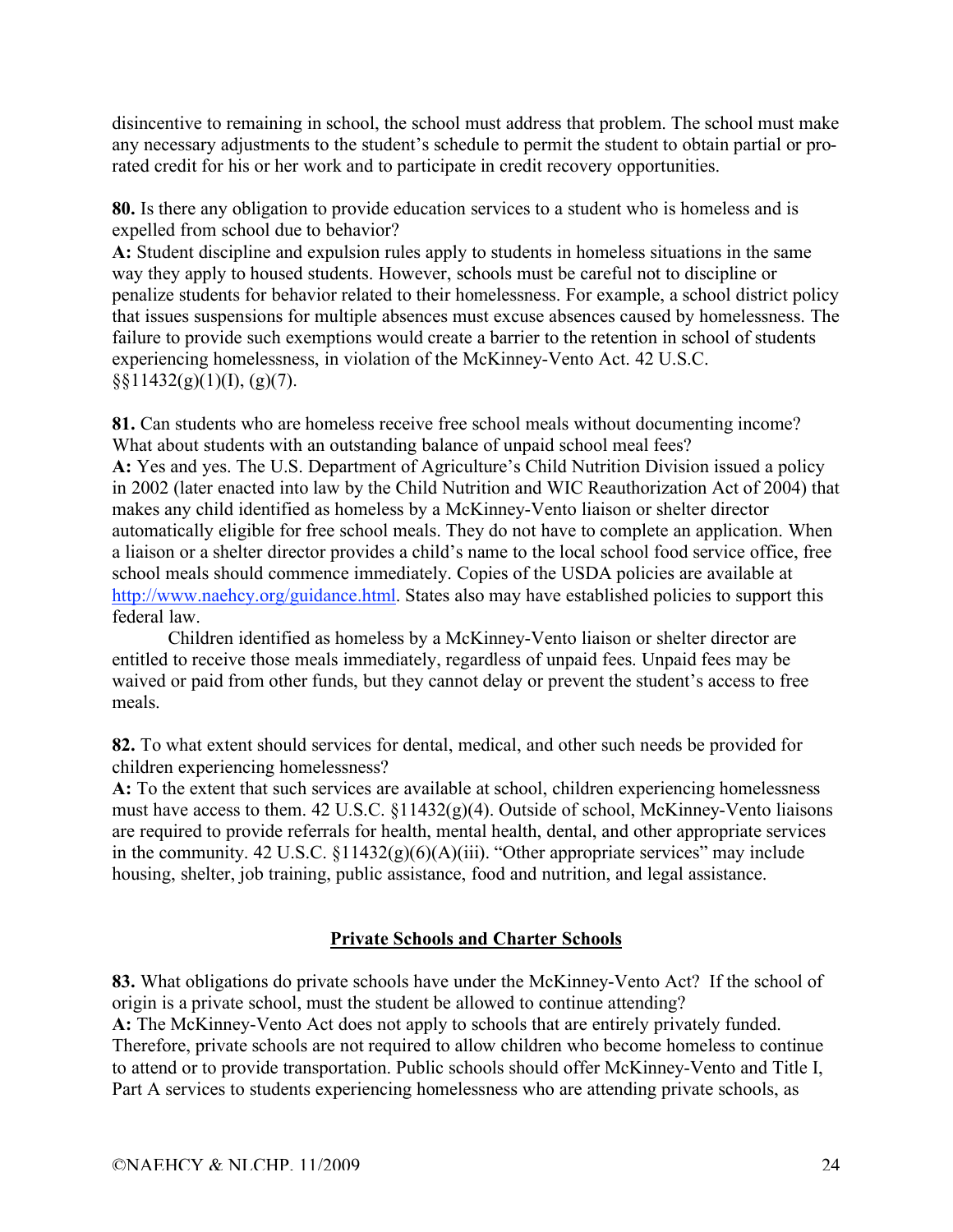disincentive to remaining in school, the school must address that problem. The school must make any necessary adjustments to the student's schedule to permit the student to obtain partial or prorated credit for his or her work and to participate in credit recovery opportunities.

**80.** Is there any obligation to provide education services to a student who is homeless and is expelled from school due to behavior?

**A:** Student discipline and expulsion rules apply to students in homeless situations in the same way they apply to housed students. However, schools must be careful not to discipline or penalize students for behavior related to their homelessness. For example, a school district policy that issues suspensions for multiple absences must excuse absences caused by homelessness. The failure to provide such exemptions would create a barrier to the retention in school of students experiencing homelessness, in violation of the McKinney-Vento Act. 42 U.S.C.  $\S$ [\stat{1432(g)(1)(I), (g)(7).

**81.** Can students who are homeless receive free school meals without documenting income? What about students with an outstanding balance of unpaid school meal fees? **A:** Yes and yes. The U.S. Department of Agriculture's Child Nutrition Division issued a policy in 2002 (later enacted into law by the Child Nutrition and WIC Reauthorization Act of 2004) that makes any child identified as homeless by a McKinney-Vento liaison or shelter director automatically eligible for free school meals. They do not have to complete an application. When a liaison or a shelter director provides a child's name to the local school food service office, free school meals should commence immediately. Copies of the USDA policies are available at http://www.naehcy.org/guidance.html. States also may have established policies to support this federal law.

Children identified as homeless by a McKinney-Vento liaison or shelter director are entitled to receive those meals immediately, regardless of unpaid fees. Unpaid fees may be waived or paid from other funds, but they cannot delay or prevent the student's access to free meals.

<span id="page-23-0"></span>**82.** To what extent should services for dental, medical, and other such needs be provided for children experiencing homelessness?

**A:** To the extent that such services are available at school, children experiencing homelessness must have access to them. 42 U.S.C. §11432(g)(4). Outside of school, McKinney-Vento liaisons are required to provide referrals for health, mental health, dental, and other appropriate services in the community. 42 U.S.C. §11432(g)(6)(A)(iii). "Other appropriate services" may include housing, shelter, job training, public assistance, food and nutrition, and legal assistance.

# **Private Schools and Charter Schools**

**83.** What obligations do private schools have under the McKinney-Vento Act? If the school of origin is a private school, must the student be allowed to continue attending? **A:** The McKinney-Vento Act does not apply to schools that are entirely privately funded. Therefore, private schools are not required to allow children who become homeless to continue to attend or to provide transportation. Public schools should offer McKinney-Vento and Title I, Part A services to students experiencing homelessness who are attending private schools, as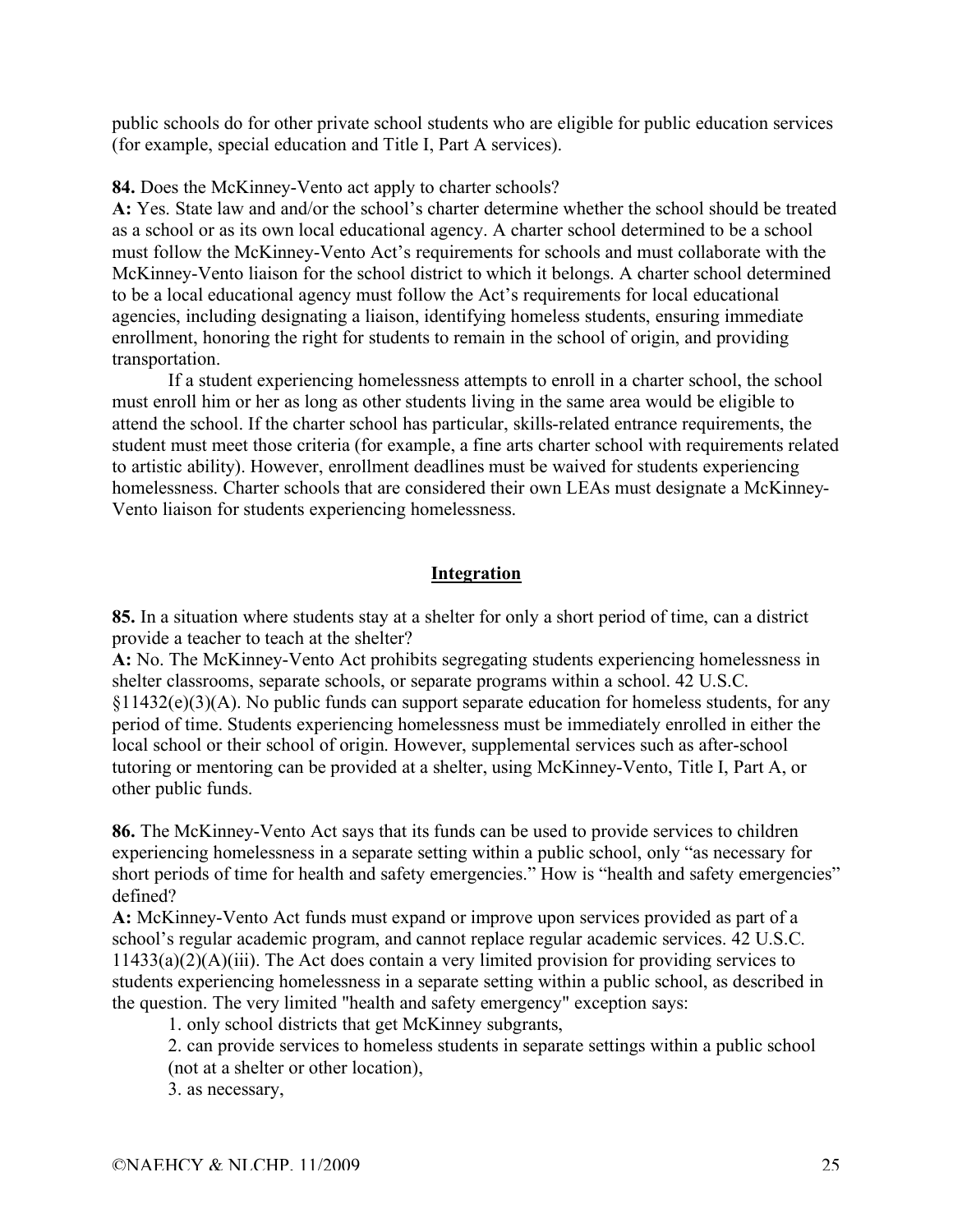public schools do for other private school students who are eligible for public education services (for example, special education and Title I, Part A services).

**84.** Does the McKinney-Vento act apply to charter schools?

<span id="page-24-0"></span>**A:** Yes. State law and and/or the school's charter determine whether the school should be treated as a school or as its own local educational agency. A charter school determined to be a school must follow the McKinney-Vento Act's requirements for schools and must collaborate with the McKinney-Vento liaison for the school district to which it belongs. A charter school determined to be a local educational agency must follow the Act's requirements for local educational agencies, including designating a liaison, identifying homeless students, ensuring immediate enrollment, honoring the right for students to remain in the school of origin, and providing transportation.

If a student experiencing homelessness attempts to enroll in a charter school, the school must enroll him or her as long as other students living in the same area would be eligible to attend the school. If the charter school has particular, skills-related entrance requirements, the student must meet those criteria (for example, a fine arts charter school with requirements related to artistic ability). However, enrollment deadlines must be waived for students experiencing homelessness. Charter schools that are considered their own LEAs must designate a McKinney-Vento liaison for students experiencing homelessness.

### **Integration**

**85.** In a situation where students stay at a shelter for only a short period of time, can a district provide a teacher to teach at the shelter?

**A:** No. The McKinney-Vento Act prohibits segregating students experiencing homelessness in shelter classrooms, separate schools, or separate programs within a school. 42 U.S.C.  $\{11432(e)(3)(A)$ . No public funds can support separate education for homeless students, for any period of time. Students experiencing homelessness must be immediately enrolled in either the local school or their school of origin. However, supplemental services such as after-school tutoring or mentoring can be provided at a shelter, using McKinney-Vento, Title I, Part A, or other public funds.

**86.** The McKinney-Vento Act says that its funds can be used to provide services to children experiencing homelessness in a separate setting within a public school, only "as necessary for short periods of time for health and safety emergencies." How is "health and safety emergencies" defined?

**A:** McKinney-Vento Act funds must expand or improve upon services provided as part of a school's regular academic program, and cannot replace regular academic services. 42 U.S.C.  $11433(a)(2)(A)(iii)$ . The Act does contain a very limited provision for providing services to students experiencing homelessness in a separate setting within a public school, as described in the question. The very limited "health and safety emergency" exception says:

1. only school districts that get McKinney subgrants,

2. can provide services to homeless students in separate settings within a public school (not at a shelter or other location),

3. as necessary,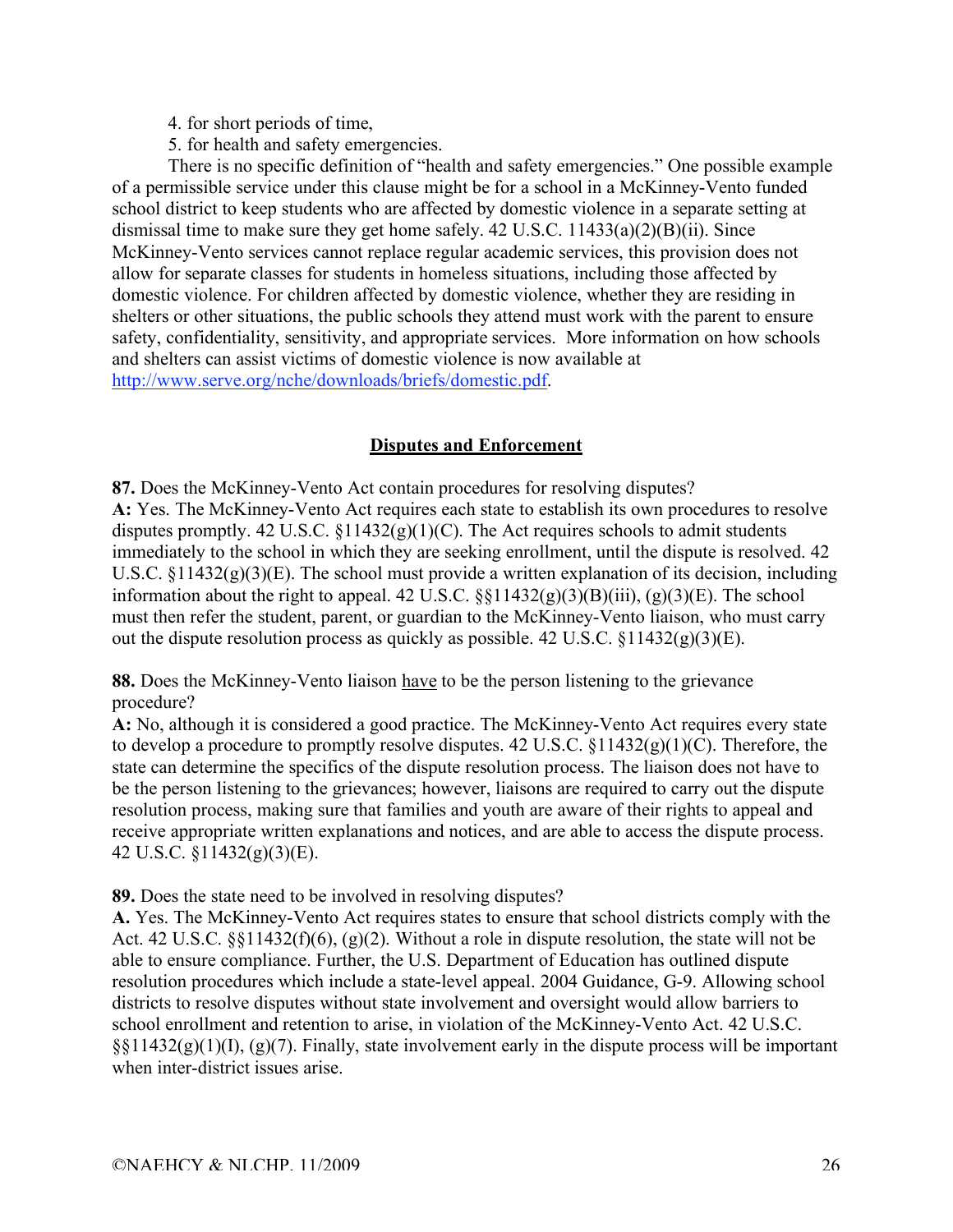- 4. for short periods of time,
- 5. for health and safety emergencies.

<span id="page-25-0"></span>There is no specific definition of "health and safety emergencies." One possible example of a permissible service under this clause might be for a school in a McKinney-Vento funded school district to keep students who are affected by domestic violence in a separate setting at dismissal time to make sure they get home safely. 42 U.S.C. 11433(a)(2)(B)(ii). Since McKinney-Vento services cannot replace regular academic services, this provision does not allow for separate classes for students in homeless situations, including those affected by domestic violence. For children affected by domestic violence, whether they are residing in shelters or other situations, the public schools they attend must work with the parent to ensure safety, confidentiality, sensitivity, and appropriate services. More information on how schools and shelters can assist victims of domestic violence is now available at http://www.serve.org/nche/downloads/briefs/domestic.pdf.

# **Disputes and Enforcement**

**87.** Does the McKinney-Vento Act contain procedures for resolving disputes? **A:** Yes. The McKinney-Vento Act requires each state to establish its own procedures to resolve disputes promptly. 42 U.S.C.  $\S11432(g)(1)(C)$ . The Act requires schools to admit students immediately to the school in which they are seeking enrollment, until the dispute is resolved. 42 U.S.C. §11432(g)(3)(E). The school must provide a written explanation of its decision, including information about the right to appeal. 42 U.S.C. §§11432(g)(3)(B)(iii), (g)(3)(E). The school must then refer the student, parent, or guardian to the McKinney-Vento liaison, who must carry out the dispute resolution process as quickly as possible. 42 U.S.C. §11432(g)(3)(E).

**88.** Does the McKinney-Vento liaison have to be the person listening to the grievance procedure?

**A:** No, although it is considered a good practice. The McKinney-Vento Act requires every state to develop a procedure to promptly resolve disputes. 42 U.S.C.  $\S11432(g)(1)(C)$ . Therefore, the state can determine the specifics of the dispute resolution process. The liaison does not have to be the person listening to the grievances; however, liaisons are required to carry out the dispute resolution process, making sure that families and youth are aware of their rights to appeal and receive appropriate written explanations and notices, and are able to access the dispute process. 42 U.S.C. §11432(g)(3)(E).

### **89.** Does the state need to be involved in resolving disputes?

**A.** Yes. The McKinney-Vento Act requires states to ensure that school districts comply with the Act. 42 U.S.C. §§11432(f)(6), (g)(2). Without a role in dispute resolution, the state will not be able to ensure compliance. Further, the U.S. Department of Education has outlined dispute resolution procedures which include a state-level appeal. 2004 Guidance, G-9. Allowing school districts to resolve disputes without state involvement and oversight would allow barriers to school enrollment and retention to arise, in violation of the McKinney-Vento Act. 42 U.S.C.  $\S(11432(g)(1)(I), (g)(7)$ . Finally, state involvement early in the dispute process will be important when inter-district issues arise.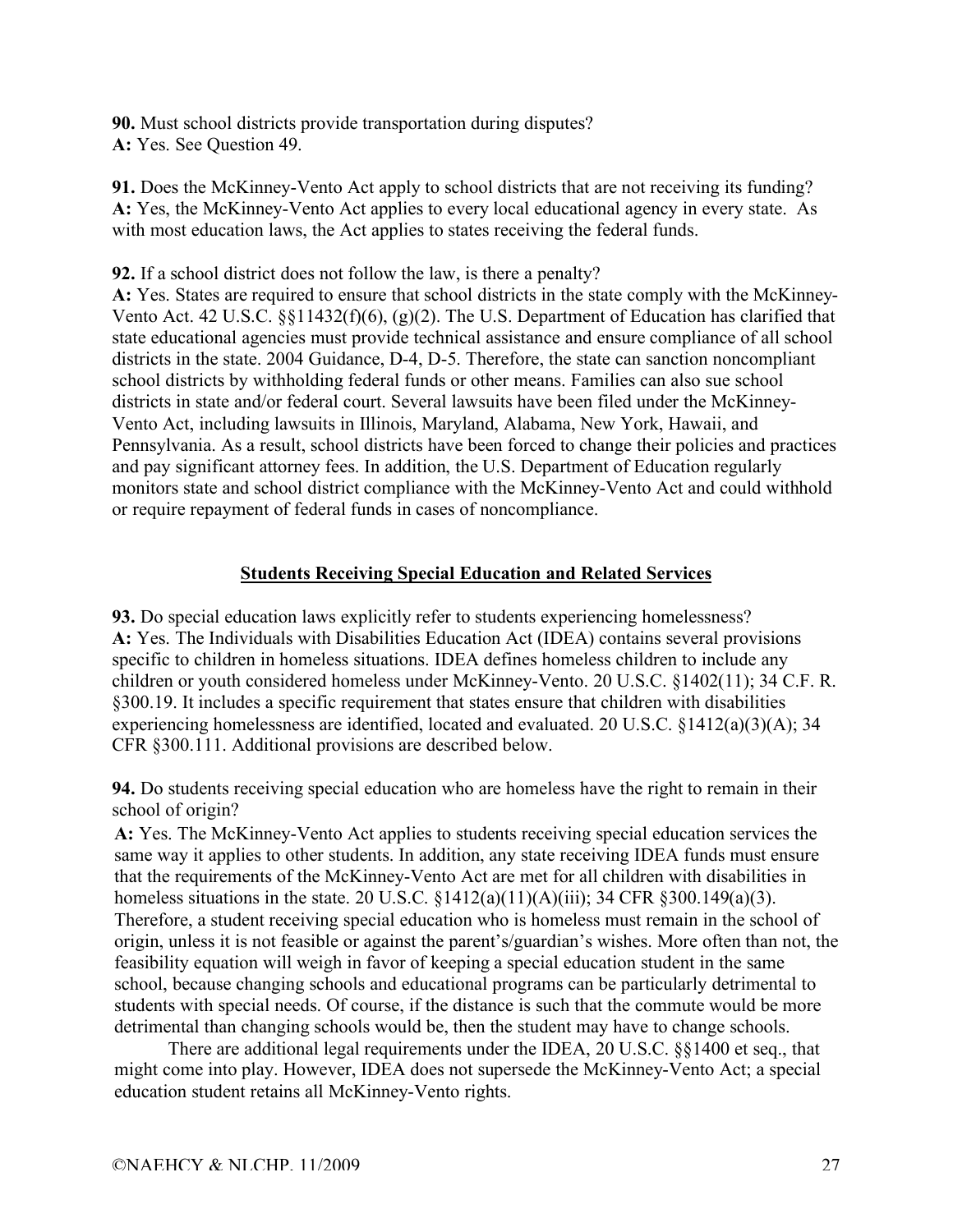**90.** Must school districts provide transportation during disputes? **A:** Yes. See Question 49.

**91.** Does the McKinney-Vento Act apply to school districts that are not receiving its funding? **A:** Yes, the McKinney-Vento Act applies to every local educational agency in every state. As with most education laws, the Act applies to states receiving the federal funds.

# **92.** If a school district does not follow the law, is there a penalty?

<span id="page-26-0"></span>**A:** Yes. States are required to ensure that school districts in the state comply with the McKinney-Vento Act. 42 U.S.C. §§11432(f)(6), (g)(2). The U.S. Department of Education has clarified that state educational agencies must provide technical assistance and ensure compliance of all school districts in the state. 2004 Guidance, D-4, D-5. Therefore, the state can sanction noncompliant school districts by withholding federal funds or other means. Families can also sue school districts in state and/or federal court. Several lawsuits have been filed under the McKinney-Vento Act, including lawsuits in Illinois, Maryland, Alabama, New York, Hawaii, and Pennsylvania. As a result, school districts have been forced to change their policies and practices and pay significant attorney fees. In addition, the U.S. Department of Education regularly monitors state and school district compliance with the McKinney-Vento Act and could withhold or require repayment of federal funds in cases of noncompliance.

# **Students Receiving Special Education and Related Services**

**93.** Do special education laws explicitly refer to students experiencing homelessness? **A:** Yes. The Individuals with Disabilities Education Act (IDEA) contains several provisions specific to children in homeless situations. IDEA defines homeless children to include any children or youth considered homeless under McKinney-Vento. 20 U.S.C. §1402(11); 34 C.F. R. §300.19. It includes a specific requirement that states ensure that children with disabilities experiencing homelessness are identified, located and evaluated. 20 U.S.C. §1412(a)(3)(A); 34 CFR §300.111. Additional provisions are described below.

**94.** Do students receiving special education who are homeless have the right to remain in their school of origin?

**A:** Yes. The McKinney-Vento Act applies to students receiving special education services the same way it applies to other students. In addition, any state receiving IDEA funds must ensure that the requirements of the McKinney-Vento Act are met for all children with disabilities in homeless situations in the state. 20 U.S.C. §1412(a)(11)(A)(iii); 34 CFR §300.149(a)(3). Therefore, a student receiving special education who is homeless must remain in the school of origin, unless it is not feasible or against the parent's/guardian's wishes. More often than not, the feasibility equation will weigh in favor of keeping a special education student in the same school, because changing schools and educational programs can be particularly detrimental to students with special needs. Of course, if the distance is such that the commute would be more detrimental than changing schools would be, then the student may have to change schools.

There are additional legal requirements under the IDEA, 20 U.S.C. §§1400 et seq., that might come into play. However, IDEA does not supersede the McKinney-Vento Act; a special education student retains all McKinney-Vento rights.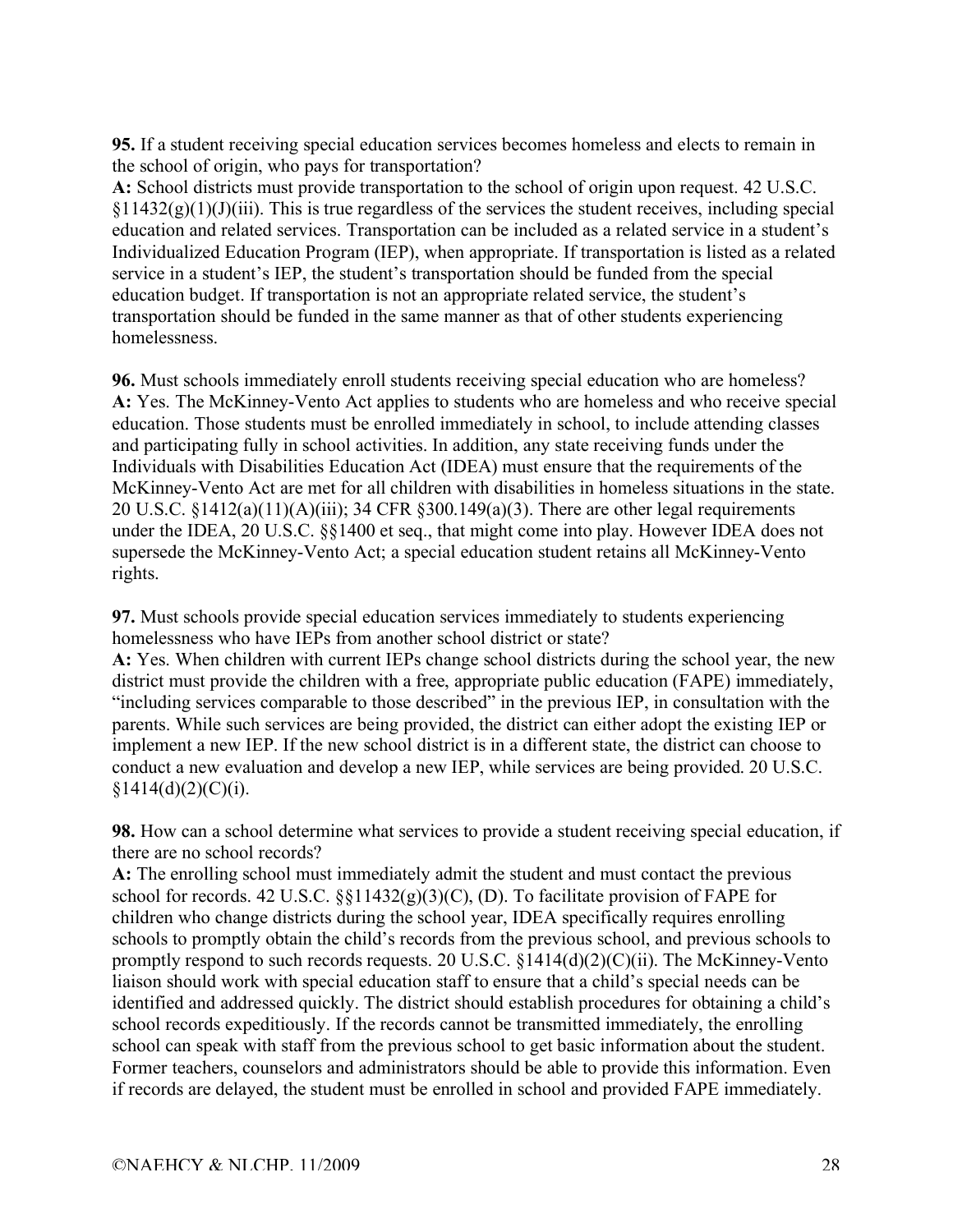**95.** If a student receiving special education services becomes homeless and elects to remain in the school of origin, who pays for transportation?

**A:** School districts must provide transportation to the school of origin upon request. 42 U.S.C.  $\frac{11432(g)(1)(J)(iii)}{2}$ . This is true regardless of the services the student receives, including special education and related services. Transportation can be included as a related service in a student's Individualized Education Program (IEP), when appropriate. If transportation is listed as a related service in a student's IEP, the student's transportation should be funded from the special education budget. If transportation is not an appropriate related service, the student's transportation should be funded in the same manner as that of other students experiencing homelessness.

**96.** Must schools immediately enroll students receiving special education who are homeless? **A:** Yes. The McKinney-Vento Act applies to students who are homeless and who receive special education. Those students must be enrolled immediately in school, to include attending classes and participating fully in school activities. In addition, any state receiving funds under the Individuals with Disabilities Education Act (IDEA) must ensure that the requirements of the McKinney-Vento Act are met for all children with disabilities in homeless situations in the state. 20 U.S.C. §1412(a)(11)(A)(iii); 34 CFR §300.149(a)(3). There are other legal requirements under the IDEA, 20 U.S.C. §§1400 et seq., that might come into play. However IDEA does not supersede the McKinney-Vento Act; a special education student retains all McKinney-Vento rights.

**97.** Must schools provide special education services immediately to students experiencing homelessness who have IEPs from another school district or state?

**A:** Yes. When children with current IEPs change school districts during the school year, the new district must provide the children with a free, appropriate public education (FAPE) immediately, "including services comparable to those described" in the previous IEP, in consultation with the parents. While such services are being provided, the district can either adopt the existing IEP or implement a new IEP. If the new school district is in a different state, the district can choose to conduct a new evaluation and develop a new IEP, while services are being provided. 20 U.S.C.  $§1414(d)(2)(C)(i).$ 

**98.** How can a school determine what services to provide a student receiving special education, if there are no school records?

**A:** The enrolling school must immediately admit the student and must contact the previous school for records. 42 U.S.C. §§11432(g)(3)(C), (D). To facilitate provision of FAPE for children who change districts during the school year, IDEA specifically requires enrolling schools to promptly obtain the child's records from the previous school, and previous schools to promptly respond to such records requests. 20 U.S.C. §1414(d)(2)(C)(ii). The McKinney-Vento liaison should work with special education staff to ensure that a child's special needs can be identified and addressed quickly. The district should establish procedures for obtaining a child's school records expeditiously. If the records cannot be transmitted immediately, the enrolling school can speak with staff from the previous school to get basic information about the student. Former teachers, counselors and administrators should be able to provide this information. Even if records are delayed, the student must be enrolled in school and provided FAPE immediately.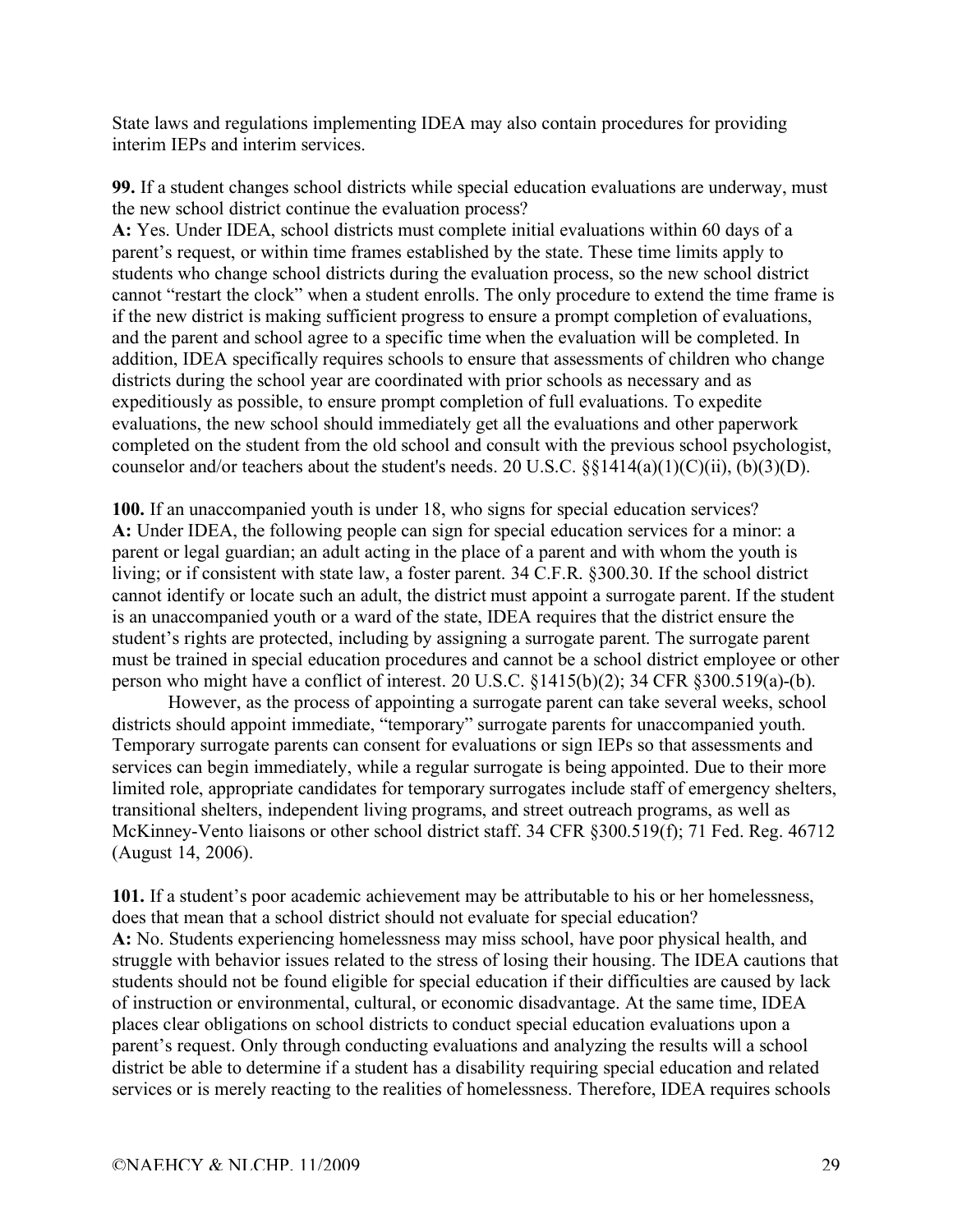State laws and regulations implementing IDEA may also contain procedures for providing interim IEPs and interim services.

**99.** If a student changes school districts while special education evaluations are underway, must the new school district continue the evaluation process?

**A:** Yes. Under IDEA, school districts must complete initial evaluations within 60 days of a parent's request, or within time frames established by the state. These time limits apply to students who change school districts during the evaluation process, so the new school district cannot "restart the clock" when a student enrolls. The only procedure to extend the time frame is if the new district is making sufficient progress to ensure a prompt completion of evaluations, and the parent and school agree to a specific time when the evaluation will be completed. In addition, IDEA specifically requires schools to ensure that assessments of children who change districts during the school year are coordinated with prior schools as necessary and as expeditiously as possible, to ensure prompt completion of full evaluations. To expedite evaluations, the new school should immediately get all the evaluations and other paperwork completed on the student from the old school and consult with the previous school psychologist, counselor and/or teachers about the student's needs. 20 U.S.C. §§1414(a)(1)(C)(ii), (b)(3)(D).

**100.** If an unaccompanied youth is under 18, who signs for special education services? **A:** Under IDEA, the following people can sign for special education services for a minor: a parent or legal guardian; an adult acting in the place of a parent and with whom the youth is living; or if consistent with state law, a foster parent. 34 C.F.R. §300.30. If the school district cannot identify or locate such an adult, the district must appoint a surrogate parent. If the student is an unaccompanied youth or a ward of the state, IDEA requires that the district ensure the student's rights are protected, including by assigning a surrogate parent. The surrogate parent must be trained in special education procedures and cannot be a school district employee or other person who might have a conflict of interest. 20 U.S.C. §1415(b)(2); 34 CFR §300.519(a)-(b).

However, as the process of appointing a surrogate parent can take several weeks, school districts should appoint immediate, "temporary" surrogate parents for unaccompanied youth. Temporary surrogate parents can consent for evaluations or sign IEPs so that assessments and services can begin immediately, while a regular surrogate is being appointed. Due to their more limited role, appropriate candidates for temporary surrogates include staff of emergency shelters, transitional shelters, independent living programs, and street outreach programs, as well as McKinney-Vento liaisons or other school district staff. 34 CFR §300.519(f); 71 Fed. Reg. 46712 (August 14, 2006).

**101.** If a student's poor academic achievement may be attributable to his or her homelessness, does that mean that a school district should not evaluate for special education? **A:** No. Students experiencing homelessness may miss school, have poor physical health, and struggle with behavior issues related to the stress of losing their housing. The IDEA cautions that students should not be found eligible for special education if their difficulties are caused by lack of instruction or environmental, cultural, or economic disadvantage. At the same time, IDEA places clear obligations on school districts to conduct special education evaluations upon a parent's request. Only through conducting evaluations and analyzing the results will a school district be able to determine if a student has a disability requiring special education and related services or is merely reacting to the realities of homelessness. Therefore, IDEA requires schools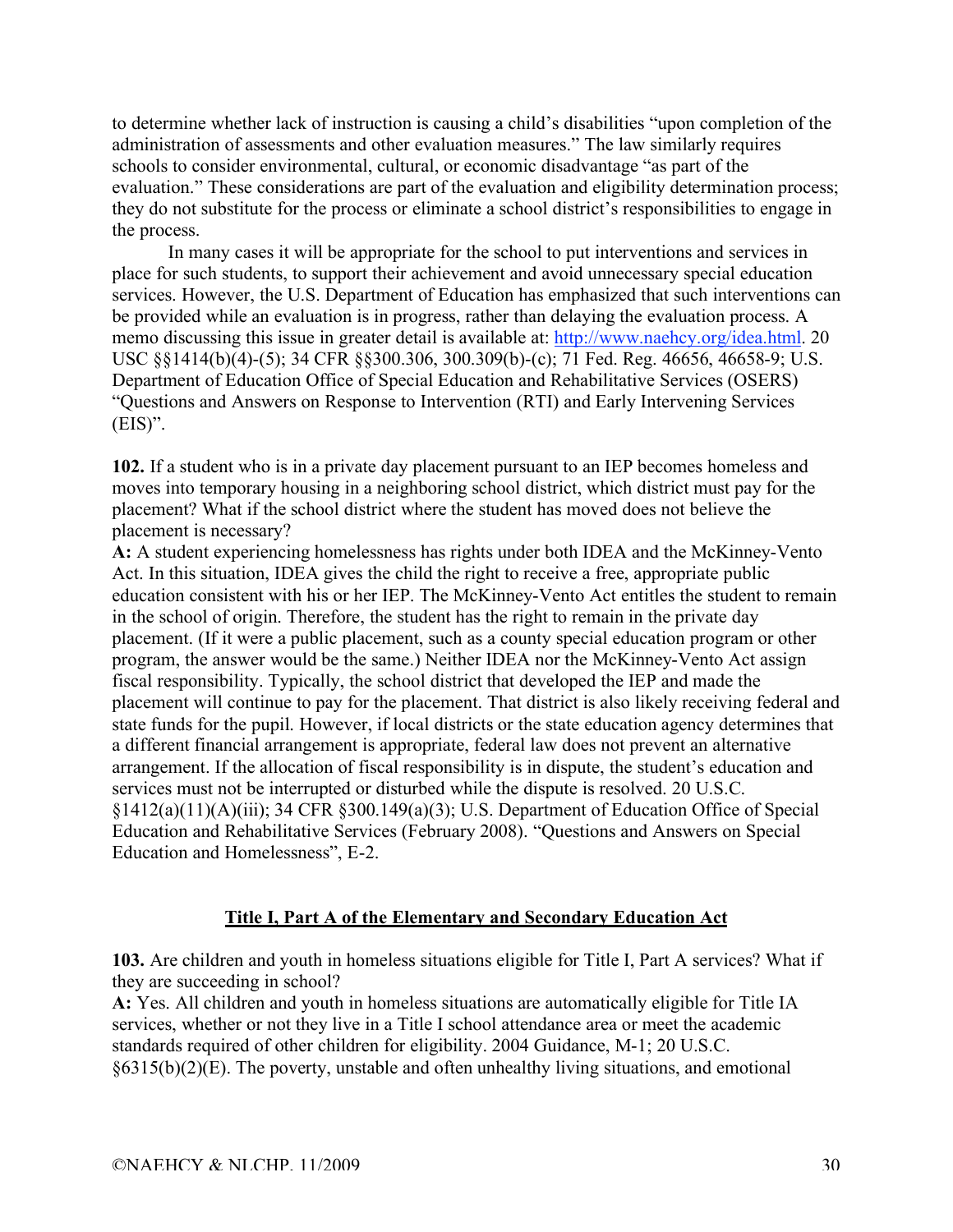to determine whether lack of instruction is causing a child's disabilities "upon completion of the administration of assessments and other evaluation measures." The law similarly requires schools to consider environmental, cultural, or economic disadvantage "as part of the evaluation." These considerations are part of the evaluation and eligibility determination process; they do not substitute for the process or eliminate a school district's responsibilities to engage in the process.

In many cases it will be appropriate for the school to put interventions and services in place for such students, to support their achievement and avoid unnecessary special education services. However, the U.S. Department of Education has emphasized that such interventions can be provided while an evaluation is in progress, rather than delaying the evaluation process. A memo discussing this issue in greater detail is available at: http://www.naehcy.org/idea.html. 20 USC §§1414(b)(4)-(5); 34 CFR §§300.306, 300.309(b)-(c); 71 Fed. Reg. 46656, 46658-9; U.S. Department of Education Office of Special Education and Rehabilitative Services (OSERS) "Questions and Answers on Response to Intervention (RTI) and Early Intervening Services  $(EIS)$ ".

**102.** If a student who is in a private day placement pursuant to an IEP becomes homeless and moves into temporary housing in a neighboring school district, which district must pay for the placement? What if the school district where the student has moved does not believe the placement is necessary?

**A:** A student experiencing homelessness has rights under both IDEA and the McKinney-Vento Act. In this situation, IDEA gives the child the right to receive a free, appropriate public education consistent with his or her IEP. The McKinney-Vento Act entitles the student to remain in the school of origin. Therefore, the student has the right to remain in the private day placement. (If it were a public placement, such as a county special education program or other program, the answer would be the same.) Neither IDEA nor the McKinney-Vento Act assign fiscal responsibility. Typically, the school district that developed the IEP and made the placement will continue to pay for the placement. That district is also likely receiving federal and state funds for the pupil. However, if local districts or the state education agency determines that a different financial arrangement is appropriate, federal law does not prevent an alternative arrangement. If the allocation of fiscal responsibility is in dispute, the student's education and services must not be interrupted or disturbed while the dispute is resolved. 20 U.S.C.  $\S1412(a)(11)(A)(iii)$ ; 34 CFR  $\S300.149(a)(3)$ ; U.S. Department of Education Office of Special Education and Rehabilitative Services (February 2008). "Questions and Answers on Special Education and Homelessness", E-2.

#### **Title I, Part A of the Elementary and Secondary Education Act**

<span id="page-29-0"></span>**103.** Are children and youth in homeless situations eligible for Title I, Part A services? What if they are succeeding in school?

**A:** Yes. All children and youth in homeless situations are automatically eligible for Title IA services, whether or not they live in a Title I school attendance area or meet the academic standards required of other children for eligibility. 2004 Guidance, M-1; 20 U.S.C. §6315(b)(2)(E). The poverty, unstable and often unhealthy living situations, and emotional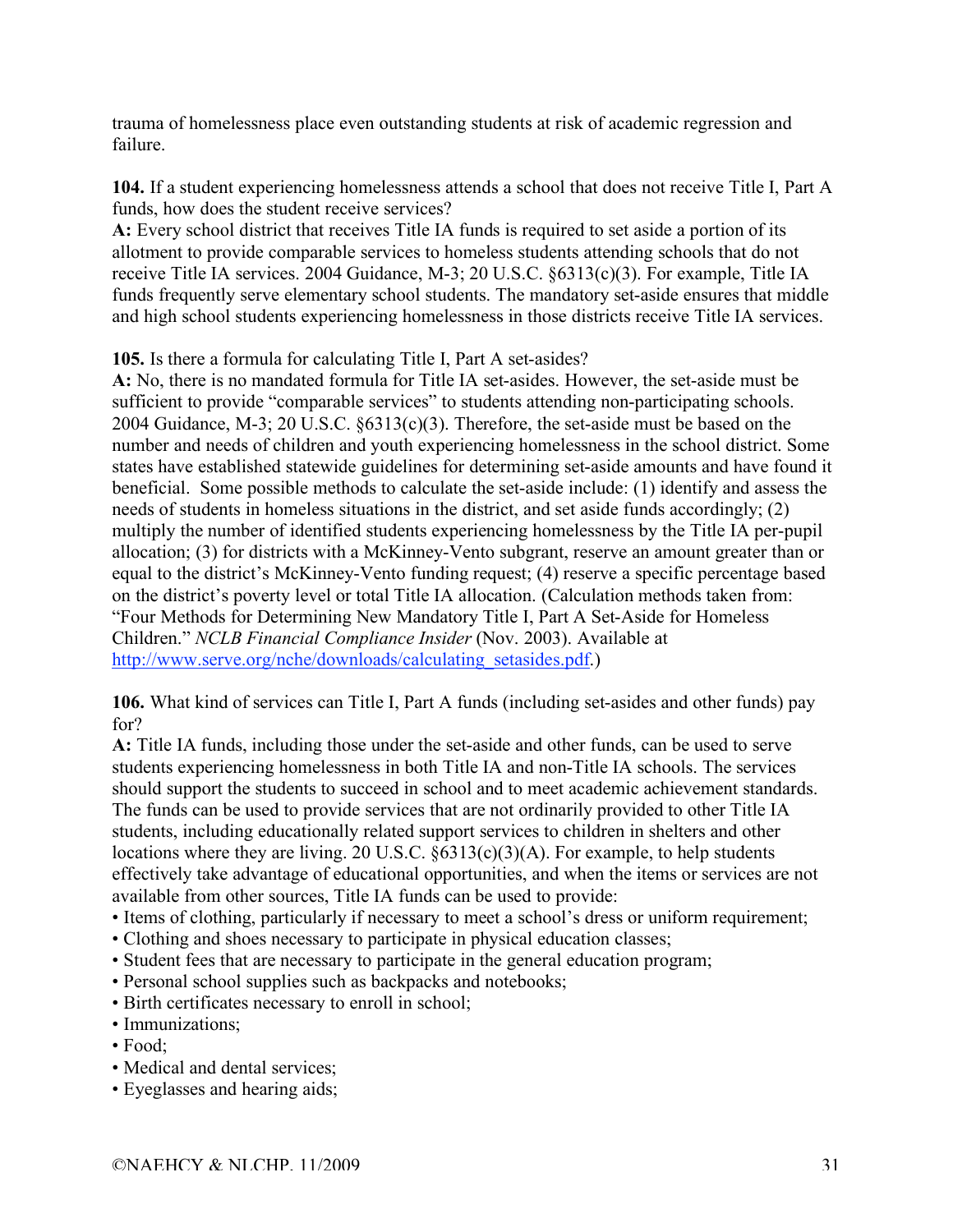trauma of homelessness place even outstanding students at risk of academic regression and failure.

**104.** If a student experiencing homelessness attends a school that does not receive Title I, Part A funds, how does the student receive services?

**A:** Every school district that receives Title IA funds is required to set aside a portion of its allotment to provide comparable services to homeless students attending schools that do not receive Title IA services. 2004 Guidance, M-3; 20 U.S.C. §6313(c)(3). For example, Title IA funds frequently serve elementary school students. The mandatory set-aside ensures that middle and high school students experiencing homelessness in those districts receive Title IA services.

**105.** Is there a formula for calculating Title I, Part A set-asides?

**A:** No, there is no mandated formula for Title IA set-asides. However, the set-aside must be sufficient to provide "comparable services" to students attending non-participating schools. 2004 Guidance, M-3; 20 U.S.C. §6313(c)(3). Therefore, the set-aside must be based on the number and needs of children and youth experiencing homelessness in the school district. Some states have established statewide guidelines for determining set-aside amounts and have found it beneficial. Some possible methods to calculate the set-aside include: (1) identify and assess the needs of students in homeless situations in the district, and set aside funds accordingly; (2) multiply the number of identified students experiencing homelessness by the Title IA per-pupil allocation; (3) for districts with a McKinney-Vento subgrant, reserve an amount greater than or equal to the district's McKinney-Vento funding request; (4) reserve a specific percentage based on the district's poverty level or total Title IA allocation. (Calculation methods taken from: "Four Methods for Determining New Mandatory Title I, Part A Set-Aside for Homeless Children." *NCLB Financial Compliance Insider* (Nov. 2003). Available at http://www.serve.org/nche/downloads/calculating\_setasides.pdf.)

**106.** What kind of services can Title I, Part A funds (including set-asides and other funds) pay for?

**A:** Title IA funds, including those under the set-aside and other funds, can be used to serve students experiencing homelessness in both Title IA and non-Title IA schools. The services should support the students to succeed in school and to meet academic achievement standards. The funds can be used to provide services that are not ordinarily provided to other Title IA students, including educationally related support services to children in shelters and other locations where they are living. 20 U.S.C. §6313(c)(3)(A). For example, to help students effectively take advantage of educational opportunities, and when the items or services are not available from other sources, Title IA funds can be used to provide:

- Items of clothing, particularly if necessary to meet a school's dress or uniform requirement;
- Clothing and shoes necessary to participate in physical education classes;
- Student fees that are necessary to participate in the general education program;
- Personal school supplies such as backpacks and notebooks;
- Birth certificates necessary to enroll in school;
- Immunizations;
- Food;
- Medical and dental services;
- Eyeglasses and hearing aids;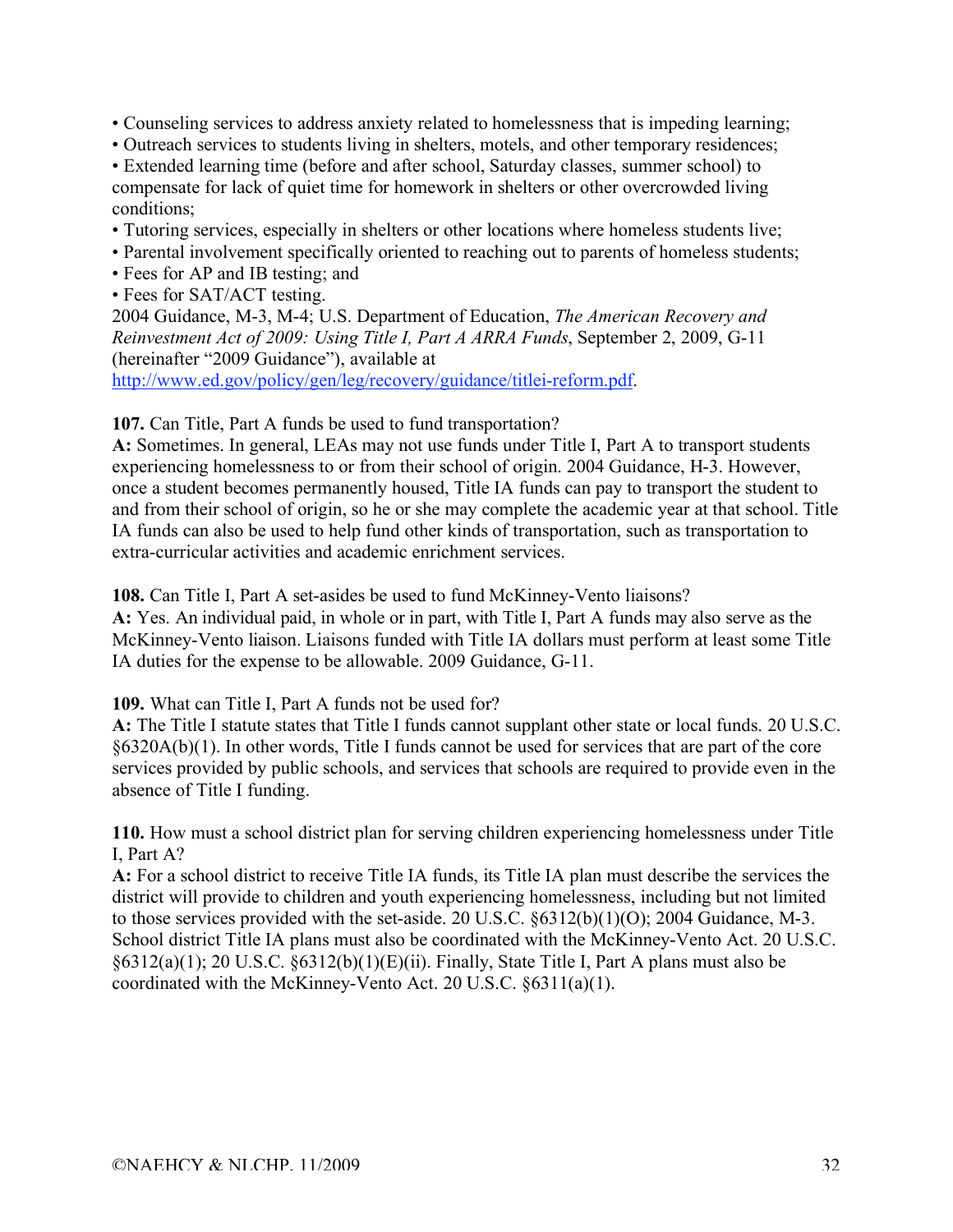- Counseling services to address anxiety related to homelessness that is impeding learning;
- Outreach services to students living in shelters, motels, and other temporary residences;
- Extended learning time (before and after school, Saturday classes, summer school) to compensate for lack of quiet time for homework in shelters or other overcrowded living conditions;
- Tutoring services, especially in shelters or other locations where homeless students live;
- Parental involvement specifically oriented to reaching out to parents of homeless students;
- Fees for AP and IB testing; and
- Fees for SAT/ACT testing.

2004 Guidance, M-3, M-4; U.S. Department of Education, *The American Recovery and Reinvestment Act of 2009: Using Title I, Part A ARRA Funds*, September 2, 2009, G-11 (hereinafter "2009 Guidance"), available at

http://www.ed.gov/policy/gen/leg/recovery/guidance/titlei-reform.pdf.

#### **107.** Can Title, Part A funds be used to fund transportation?

**A:** Sometimes. In general, LEAs may not use funds under Title I, Part A to transport students experiencing homelessness to or from their school of origin. 2004 Guidance, H-3. However, once a student becomes permanently housed, Title IA funds can pay to transport the student to and from their school of origin, so he or she may complete the academic year at that school. Title IA funds can also be used to help fund other kinds of transportation, such as transportation to extra-curricular activities and academic enrichment services.

**108.** Can Title I, Part A set-asides be used to fund McKinney-Vento liaisons? **A:** Yes. An individual paid, in whole or in part, with Title I, Part A funds may also serve as the McKinney-Vento liaison. Liaisons funded with Title IA dollars must perform at least some Title IA duties for the expense to be allowable. 2009 Guidance, G-11.

**109.** What can Title I, Part A funds not be used for?

**A:** The Title I statute states that Title I funds cannot supplant other state or local funds. 20 U.S.C. §6320A(b)(1). In other words, Title I funds cannot be used for services that are part of the core services provided by public schools, and services that schools are required to provide even in the absence of Title I funding.

**110.** How must a school district plan for serving children experiencing homelessness under Title I, Part A?

**A:** For a school district to receive Title IA funds, its Title IA plan must describe the services the district will provide to children and youth experiencing homelessness, including but not limited to those services provided with the set-aside. 20 U.S.C. §6312(b)(1)(O); 2004 Guidance, M-3. School district Title IA plans must also be coordinated with the McKinney-Vento Act. 20 U.S.C.  $§6312(a)(1); 20 U.S.C. §6312(b)(1)(E)(ii)$ . Finally, State Title I, Part A plans must also be coordinated with the McKinney-Vento Act. 20 U.S.C. §6311(a)(1).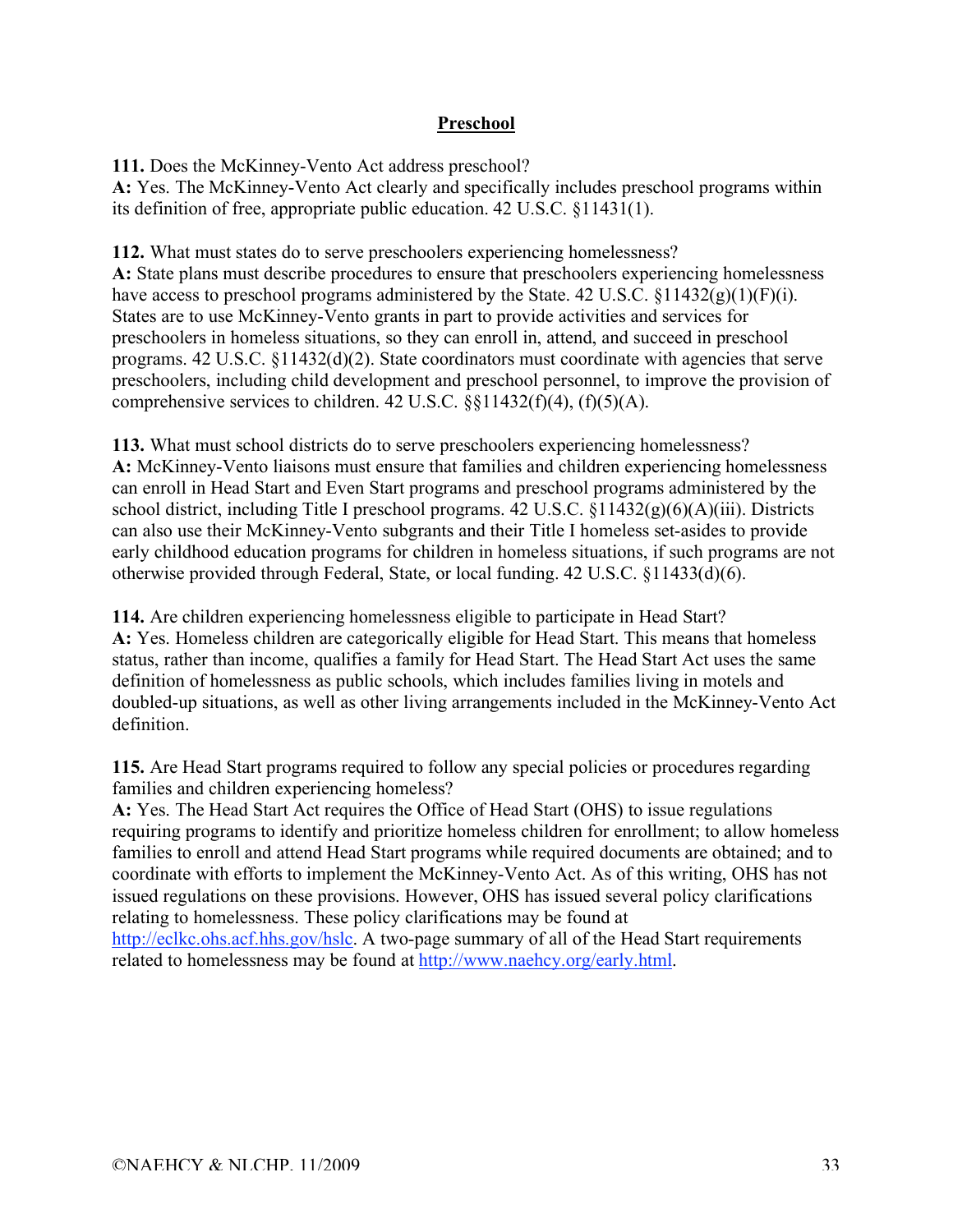# **Preschool**

<span id="page-32-0"></span>**111.** Does the McKinney-Vento Act address preschool? **A:** Yes. The McKinney-Vento Act clearly and specifically includes preschool programs within its definition of free, appropriate public education. 42 U.S.C. §11431(1).

**112.** What must states do to serve preschoolers experiencing homelessness? **A:** State plans must describe procedures to ensure that preschoolers experiencing homelessness have access to preschool programs administered by the State. 42 U.S.C.  $\S 11432(g)(1)(F)(i)$ . States are to use McKinney-Vento grants in part to provide activities and services for preschoolers in homeless situations, so they can enroll in, attend, and succeed in preschool programs. 42 U.S.C. §11432(d)(2). State coordinators must coordinate with agencies that serve preschoolers, including child development and preschool personnel, to improve the provision of comprehensive services to children. 42 U.S.C.  $\S$ [11432(f)(4), (f)(5)(A).

**113.** What must school districts do to serve preschoolers experiencing homelessness? **A:** McKinney-Vento liaisons must ensure that families and children experiencing homelessness can enroll in Head Start and Even Start programs and preschool programs administered by the school district, including Title I preschool programs. 42 U.S.C. §11432(g)(6)(A)(iii). Districts can also use their McKinney-Vento subgrants and their Title I homeless set-asides to provide early childhood education programs for children in homeless situations, if such programs are not otherwise provided through Federal, State, or local funding. 42 U.S.C. §11433(d)(6).

**114.** Are children experiencing homelessness eligible to participate in Head Start? **A:** Yes. Homeless children are categorically eligible for Head Start. This means that homeless status, rather than income, qualifies a family for Head Start. The Head Start Act uses the same definition of homelessness as public schools, which includes families living in motels and doubled-up situations, as well as other living arrangements included in the McKinney-Vento Act definition.

**115.** Are Head Start programs required to follow any special policies or procedures regarding families and children experiencing homeless?

**A:** Yes. The Head Start Act requires the Office of Head Start (OHS) to issue regulations requiring programs to identify and prioritize homeless children for enrollment; to allow homeless families to enroll and attend Head Start programs while required documents are obtained; and to coordinate with efforts to implement the McKinney-Vento Act. As of this writing, OHS has not issued regulations on these provisions. However, OHS has issued several policy clarifications relating to homelessness. These policy clarifications may be found at http://eclkc.ohs.acf.hhs.gov/hslc. A two-page summary of all of the Head Start requirements related to homelessness may be found at http://www.naehcy.org/early.html.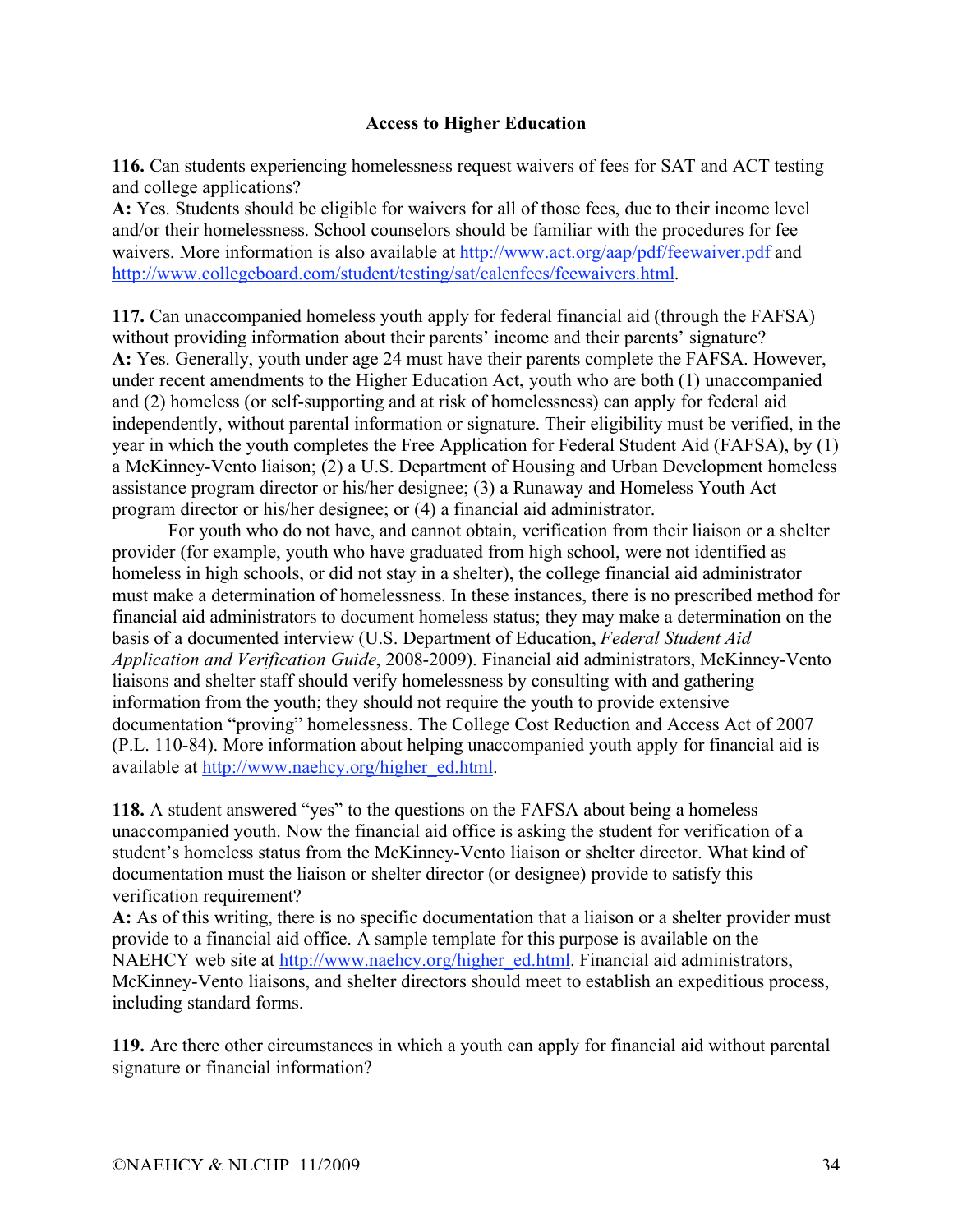### **Access to Higher Education**

<span id="page-33-0"></span>**116.** Can students experiencing homelessness request waivers of fees for SAT and ACT testing and college applications?

**A:** Yes. Students should be eligible for waivers for all of those fees, due to their income level and/or their homelessness. School counselors should be familiar with the procedures for fee waivers. More information is also available at http://www.act.org/aap/pdf/feewaiver.pdf and http://www.collegeboard.com/student/testing/sat/calenfees/feewaivers.html.

**117.** Can unaccompanied homeless youth apply for federal financial aid (through the FAFSA) without providing information about their parents' income and their parents' signature? **A:** Yes. Generally, youth under age 24 must have their parents complete the FAFSA. However, under recent amendments to the Higher Education Act, youth who are both (1) unaccompanied and (2) homeless (or self-supporting and at risk of homelessness) can apply for federal aid independently, without parental information or signature. Their eligibility must be verified, in the year in which the youth completes the Free Application for Federal Student Aid (FAFSA), by (1) a McKinney-Vento liaison; (2) a U.S. Department of Housing and Urban Development homeless assistance program director or his/her designee; (3) a Runaway and Homeless Youth Act program director or his/her designee; or (4) a financial aid administrator.

For youth who do not have, and cannot obtain, verification from their liaison or a shelter provider (for example, youth who have graduated from high school, were not identified as homeless in high schools, or did not stay in a shelter), the college financial aid administrator must make a determination of homelessness. In these instances, there is no prescribed method for financial aid administrators to document homeless status; they may make a determination on the basis of a documented interview (U.S. Department of Education, *Federal Student Aid Application and Verification Guide*, 2008-2009). Financial aid administrators, McKinney-Vento liaisons and shelter staff should verify homelessness by consulting with and gathering information from the youth; they should not require the youth to provide extensive documentation "proving" homelessness. The College Cost Reduction and Access Act of 2007 (P.L. 110-84). More information about helping unaccompanied youth apply for financial aid is available at http://www.naehcy.org/higher\_ed.html.

**118.** A student answered "yes" to the questions on the FAFSA about being a homeless unaccompanied youth. Now the financial aid office is asking the student for verification of a student's homeless status from the McKinney-Vento liaison or shelter director. What kind of documentation must the liaison or shelter director (or designee) provide to satisfy this verification requirement?

**A:** As of this writing, there is no specific documentation that a liaison or a shelter provider must provide to a financial aid office. A sample template for this purpose is available on the NAEHCY web site at http://www.naehcy.org/higher\_ed.html. Financial aid administrators, McKinney-Vento liaisons, and shelter directors should meet to establish an expeditious process, including standard forms.

**119.** Are there other circumstances in which a youth can apply for financial aid without parental signature or financial information?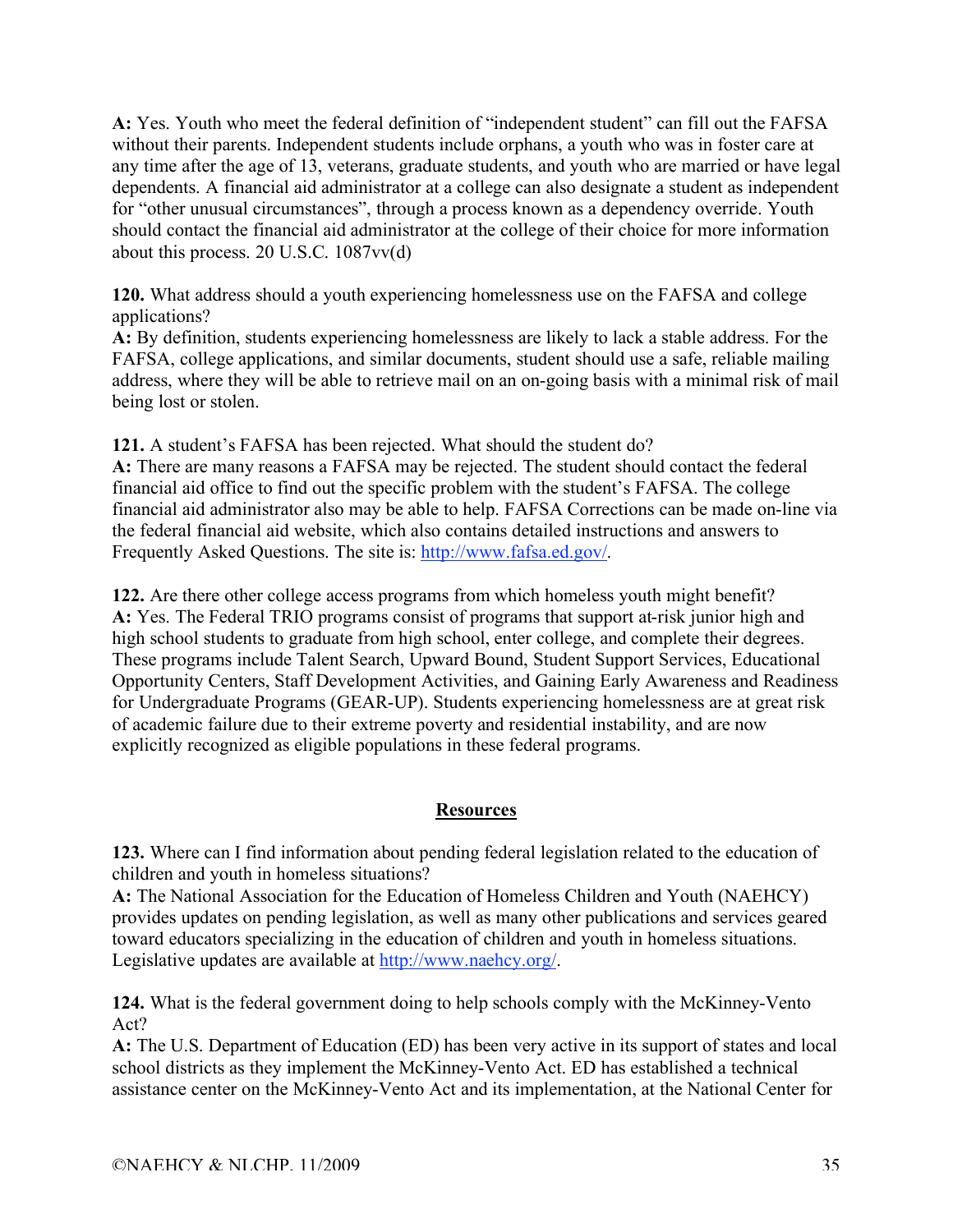**A:** Yes. Youth who meet the federal definition of "independent student" can fill out the FAFSA without their parents. Independent students include orphans, a youth who was in foster care at any time after the age of 13, veterans, graduate students, and youth who are married or have legal dependents. A financial aid administrator at a college can also designate a student as independent for "other unusual circumstances", through a process known as a dependency override. Youth should contact the financial aid administrator at the college of their choice for more information about this process. 20 U.S.C. 1087vv(d)

**120.** What address should a youth experiencing homelessness use on the FAFSA and college applications?

**A:** By definition, students experiencing homelessness are likely to lack a stable address. For the FAFSA, college applications, and similar documents, student should use a safe, reliable mailing address, where they will be able to retrieve mail on an on-going basis with a minimal risk of mail being lost or stolen.

**121.** A student's FAFSA has been rejected. What should the student do?

**A:** There are many reasons a FAFSA may be rejected. The student should contact the federal financial aid office to find out the specific problem with the student's FAFSA. The college financial aid administrator also may be able to help. FAFSA Corrections can be made on-line via the federal financial aid website, which also contains detailed instructions and answers to Frequently Asked Questions. The site is: http://www.fafsa.ed.gov/.

<span id="page-34-0"></span>**122.** Are there other college access programs from which homeless youth might benefit? **A:** Yes. The Federal TRIO programs consist of programs that support at-risk junior high and high school students to graduate from high school, enter college, and complete their degrees. These programs include Talent Search, Upward Bound, Student Support Services, Educational Opportunity Centers, Staff Development Activities, and Gaining Early Awareness and Readiness for Undergraduate Programs (GEAR-UP). Students experiencing homelessness are at great risk of academic failure due to their extreme poverty and residential instability, and are now explicitly recognized as eligible populations in these federal programs.

# **Resources**

**123.** Where can I find information about pending federal legislation related to the education of children and youth in homeless situations?

**A:** The National Association for the Education of Homeless Children and Youth (NAEHCY) provides updates on pending legislation, as well as many other publications and services geared toward educators specializing in the education of children and youth in homeless situations. Legislative updates are available at http://www.naehcy.org/.

**124.** What is the federal government doing to help schools comply with the McKinney-Vento Act?

**A:** The U.S. Department of Education (ED) has been very active in its support of states and local school districts as they implement the McKinney-Vento Act. ED has established a technical assistance center on the McKinney-Vento Act and its implementation, at the National Center for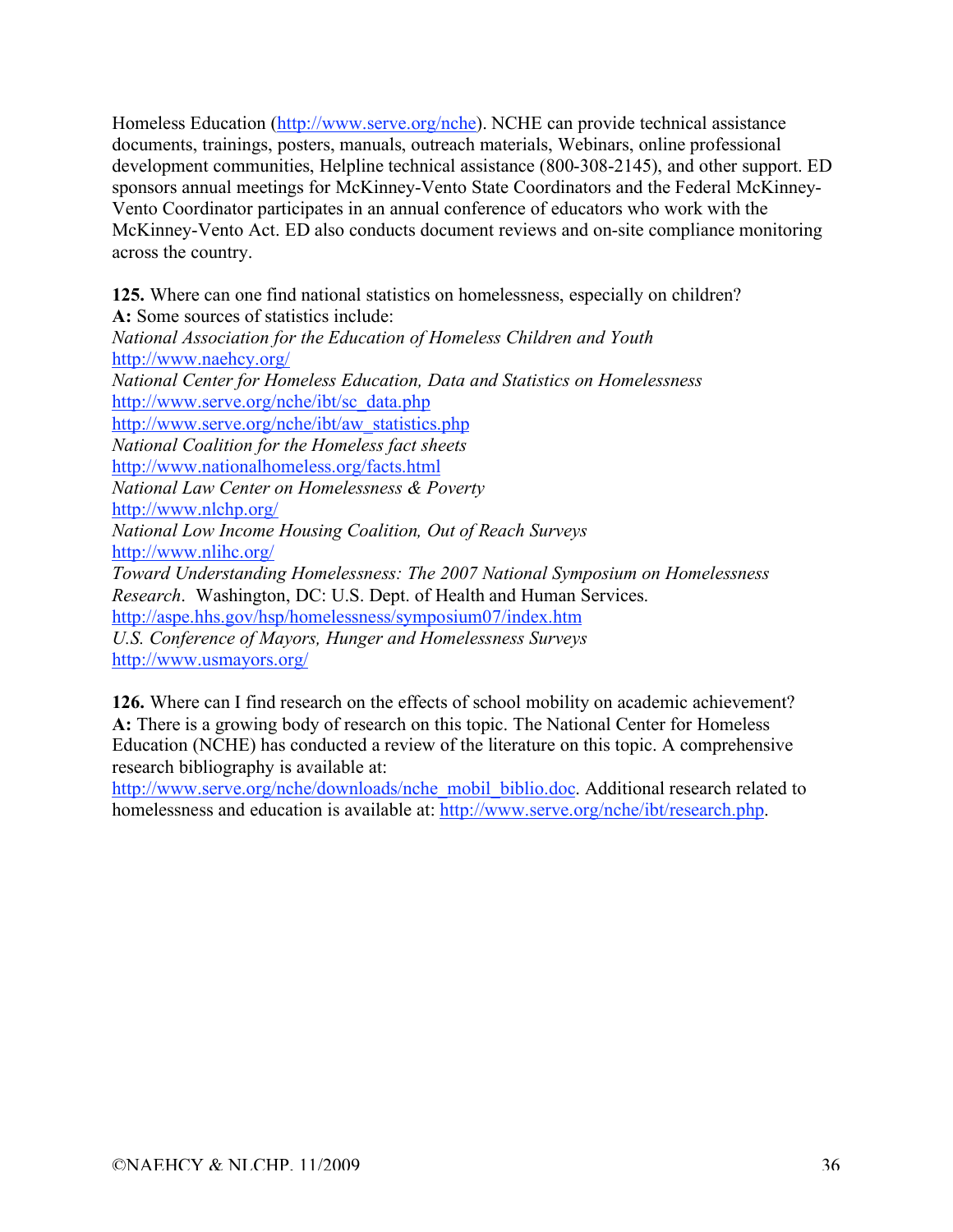Homeless Education (http://www.serve.org/nche). NCHE can provide technical assistance documents, trainings, posters, manuals, outreach materials, Webinars, online professional development communities, Helpline technical assistance (800-308-2145), and other support. ED sponsors annual meetings for McKinney-Vento State Coordinators and the Federal McKinney-Vento Coordinator participates in an annual conference of educators who work with the McKinney-Vento Act. ED also conducts document reviews and on-site compliance monitoring across the country.

**125.** Where can one find national statistics on homelessness, especially on children? **A:** Some sources of statistics include:

*National Association for the Education of Homeless Children and Youth* http://www.naehcy.org/ *National Center for Homeless Education, Data and Statistics on Homelessness* http://www.serve.org/nche/ibt/sc\_data.php http://www.serve.org/nche/ibt/aw\_statistics.php *National Coalition for the Homeless fact sheets* http://www.nationalhomeless.org/facts.html *National Law Center on Homelessness & Poverty* http://www.nlchp.org/ *National Low Income Housing Coalition, Out of Reach Surveys* http://www.nlihc.org/ *Toward Understanding Homelessness: The 2007 National Symposium on Homelessness Research*. Washington, DC: U.S. Dept. of Health and Human Services. http://aspe.hhs.gov/hsp/homelessness/symposium07/index.htm *U.S. Conference of Mayors, Hunger and Homelessness Surveys* http://www.usmayors.org/

**126.** Where can I find research on the effects of school mobility on academic achievement? **A:** There is a growing body of research on this topic. The National Center for Homeless Education (NCHE) has conducted a review of the literature on this topic. A comprehensive research bibliography is available at:

http://www<u>.serve.org/nche/downloads/nche\_mobil\_biblio.doc</u>. Additional research related to homelessness and education is available at: http://www.serve.org/nche/ibt/research.php.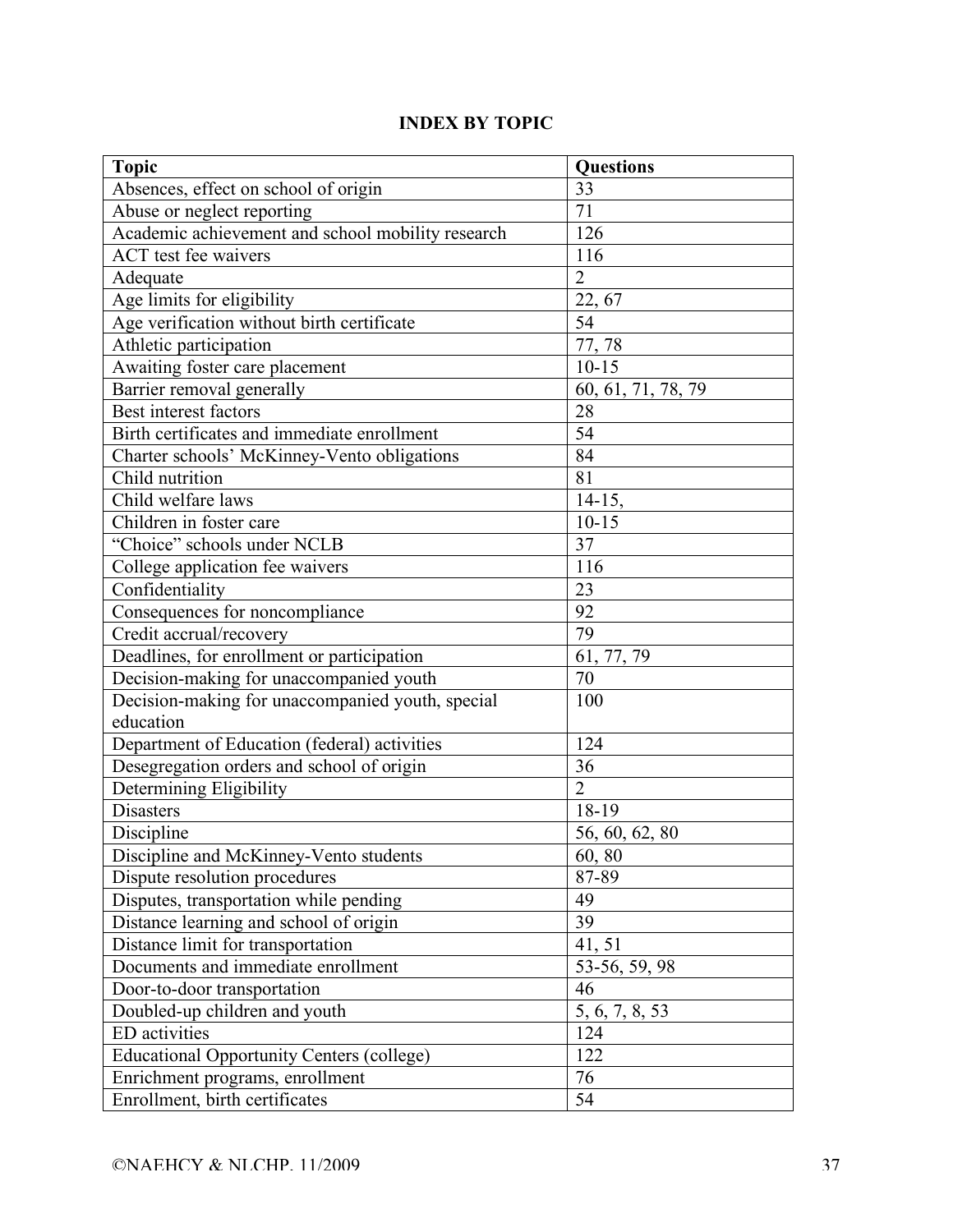# **INDEX BY TOPIC**

<span id="page-36-0"></span>

| <b>Topic</b>                                      | <b>Questions</b>        |
|---------------------------------------------------|-------------------------|
| Absences, effect on school of origin              | 33                      |
| Abuse or neglect reporting                        | 71                      |
| Academic achievement and school mobility research | 126                     |
| ACT test fee waivers                              | 116                     |
| Adequate                                          | $\overline{2}$          |
| Age limits for eligibility                        | 22, 67                  |
| Age verification without birth certificate        | 54                      |
| Athletic participation                            | 77, 78                  |
| Awaiting foster care placement                    | $10 - 15$               |
| Barrier removal generally                         | 60, 61, 71, 78, 79      |
| Best interest factors                             | 28                      |
| Birth certificates and immediate enrollment       | 54                      |
| Charter schools' McKinney-Vento obligations       | 84                      |
| Child nutrition                                   | 81                      |
| Child welfare laws                                | $14 - 15$ ,             |
| Children in foster care                           | $10 - 15$               |
| "Choice" schools under NCLB                       | 37                      |
| College application fee waivers                   | 116                     |
| Confidentiality                                   | 23                      |
| Consequences for noncompliance                    | 92                      |
| Credit accrual/recovery                           | 79                      |
| Deadlines, for enrollment or participation        | $\overline{6}1, 77, 79$ |
| Decision-making for unaccompanied youth           | 70                      |
| Decision-making for unaccompanied youth, special  | 100                     |
| education                                         |                         |
| Department of Education (federal) activities      | 124                     |
| Desegregation orders and school of origin         | 36                      |
| Determining Eligibility                           | $\overline{2}$          |
| <b>Disasters</b>                                  | 18-19                   |
| Discipline                                        | 56, 60, 62, 80          |
| Discipline and McKinney-Vento students            | 60,80                   |
| Dispute resolution procedures                     | 87-89                   |
| Disputes, transportation while pending            | 49                      |
| Distance learning and school of origin            | 39                      |
| Distance limit for transportation                 | 41, 51                  |
| Documents and immediate enrollment                | 53-56, 59, 98           |
| Door-to-door transportation                       | 46                      |
| Doubled-up children and youth                     | 5, 6, 7, 8, 53          |
| ED activities                                     | 124                     |
| <b>Educational Opportunity Centers (college)</b>  | 122                     |
| Enrichment programs, enrollment                   | 76                      |
| Enrollment, birth certificates                    | 54                      |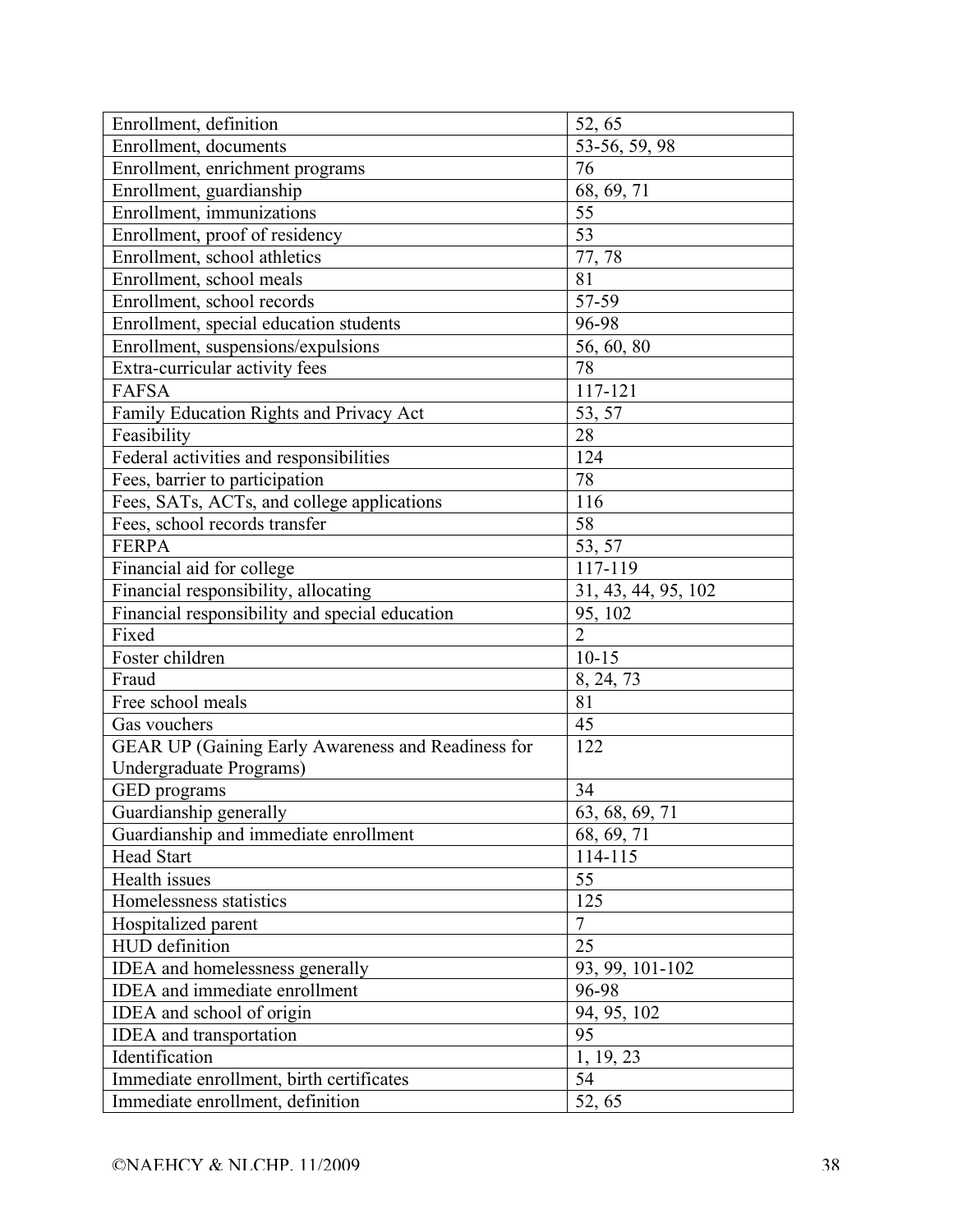| Enrollment, definition                             | 52, 65              |
|----------------------------------------------------|---------------------|
| Enrollment, documents                              | 53-56, 59, 98       |
| Enrollment, enrichment programs                    | 76                  |
| Enrollment, guardianship                           | 68, 69, 71          |
| Enrollment, immunizations                          | 55                  |
| Enrollment, proof of residency                     | 53                  |
| Enrollment, school athletics                       | 77, 78              |
| Enrollment, school meals                           | 81                  |
| Enrollment, school records                         | 57-59               |
| Enrollment, special education students             | 96-98               |
| Enrollment, suspensions/expulsions                 | 56, 60, 80          |
| Extra-curricular activity fees                     | 78                  |
| <b>FAFSA</b>                                       | 117-121             |
| Family Education Rights and Privacy Act            | 53, 57              |
| Feasibility                                        | 28                  |
| Federal activities and responsibilities            | 124                 |
| Fees, barrier to participation                     | 78                  |
| Fees, SATs, ACTs, and college applications         | 116                 |
| Fees, school records transfer                      | 58                  |
| <b>FERPA</b>                                       | 53, 57              |
| Financial aid for college                          | 117-119             |
| Financial responsibility, allocating               | 31, 43, 44, 95, 102 |
| Financial responsibility and special education     | 95, 102             |
| Fixed                                              | $\overline{2}$      |
| Foster children                                    | $10 - 15$           |
| Fraud                                              | 8, 24, 73           |
| Free school meals                                  | 81                  |
| Gas vouchers                                       | 45                  |
| GEAR UP (Gaining Early Awareness and Readiness for | 122                 |
| Undergraduate Programs)                            |                     |
| GED programs                                       | 34                  |
| Guardianship generally                             | 63, 68, 69, 71      |
| Guardianship and immediate enrollment              | 68, 69, 71          |
| <b>Head Start</b>                                  | 114-115             |
| Health issues                                      | 55                  |
| Homelessness statistics                            | 125                 |
| Hospitalized parent                                | $\overline{7}$      |
| <b>HUD</b> definition                              | 25                  |
| IDEA and homelessness generally                    | 93, 99, 101-102     |
| IDEA and immediate enrollment                      | 96-98               |
| IDEA and school of origin                          | 94, 95, 102         |
| <b>IDEA</b> and transportation                     | 95                  |
| Identification                                     | 1, 19, 23           |
| Immediate enrollment, birth certificates           | 54                  |
| Immediate enrollment, definition                   | 52, 65              |
|                                                    |                     |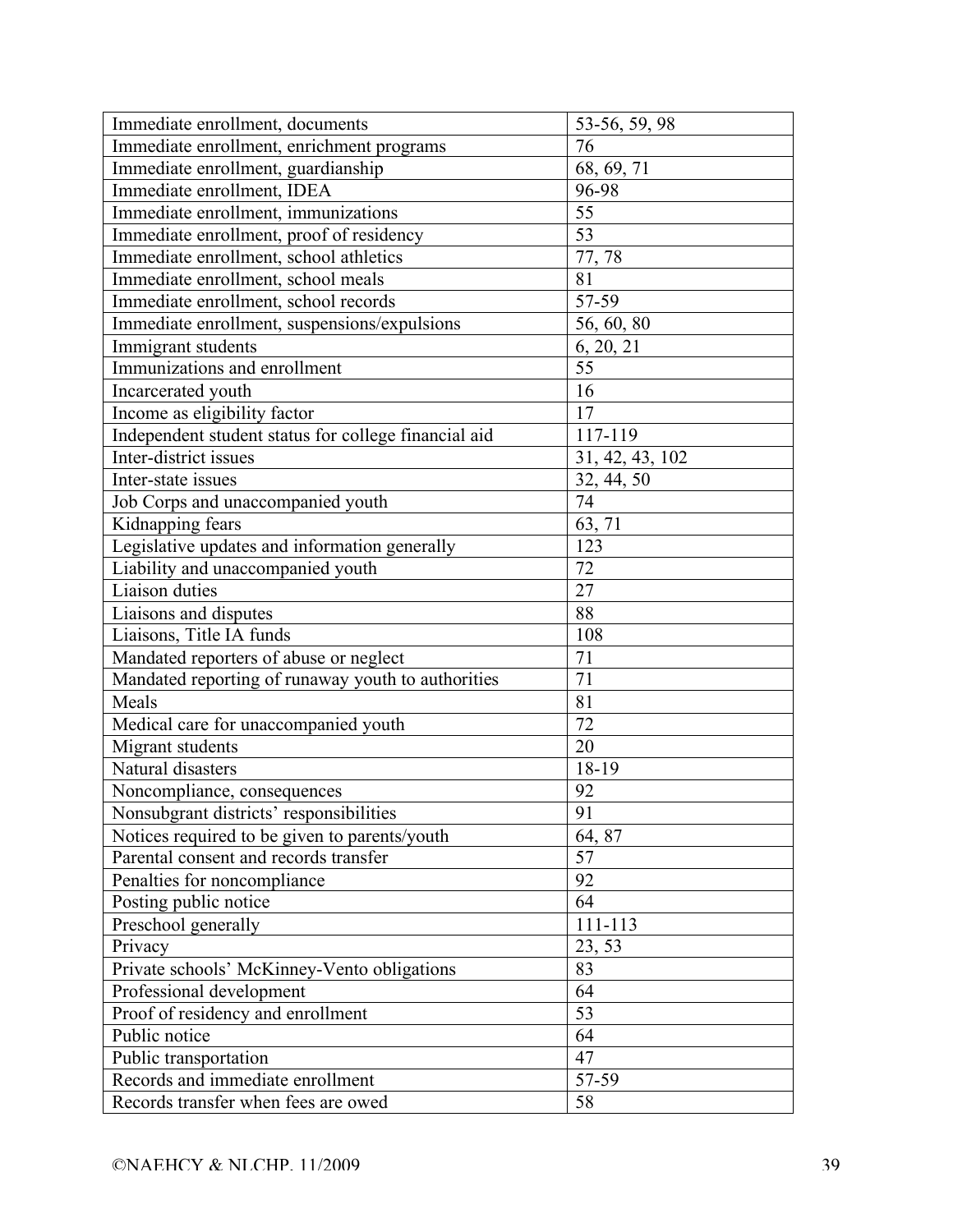| Immediate enrollment, documents                      | 53-56, 59, 98   |
|------------------------------------------------------|-----------------|
| Immediate enrollment, enrichment programs            | 76              |
| Immediate enrollment, guardianship                   | 68, 69, 71      |
| Immediate enrollment, IDEA                           | 96-98           |
| Immediate enrollment, immunizations                  | 55              |
| Immediate enrollment, proof of residency             | 53              |
| Immediate enrollment, school athletics               | 77, 78          |
| Immediate enrollment, school meals                   | 81              |
| Immediate enrollment, school records                 | 57-59           |
| Immediate enrollment, suspensions/expulsions         | 56, 60, 80      |
| Immigrant students                                   | 6, 20, 21       |
| Immunizations and enrollment                         | $\overline{55}$ |
| Incarcerated youth                                   | 16              |
| Income as eligibility factor                         | 17              |
| Independent student status for college financial aid | 117-119         |
| Inter-district issues                                | 31, 42, 43, 102 |
| Inter-state issues                                   | 32, 44, 50      |
| Job Corps and unaccompanied youth                    | 74              |
| Kidnapping fears                                     | 63, 71          |
| Legislative updates and information generally        | 123             |
| Liability and unaccompanied youth                    | 72              |
| Liaison duties                                       | 27              |
| Liaisons and disputes                                | 88              |
| Liaisons, Title IA funds                             | 108             |
| Mandated reporters of abuse or neglect               | 71              |
| Mandated reporting of runaway youth to authorities   | 71              |
| Meals                                                | 81              |
| Medical care for unaccompanied youth                 | 72              |
| Migrant students                                     | 20              |
| Natural disasters                                    | $18-19$         |
| Noncompliance, consequences                          | 92              |
| Nonsubgrant districts' responsibilities              | 91              |
| Notices required to be given to parents/youth        | 64, 87          |
| Parental consent and records transfer                | 57              |
| Penalties for noncompliance                          | 92              |
| Posting public notice                                | 64              |
| Preschool generally                                  | 111-113         |
| Privacy                                              | 23, 53          |
| Private schools' McKinney-Vento obligations          | 83              |
| Professional development                             | 64              |
| Proof of residency and enrollment                    | 53              |
| Public notice                                        | 64              |
| Public transportation                                | 47              |
| Records and immediate enrollment                     | 57-59           |
| Records transfer when fees are owed                  | 58              |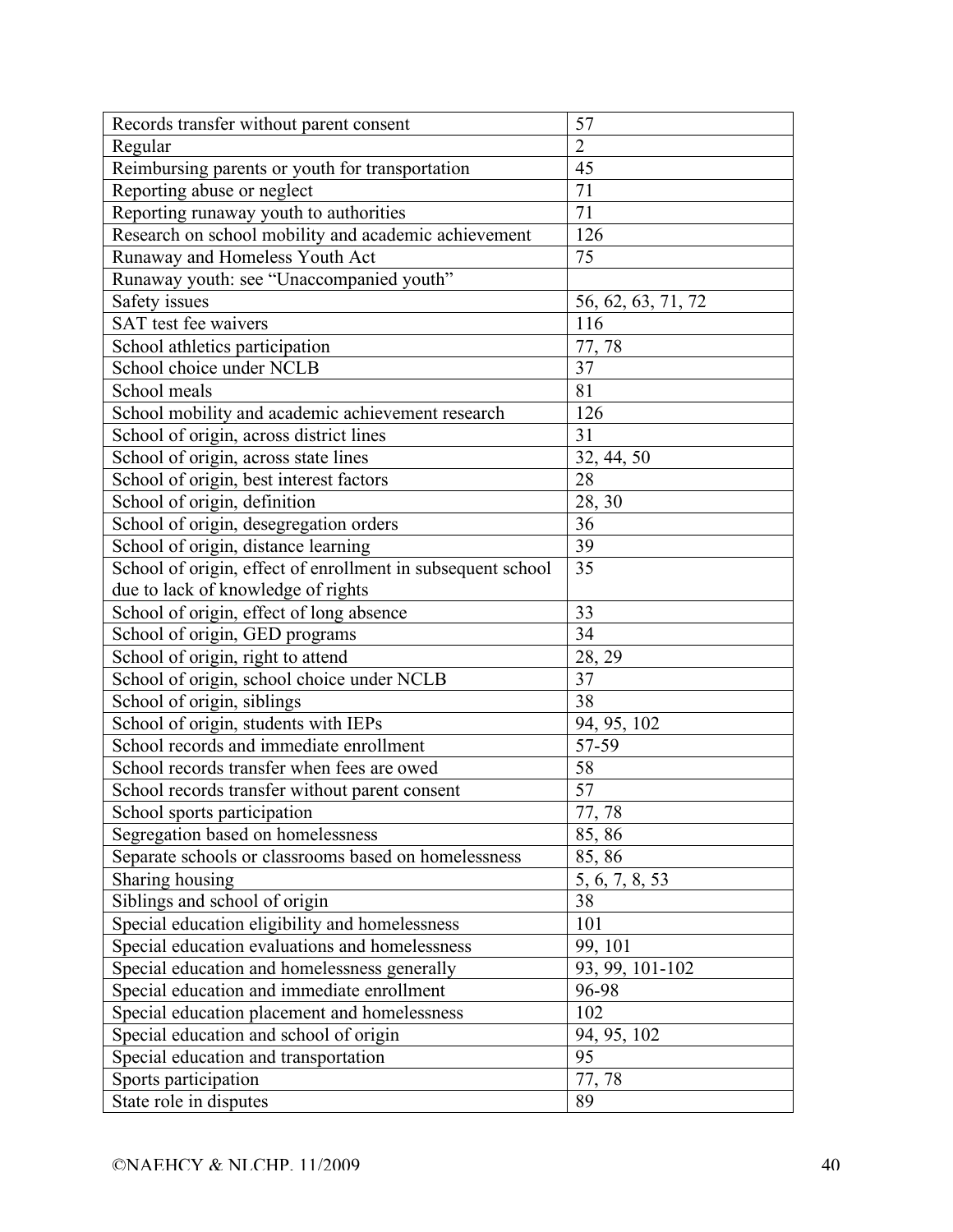| Records transfer without parent consent                     | 57                  |
|-------------------------------------------------------------|---------------------|
| Regular                                                     | $\overline{2}$      |
| Reimbursing parents or youth for transportation             | 45                  |
| Reporting abuse or neglect                                  | 71                  |
| Reporting runaway youth to authorities                      | 71                  |
| Research on school mobility and academic achievement        | 126                 |
| Runaway and Homeless Youth Act                              | 75                  |
| Runaway youth: see "Unaccompanied youth"                    |                     |
| Safety issues                                               | 56, 62, 63, 71, 72  |
| SAT test fee waivers                                        | 116                 |
| School athletics participation                              | 77, 78              |
| School choice under NCLB                                    | 37                  |
| School meals                                                | 81                  |
| School mobility and academic achievement research           | 126                 |
| School of origin, across district lines                     | 31                  |
| School of origin, across state lines                        | 32, 44, 50          |
| School of origin, best interest factors                     | 28                  |
| School of origin, definition                                | 28, 30              |
| School of origin, desegregation orders                      | 36                  |
| School of origin, distance learning                         | 39                  |
| School of origin, effect of enrollment in subsequent school | 35                  |
| due to lack of knowledge of rights                          |                     |
| School of origin, effect of long absence                    | 33                  |
| School of origin, GED programs                              | 34                  |
| School of origin, right to attend                           | 28, 29              |
| School of origin, school choice under NCLB                  | 37                  |
| School of origin, siblings                                  | 38                  |
| School of origin, students with IEPs                        | 94, 95, 102         |
| School records and immediate enrollment                     | 57-59               |
| School records transfer when fees are owed                  | 58                  |
| School records transfer without parent consent              | 57                  |
| School sports participation                                 | $\overline{77, 78}$ |
| Segregation based on homelessness                           | 85, 86              |
| Separate schools or classrooms based on homelessness        | 85,86               |
| Sharing housing                                             | 5, 6, 7, 8, 53      |
| Siblings and school of origin                               | 38                  |
| Special education eligibility and homelessness              | 101                 |
| Special education evaluations and homelessness              | 99, 101             |
| Special education and homelessness generally                | 93, 99, 101-102     |
| Special education and immediate enrollment                  | 96-98               |
| Special education placement and homelessness                | 102                 |
| Special education and school of origin                      | 94, 95, 102         |
| Special education and transportation                        | 95                  |
| Sports participation                                        | 77, 78              |
| State role in disputes                                      | 89                  |